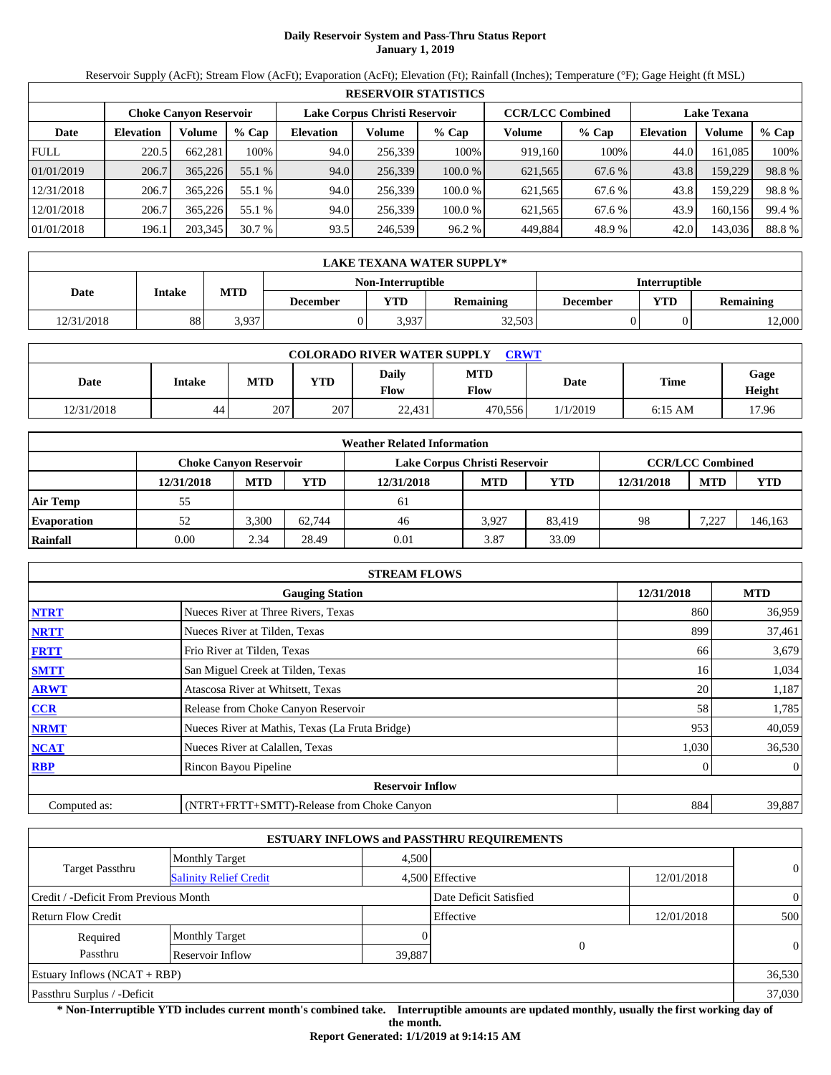# **Daily Reservoir System and Pass-Thru Status Report January 1, 2019**

Reservoir Supply (AcFt); Stream Flow (AcFt); Evaporation (AcFt); Elevation (Ft); Rainfall (Inches); Temperature (°F); Gage Height (ft MSL)

|             | <b>RESERVOIR STATISTICS</b> |                               |         |                  |                               |        |                         |         |                    |         |        |  |  |
|-------------|-----------------------------|-------------------------------|---------|------------------|-------------------------------|--------|-------------------------|---------|--------------------|---------|--------|--|--|
|             |                             | <b>Choke Canvon Reservoir</b> |         |                  | Lake Corpus Christi Reservoir |        | <b>CCR/LCC Combined</b> |         | <b>Lake Texana</b> |         |        |  |  |
| Date        | <b>Elevation</b>            | Volume                        | $%$ Cap | <b>Elevation</b> | Volume                        | % Cap  | Volume                  | $%$ Cap | <b>Elevation</b>   | Volume  | % Cap  |  |  |
| <b>FULL</b> | 220.5                       | 662.281                       | 100%    | 94.0             | 256.339                       | 100%   | 919.160                 | 100%    | 44.0               | 161.085 | 100%   |  |  |
| 01/01/2019  | 206.7                       | 365,226                       | 55.1 %  | 94.0             | 256,339                       | 100.0% | 621,565                 | 67.6 %  | 43.8               | 159,229 | 98.8%  |  |  |
| 12/31/2018  | 206.7                       | 365,226                       | 55.1 %  | 94.0             | 256.339                       | 100.0% | 621,565                 | 67.6 %  | 43.8               | 159.229 | 98.8%  |  |  |
| 12/01/2018  | 206.7                       | 365.226                       | 55.1 %  | 94.0             | 256.339                       | 100.0% | 621.565                 | 67.6 %  | 43.9               | 160.156 | 99.4 % |  |  |
| 01/01/2018  | 196.1                       | 203,345                       | 30.7%   | 93.5             | 246,539                       | 96.2 % | 449,884                 | 48.9%   | 42.0               | 143,036 | 88.8%  |  |  |

|            | <b>LAKE TEXANA WATER SUPPLY*</b> |                                           |          |            |                  |          |                         |        |  |  |  |
|------------|----------------------------------|-------------------------------------------|----------|------------|------------------|----------|-------------------------|--------|--|--|--|
|            |                                  | Non-Interruptible<br><b>Interruptible</b> |          |            |                  |          |                         |        |  |  |  |
| Date       | Intake                           | MTD                                       | December | <b>YTD</b> | <b>Remaining</b> | December | YTD<br><b>Remaining</b> |        |  |  |  |
| 12/31/2018 | 88                               | 3.937                                     |          | 3,937      | 32,503           |          |                         | 12,000 |  |  |  |

| <b>COLORADO RIVER WATER SUPPLY</b><br><b>CRWT</b> |        |            |            |                        |                    |          |           |                |  |  |
|---------------------------------------------------|--------|------------|------------|------------------------|--------------------|----------|-----------|----------------|--|--|
| Date                                              | Intake | <b>MTD</b> | <b>YTD</b> | Daily<br>$F_{\rm low}$ | <b>MTD</b><br>Flow | Date     | Time      | Gage<br>Height |  |  |
| 12/31/2018                                        | 44     | 207        | 207        | 22,431                 | 470.556            | 1/1/2019 | $6:15$ AM | 17.96          |  |  |

|                    |            |                               |        | <b>Weather Related Information</b> |            |            |            |                         |            |
|--------------------|------------|-------------------------------|--------|------------------------------------|------------|------------|------------|-------------------------|------------|
|                    |            | <b>Choke Canvon Reservoir</b> |        | Lake Corpus Christi Reservoir      |            |            |            | <b>CCR/LCC Combined</b> |            |
|                    | 12/31/2018 | <b>MTD</b>                    | YTD    | 12/31/2018                         | <b>MTD</b> | <b>YTD</b> | 12/31/2018 | <b>MTD</b>              | <b>YTD</b> |
| <b>Air Temp</b>    | 55         |                               |        | 61                                 |            |            |            |                         |            |
| <b>Evaporation</b> | 52         | 3.300                         | 62.744 | 46                                 | 3.927      | 83.419     | 98         | 7.227                   | 146,163    |
| Rainfall           | 0.00       | 2.34                          | 28.49  | 0.01                               | 3.87       | 33.09      |            |                         |            |

|              | <b>STREAM FLOWS</b>                             |            |                |
|--------------|-------------------------------------------------|------------|----------------|
|              | <b>Gauging Station</b>                          | 12/31/2018 | <b>MTD</b>     |
| <b>NTRT</b>  | Nueces River at Three Rivers, Texas             | 860        | 36,959         |
| <b>NRTT</b>  | Nueces River at Tilden, Texas                   | 899        | 37,461         |
| <b>FRTT</b>  | Frio River at Tilden, Texas                     | 66         | 3,679          |
| <b>SMTT</b>  | San Miguel Creek at Tilden, Texas               | 16         | 1,034          |
| <b>ARWT</b>  | Atascosa River at Whitsett, Texas               | 20         | 1,187          |
| <b>CCR</b>   | Release from Choke Canyon Reservoir             | 58         | 1,785          |
| <b>NRMT</b>  | Nueces River at Mathis, Texas (La Fruta Bridge) | 953        | 40,059         |
| <b>NCAT</b>  | Nueces River at Calallen, Texas                 | 1,030      | 36,530         |
| <b>RBP</b>   | Rincon Bayou Pipeline                           |            | $\overline{0}$ |
|              | <b>Reservoir Inflow</b>                         |            |                |
| Computed as: | (NTRT+FRTT+SMTT)-Release from Choke Canyon      | 884        | 39,887         |

|                                       |                               |        | <b>ESTUARY INFLOWS and PASSTHRU REQUIREMENTS</b> |            |                |
|---------------------------------------|-------------------------------|--------|--------------------------------------------------|------------|----------------|
|                                       | <b>Monthly Target</b>         | 4.500  |                                                  |            | $\overline{0}$ |
| <b>Target Passthru</b>                | <b>Salinity Relief Credit</b> |        | 4,500 Effective                                  | 12/01/2018 |                |
| Credit / -Deficit From Previous Month |                               |        | Date Deficit Satisfied                           |            | $\overline{0}$ |
| <b>Return Flow Credit</b>             |                               |        | Effective                                        | 12/01/2018 | 500            |
| Required                              | <b>Monthly Target</b>         |        |                                                  |            |                |
| Passthru                              | Reservoir Inflow              | 39,887 |                                                  |            | $\theta$       |
| Estuary Inflows $(NCAT + RBP)$        |                               |        |                                                  |            | 36,530         |
| Passthru Surplus / -Deficit           |                               |        |                                                  |            | 37,030         |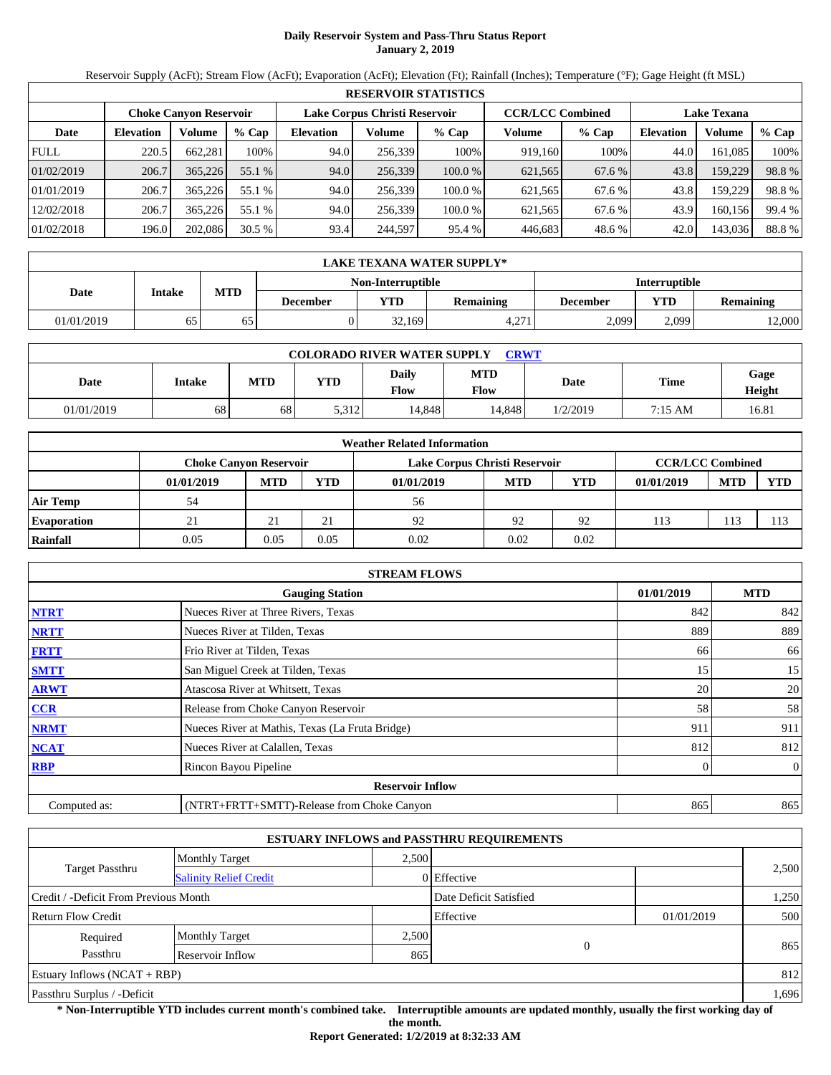# **Daily Reservoir System and Pass-Thru Status Report January 2, 2019**

Reservoir Supply (AcFt); Stream Flow (AcFt); Evaporation (AcFt); Elevation (Ft); Rainfall (Inches); Temperature (°F); Gage Height (ft MSL)

|             | <b>RESERVOIR STATISTICS</b> |                               |         |                               |         |         |                         |         |                    |         |        |  |  |
|-------------|-----------------------------|-------------------------------|---------|-------------------------------|---------|---------|-------------------------|---------|--------------------|---------|--------|--|--|
|             |                             | <b>Choke Canvon Reservoir</b> |         | Lake Corpus Christi Reservoir |         |         | <b>CCR/LCC Combined</b> |         | <b>Lake Texana</b> |         |        |  |  |
| Date        | <b>Elevation</b>            | Volume                        | $%$ Cap | <b>Elevation</b>              | Volume  | $%$ Cap | Volume                  | $%$ Cap | Elevation          | Volume  | % Cap  |  |  |
| <b>FULL</b> | 220.5                       | 662.281                       | 100%    | 94.0                          | 256,339 | 100%    | 919,160                 | 100%    | 44.0               | 161.085 | 100%   |  |  |
| 01/02/2019  | 206.7                       | 365,226                       | 55.1 %  | 94.0                          | 256,339 | 100.0 % | 621,565                 | 67.6 %  | 43.8               | 159,229 | 98.8%  |  |  |
| 01/01/2019  | 206.7                       | 365,226                       | 55.1 %  | 94.0                          | 256,339 | 100.0 % | 621,565                 | 67.6 %  | 43.8               | 159,229 | 98.8%  |  |  |
| 12/02/2018  | 206.7                       | 365,226                       | 55.1 %  | 94.0                          | 256.339 | 100.0 % | 621,565                 | 67.6 %  | 43.9               | 160.156 | 99.4 % |  |  |
| 01/02/2018  | 196.0                       | 202,086                       | 30.5%   | 93.4                          | 244,597 | 95.4 %  | 446,683                 | 48.6 %  | 42.0               | 143,036 | 88.8%  |  |  |

|            | LAKE TEXANA WATER SUPPLY* |            |                      |            |                  |                 |       |                  |  |  |  |
|------------|---------------------------|------------|----------------------|------------|------------------|-----------------|-------|------------------|--|--|--|
|            |                           |            | <b>Interruptible</b> |            |                  |                 |       |                  |  |  |  |
| Date       | Intake                    | <b>MTD</b> | December             | <b>YTD</b> | <b>Remaining</b> | <b>December</b> | VTD   | <b>Remaining</b> |  |  |  |
| 01/01/2019 | 65                        | 65         |                      | 32.169     | 271<br>4.4.      | 2.099           | 2,099 | 12,000           |  |  |  |

| <b>COLORADO RIVER WATER SUPPLY</b><br><b>CRWT</b> |        |            |            |                      |                    |          |         |                |  |  |
|---------------------------------------------------|--------|------------|------------|----------------------|--------------------|----------|---------|----------------|--|--|
| Date                                              | Intake | <b>MTD</b> | <b>YTD</b> | Daily<br><b>Flow</b> | <b>MTD</b><br>Flow | Date     | Time    | Gage<br>Height |  |  |
| 01/01/2019                                        | 68     | 68         | 5,312      | 14.848               | 14.848             | 1/2/2019 | 7:15 AM | 16.81          |  |  |

|                    |            |                               |            | <b>Weather Related Information</b> |            |            |                         |            |            |
|--------------------|------------|-------------------------------|------------|------------------------------------|------------|------------|-------------------------|------------|------------|
|                    |            | <b>Choke Canyon Reservoir</b> |            | Lake Corpus Christi Reservoir      |            |            | <b>CCR/LCC Combined</b> |            |            |
|                    | 01/01/2019 | <b>MTD</b>                    | <b>YTD</b> | 01/01/2019                         | <b>MTD</b> | <b>YTD</b> | 01/01/2019              | <b>MTD</b> | <b>YTD</b> |
| <b>Air Temp</b>    | 54         |                               |            | 56                                 |            |            |                         |            |            |
| <b>Evaporation</b> |            | 21                            | $\bigcap$  | 92                                 | 92         | 92         | 113                     | 113        |            |
| Rainfall           | 0.05       | 0.05                          | 0.05       | 0.02                               | 0.02       | 0.02       |                         |            |            |

|              | <b>STREAM FLOWS</b>                             |            |                |
|--------------|-------------------------------------------------|------------|----------------|
|              | <b>Gauging Station</b>                          | 01/01/2019 | <b>MTD</b>     |
| <b>NTRT</b>  | Nueces River at Three Rivers, Texas             | 842        | 842            |
| <b>NRTT</b>  | Nueces River at Tilden, Texas                   | 889        | 889            |
| <b>FRTT</b>  | Frio River at Tilden, Texas                     | 66         | 66             |
| <b>SMTT</b>  | San Miguel Creek at Tilden, Texas               | 15         | 15             |
| <b>ARWT</b>  | Atascosa River at Whitsett, Texas               | 20         | 20             |
| CCR          | Release from Choke Canyon Reservoir             | 58         | 58             |
| <b>NRMT</b>  | Nueces River at Mathis, Texas (La Fruta Bridge) | 911        | 911            |
| <b>NCAT</b>  | Nueces River at Calallen, Texas                 | 812        | 812            |
| <b>RBP</b>   | Rincon Bayou Pipeline                           | 0          | $\overline{0}$ |
|              | <b>Reservoir Inflow</b>                         |            |                |
| Computed as: | (NTRT+FRTT+SMTT)-Release from Choke Canyon      | 865        | 865            |

|                                       |                               |       | <b>ESTUARY INFLOWS and PASSTHRU REQUIREMENTS</b> |              |       |
|---------------------------------------|-------------------------------|-------|--------------------------------------------------|--------------|-------|
|                                       | <b>Monthly Target</b>         | 2,500 |                                                  |              |       |
| <b>Target Passthru</b>                | <b>Salinity Relief Credit</b> |       | 0 Effective                                      |              | 2,500 |
| Credit / -Deficit From Previous Month |                               |       | Date Deficit Satisfied                           |              | 1,250 |
| <b>Return Flow Credit</b>             |                               |       | Effective                                        | 01/01/2019   | 500   |
| Required                              | <b>Monthly Target</b>         | 2,500 |                                                  |              |       |
| Passthru                              | Reservoir Inflow              | 865   |                                                  | $\mathbf{0}$ | 865   |
| Estuary Inflows $(NCAT + RBP)$        |                               |       |                                                  |              | 812   |
| Passthru Surplus / -Deficit           |                               |       |                                                  |              | 1,696 |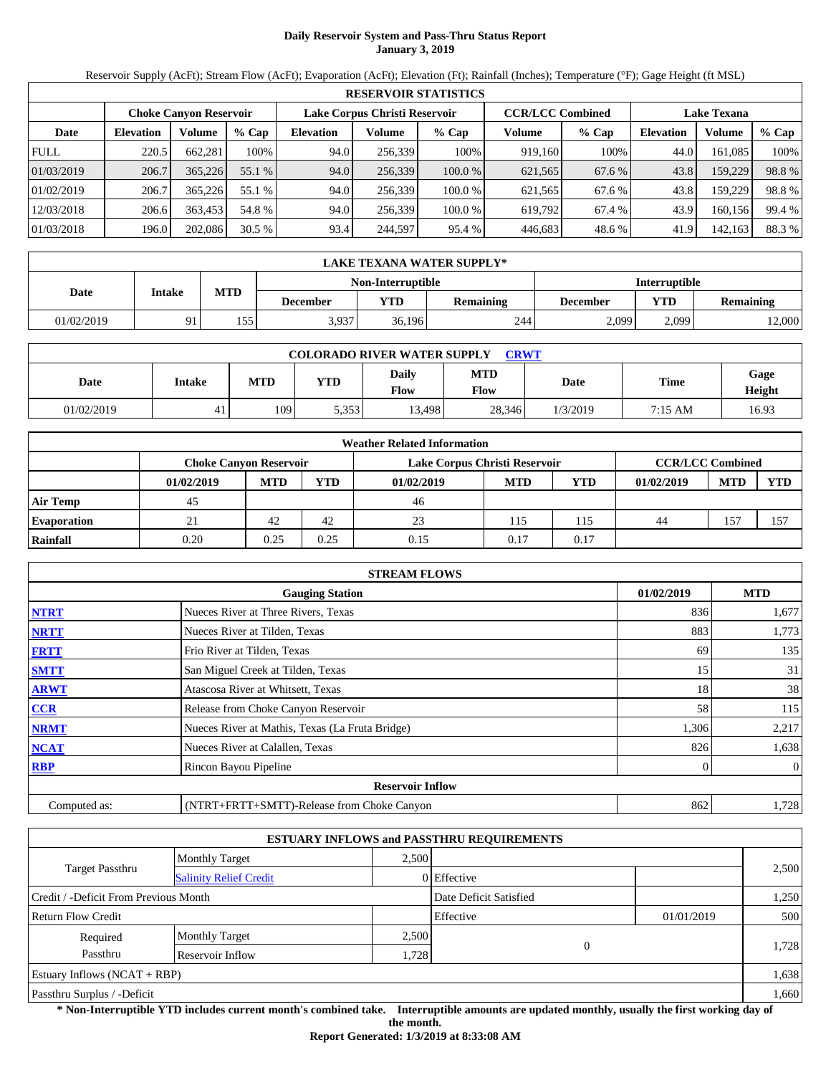# **Daily Reservoir System and Pass-Thru Status Report January 3, 2019**

Reservoir Supply (AcFt); Stream Flow (AcFt); Evaporation (AcFt); Elevation (Ft); Rainfall (Inches); Temperature (°F); Gage Height (ft MSL)

|             |                  |                               |         |                  |                               | <b>RESERVOIR STATISTICS</b> |                         |         |                    |         |        |
|-------------|------------------|-------------------------------|---------|------------------|-------------------------------|-----------------------------|-------------------------|---------|--------------------|---------|--------|
|             |                  | <b>Choke Canvon Reservoir</b> |         |                  | Lake Corpus Christi Reservoir |                             | <b>CCR/LCC Combined</b> |         | <b>Lake Texana</b> |         |        |
| Date        | <b>Elevation</b> | Volume                        | $%$ Cap | <b>Elevation</b> | Volume                        | $%$ Cap                     | Volume                  | $%$ Cap | <b>Elevation</b>   | Volume  | % Cap  |
| <b>FULL</b> | 220.5            | 662,281                       | 100%    | 94.0             | 256,339                       | 100%                        | 919,160                 | 100%    | 44.0               | 161,085 | 100%   |
| 01/03/2019  | 206.7            | 365,226                       | 55.1 %  | 94.0             | 256,339                       | 100.0%                      | 621,565                 | 67.6 %  | 43.8               | 159,229 | 98.8%  |
| 01/02/2019  | 206.7            | 365,226                       | 55.1 %  | 94.0             | 256.339                       | 100.0 %                     | 621,565                 | 67.6 %  | 43.8               | 159,229 | 98.8%  |
| 12/03/2018  | 206.6            | 363,453                       | 54.8 %  | 94.0             | 256,339                       | 100.0 %                     | 619,792                 | 67.4 %  | 43.9               | 160,156 | 99.4 % |
| 01/03/2018  | 196.0            | 202,086                       | 30.5%   | 93.4             | 244,597                       | 95.4 %                      | 446,683                 | 48.6%   | 41.9               | 142,163 | 88.3%  |

|            | LAKE TEXANA WATER SUPPLY* |            |                          |            |                  |                      |       |                  |  |  |  |  |
|------------|---------------------------|------------|--------------------------|------------|------------------|----------------------|-------|------------------|--|--|--|--|
|            |                           |            | <b>Non-Interruptible</b> |            |                  | <b>Interruptible</b> |       |                  |  |  |  |  |
| Date       | Intake                    | <b>MTD</b> | December                 | <b>YTD</b> | <b>Remaining</b> | December             | VTD   | <b>Remaining</b> |  |  |  |  |
| 01/02/2019 |                           | 155        | 3,937                    | 36,196     | 244              | 2.099                | 2,099 | 12,000           |  |  |  |  |

| <b>COLORADO RIVER WATER SUPPLY</b><br><b>CRWT</b> |        |            |            |               |                    |          |             |                |  |  |
|---------------------------------------------------|--------|------------|------------|---------------|--------------------|----------|-------------|----------------|--|--|
| Date                                              | Intake | <b>MTD</b> | <b>YTD</b> | Daily<br>Flow | <b>MTD</b><br>Flow | Date     | <b>Time</b> | Gage<br>Height |  |  |
| 01/02/2019                                        | 41     | 109        | 5,353      | 13.498        | 28,346             | 1/3/2019 | 7:15 AM     | 16.93          |  |  |

|                    |                               |            |            | <b>Weather Related Information</b> |                         |            |            |            |            |
|--------------------|-------------------------------|------------|------------|------------------------------------|-------------------------|------------|------------|------------|------------|
|                    | <b>Choke Canvon Reservoir</b> |            |            | Lake Corpus Christi Reservoir      | <b>CCR/LCC Combined</b> |            |            |            |            |
|                    | 01/02/2019                    | <b>MTD</b> | <b>YTD</b> | 01/02/2019                         | <b>MTD</b>              | <b>YTD</b> | 01/02/2019 | <b>MTD</b> | <b>YTD</b> |
| <b>Air Temp</b>    | 45                            |            |            | 46                                 |                         |            |            |            |            |
| <b>Evaporation</b> |                               | 42         | 42         | 23                                 | 115                     | 115        | 44         | 157        | $15^{-}$   |
| Rainfall           | 0.20                          | 0.25       | 0.25       | 0.15                               | 0.17                    | 0.17       |            |            |            |

|              | <b>STREAM FLOWS</b>                             |            |                |
|--------------|-------------------------------------------------|------------|----------------|
|              | <b>Gauging Station</b>                          | 01/02/2019 | <b>MTD</b>     |
| <b>NTRT</b>  | Nueces River at Three Rivers, Texas             | 836        | 1,677          |
| <b>NRTT</b>  | Nueces River at Tilden, Texas                   | 883        | 1,773          |
| <b>FRTT</b>  | Frio River at Tilden, Texas                     | 69         | 135            |
| <b>SMTT</b>  | San Miguel Creek at Tilden, Texas               | 15         | 31             |
| <b>ARWT</b>  | Atascosa River at Whitsett, Texas               | 18         | 38             |
| CCR          | Release from Choke Canyon Reservoir             | 58         | 115            |
| <b>NRMT</b>  | Nueces River at Mathis, Texas (La Fruta Bridge) | 1,306      | 2,217          |
| <b>NCAT</b>  | Nueces River at Calallen, Texas                 | 826        | 1,638          |
| <b>RBP</b>   | Rincon Bayou Pipeline                           | 0          | $\overline{0}$ |
|              | <b>Reservoir Inflow</b>                         |            |                |
| Computed as: | (NTRT+FRTT+SMTT)-Release from Choke Canyon      | 862        | 1,728          |

|                                                         |                       |       | <b>ESTUARY INFLOWS and PASSTHRU REQUIREMENTS</b> |            |       |
|---------------------------------------------------------|-----------------------|-------|--------------------------------------------------|------------|-------|
|                                                         | <b>Monthly Target</b> | 2.500 |                                                  |            |       |
| <b>Target Passthru</b><br><b>Salinity Relief Credit</b> |                       |       | 0 Effective                                      |            | 2,500 |
| Credit / -Deficit From Previous Month                   |                       |       | Date Deficit Satisfied                           |            | 1,250 |
| <b>Return Flow Credit</b>                               |                       |       | Effective                                        | 01/01/2019 | 500   |
| Required                                                | <b>Monthly Target</b> | 2,500 |                                                  |            |       |
| Passthru                                                | Reservoir Inflow      | 1,728 | $\theta$                                         |            | 1,728 |
| Estuary Inflows $(NCAT + RBP)$                          |                       |       |                                                  |            | 1,638 |
| Passthru Surplus / -Deficit                             |                       |       |                                                  |            | 1,660 |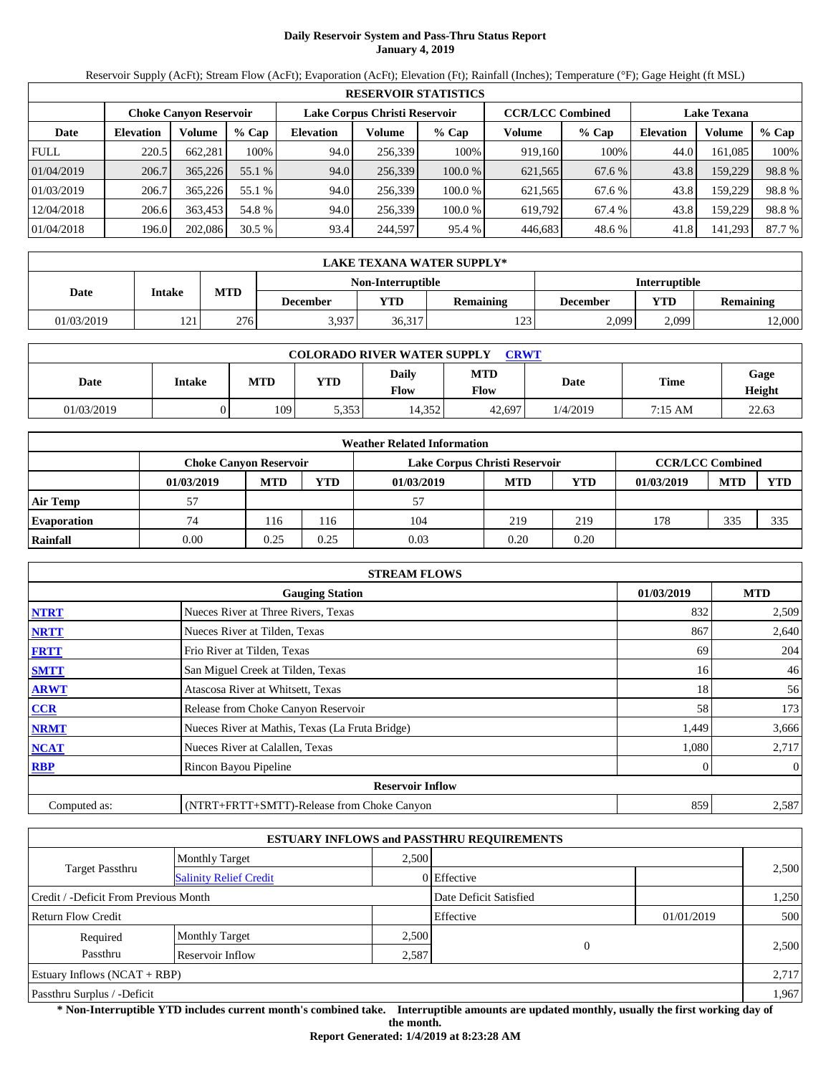# **Daily Reservoir System and Pass-Thru Status Report January 4, 2019**

Reservoir Supply (AcFt); Stream Flow (AcFt); Evaporation (AcFt); Elevation (Ft); Rainfall (Inches); Temperature (°F); Gage Height (ft MSL)

|             |                  |                               |         |                  |                               | <b>RESERVOIR STATISTICS</b> |                         |         |                    |         |        |
|-------------|------------------|-------------------------------|---------|------------------|-------------------------------|-----------------------------|-------------------------|---------|--------------------|---------|--------|
|             |                  | <b>Choke Canvon Reservoir</b> |         |                  | Lake Corpus Christi Reservoir |                             | <b>CCR/LCC Combined</b> |         | <b>Lake Texana</b> |         |        |
| Date        | <b>Elevation</b> | Volume                        | $%$ Cap | <b>Elevation</b> | Volume                        | $%$ Cap                     | Volume                  | $%$ Cap | <b>Elevation</b>   | Volume  | % Cap  |
| <b>FULL</b> | 220.5            | 662,281                       | 100%    | 94.0             | 256,339                       | 100%                        | 919,160                 | 100%    | 44.0               | 161,085 | 100%   |
| 01/04/2019  | 206.7            | 365,226                       | 55.1 %  | 94.0             | 256,339                       | 100.0%                      | 621,565                 | 67.6 %  | 43.8               | 159,229 | 98.8%  |
| 01/03/2019  | 206.7            | 365,226                       | 55.1 %  | 94.0             | 256.339                       | 100.0 %                     | 621,565                 | 67.6 %  | 43.8               | 159,229 | 98.8%  |
| 12/04/2018  | 206.6            | 363,453                       | 54.8 %  | 94.0             | 256,339                       | 100.0 %                     | 619,792                 | 67.4 %  | 43.8               | 159,229 | 98.8%  |
| 01/04/2018  | 196.0            | 202,086                       | 30.5%   | 93.4             | 244,597                       | 95.4 %                      | 446,683                 | 48.6%   | 41.8               | 141,293 | 87.7 % |

|            | LAKE TEXANA WATER SUPPLY*          |            |          |                          |                      |          |            |                  |  |  |  |
|------------|------------------------------------|------------|----------|--------------------------|----------------------|----------|------------|------------------|--|--|--|
|            |                                    |            |          | <b>Non-Interruptible</b> | <b>Interruptible</b> |          |            |                  |  |  |  |
| Date       | Intake                             | <b>MTD</b> | December | <b>YTD</b>               | <b>Remaining</b>     | December | <b>VTD</b> | <b>Remaining</b> |  |  |  |
| 01/03/2019 | $1^{\prime}$ $\gamma$ 1<br>$\cdot$ | 276        | 3,937    | 36,317                   | 123                  | 2.099    | 2,099      | 12,000           |  |  |  |

| <b>COLORADO RIVER WATER SUPPLY</b><br><b>CRWT</b> |        |            |            |               |                    |          |             |                |  |  |
|---------------------------------------------------|--------|------------|------------|---------------|--------------------|----------|-------------|----------------|--|--|
| Date                                              | Intake | <b>MTD</b> | <b>YTD</b> | Daily<br>Flow | <b>MTD</b><br>Flow | Date     | <b>Time</b> | Gage<br>Height |  |  |
| 01/03/2019                                        |        | 109        | 5,353      | 14,352        | 42,697             | 1/4/2019 | 7:15 AM     | 22.63          |  |  |

|                    |                               |            |            | <b>Weather Related Information</b> |                         |            |            |            |            |
|--------------------|-------------------------------|------------|------------|------------------------------------|-------------------------|------------|------------|------------|------------|
|                    | <b>Choke Canvon Reservoir</b> |            |            | Lake Corpus Christi Reservoir      | <b>CCR/LCC Combined</b> |            |            |            |            |
|                    | 01/03/2019                    | <b>MTD</b> | <b>YTD</b> | 01/03/2019                         | <b>MTD</b>              | <b>YTD</b> | 01/03/2019 | <b>MTD</b> | <b>YTD</b> |
| <b>Air Temp</b>    |                               |            |            |                                    |                         |            |            |            |            |
| <b>Evaporation</b> | 74                            | 116        | 116        | 104                                | 219                     | 219        | 178        | 335        | 335        |
| Rainfall           | 0.00                          | 0.25       | 0.25       | 0.03                               | 0.20                    | 0.20       |            |            |            |

|              | <b>STREAM FLOWS</b>                             |            |                |
|--------------|-------------------------------------------------|------------|----------------|
|              | <b>Gauging Station</b>                          | 01/03/2019 | <b>MTD</b>     |
| <b>NTRT</b>  | Nueces River at Three Rivers, Texas             | 832        | 2,509          |
| <b>NRTT</b>  | Nueces River at Tilden, Texas                   | 867        | 2,640          |
| <b>FRTT</b>  | Frio River at Tilden, Texas                     | 69         | 204            |
| <b>SMTT</b>  | San Miguel Creek at Tilden, Texas               | 16         | 46             |
| <b>ARWT</b>  | Atascosa River at Whitsett, Texas               | 18         | 56             |
| CCR          | Release from Choke Canyon Reservoir             | 58         | 173            |
| <b>NRMT</b>  | Nueces River at Mathis, Texas (La Fruta Bridge) | 1,449      | 3,666          |
| <b>NCAT</b>  | Nueces River at Calallen, Texas                 | 1,080      | 2,717          |
| <b>RBP</b>   | Rincon Bayou Pipeline                           | 0          | $\overline{0}$ |
|              | <b>Reservoir Inflow</b>                         |            |                |
| Computed as: | (NTRT+FRTT+SMTT)-Release from Choke Canyon      | 859        | 2,587          |

|                                                  |                       |       | <b>ESTUARY INFLOWS and PASSTHRU REQUIREMENTS</b> |            |       |
|--------------------------------------------------|-----------------------|-------|--------------------------------------------------|------------|-------|
|                                                  | <b>Monthly Target</b> | 2.500 |                                                  |            |       |
| Target Passthru<br><b>Salinity Relief Credit</b> |                       |       | $0$ Effective                                    |            | 2,500 |
| Credit / -Deficit From Previous Month            |                       |       | Date Deficit Satisfied                           |            | 1,250 |
| <b>Return Flow Credit</b>                        |                       |       | Effective                                        | 01/01/2019 | 500   |
| Required                                         | <b>Monthly Target</b> | 2,500 |                                                  |            |       |
| Passthru                                         | Reservoir Inflow      | 2,587 | $\overline{0}$                                   |            | 2.500 |
| Estuary Inflows $(NCAT + RBP)$                   |                       |       |                                                  |            | 2,717 |
| Passthru Surplus / -Deficit                      |                       |       |                                                  |            | 1,967 |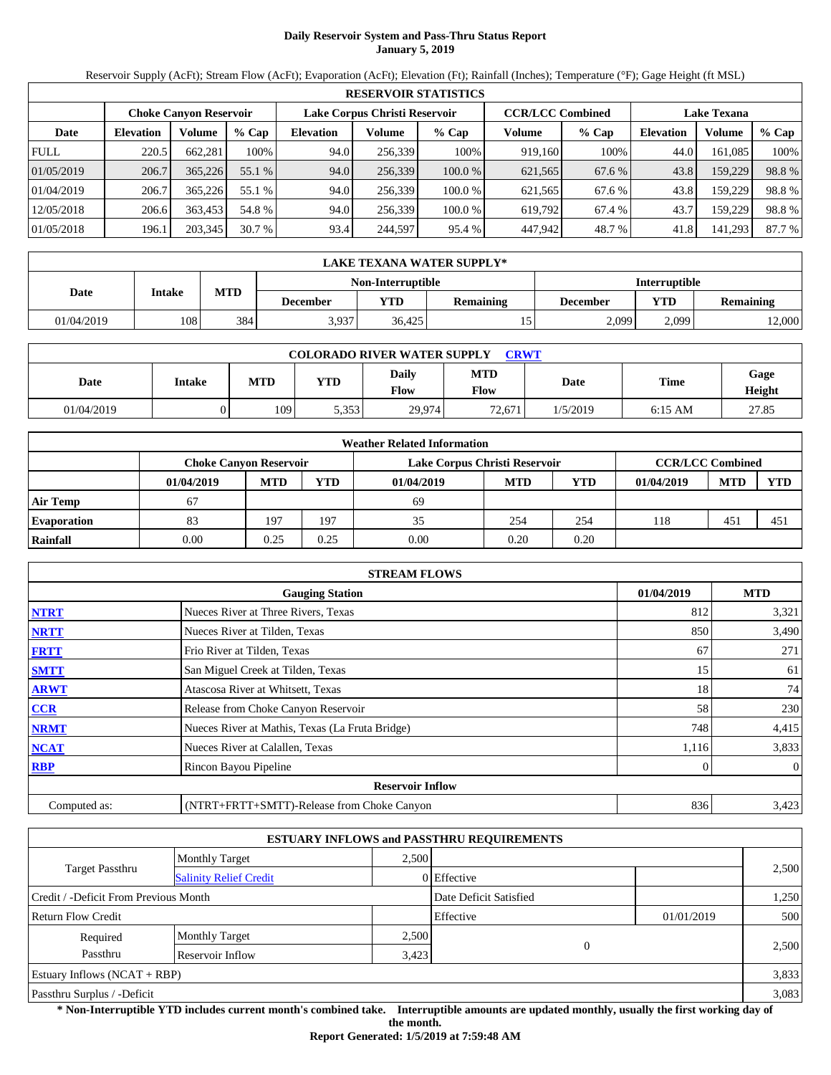# **Daily Reservoir System and Pass-Thru Status Report January 5, 2019**

Reservoir Supply (AcFt); Stream Flow (AcFt); Evaporation (AcFt); Elevation (Ft); Rainfall (Inches); Temperature (°F); Gage Height (ft MSL)

|             | <b>RESERVOIR STATISTICS</b> |                               |         |                  |                               |         |                         |         |                    |         |        |  |
|-------------|-----------------------------|-------------------------------|---------|------------------|-------------------------------|---------|-------------------------|---------|--------------------|---------|--------|--|
|             |                             | <b>Choke Canyon Reservoir</b> |         |                  | Lake Corpus Christi Reservoir |         | <b>CCR/LCC Combined</b> |         | <b>Lake Texana</b> |         |        |  |
| Date        | <b>Elevation</b>            | Volume                        | $%$ Cap | <b>Elevation</b> | Volume                        | $%$ Cap | Volume                  | $%$ Cap | <b>Elevation</b>   | Volume  | % Cap  |  |
| <b>FULL</b> | 220.5                       | 662,281                       | 100%    | 94.0             | 256,339                       | 100%    | 919,160                 | 100%    | 44.0               | 161.085 | 100%   |  |
| 01/05/2019  | 206.7                       | 365,226                       | 55.1 %  | 94.0             | 256,339                       | 100.0 % | 621,565                 | 67.6 %  | 43.8               | 159,229 | 98.8%  |  |
| 01/04/2019  | 206.7                       | 365,226                       | 55.1 %  | 94.0             | 256.339                       | 100.0 % | 621,565                 | 67.6 %  | 43.8               | 159,229 | 98.8%  |  |
| 12/05/2018  | 206.6                       | 363,453                       | 54.8 %  | 94.0             | 256,339                       | 100.0%  | 619,792                 | 67.4 %  | 43.7               | 159.229 | 98.8%  |  |
| 01/05/2018  | 196.1                       | 203,345                       | 30.7 %  | 93.4             | 244,597                       | 95.4 %  | 447,942                 | 48.7 %  | 41.8               | 141,293 | 87.7 % |  |

|            | LAKE TEXANA WATER SUPPLY* |            |          |                   |                  |                      |       |                  |  |  |
|------------|---------------------------|------------|----------|-------------------|------------------|----------------------|-------|------------------|--|--|
|            |                           |            |          | Non-Interruptible |                  | <b>Interruptible</b> |       |                  |  |  |
| Date       | Intake                    | <b>MTD</b> | December | <b>YTD</b>        | <b>Remaining</b> | <b>December</b>      | VTD   | <b>Remaining</b> |  |  |
| 01/04/2019 | 108                       | 384        | 3,937    | 36.425            |                  | 2.099                | 2,099 | 12,000           |  |  |

| <b>COLORADO RIVER WATER SUPPLY</b><br><b>CRWT</b> |        |            |            |               |                    |          |             |                |  |  |
|---------------------------------------------------|--------|------------|------------|---------------|--------------------|----------|-------------|----------------|--|--|
| Date                                              | Intake | <b>MTD</b> | <b>YTD</b> | Daily<br>Flow | <b>MTD</b><br>Flow | Date     | <b>Time</b> | Gage<br>Height |  |  |
| 01/04/2019                                        |        | 109        | 5,353      | 29.974        | 72.671             | 1/5/2019 | $6:15$ AM   | 27.85          |  |  |

|                    |            |                               |            | <b>Weather Related Information</b> |                         |            |            |            |            |
|--------------------|------------|-------------------------------|------------|------------------------------------|-------------------------|------------|------------|------------|------------|
|                    |            | <b>Choke Canvon Reservoir</b> |            | Lake Corpus Christi Reservoir      | <b>CCR/LCC Combined</b> |            |            |            |            |
|                    | 01/04/2019 | <b>MTD</b>                    | <b>YTD</b> | 01/04/2019                         | <b>MTD</b>              | <b>YTD</b> | 01/04/2019 | <b>MTD</b> | <b>YTD</b> |
| <b>Air Temp</b>    | 67         |                               |            | 69                                 |                         |            |            |            |            |
| <b>Evaporation</b> | 83         | 197                           | 197        | 35                                 | 254                     | 254        | 118        | 451        | 451        |
| Rainfall           | 0.00       | 0.25                          | 0.25       | 0.00                               | 0.20                    | 0.20       |            |            |            |

|              | <b>STREAM FLOWS</b>                             |            |                |
|--------------|-------------------------------------------------|------------|----------------|
|              | <b>Gauging Station</b>                          | 01/04/2019 | <b>MTD</b>     |
| <b>NTRT</b>  | Nueces River at Three Rivers, Texas             | 812        | 3,321          |
| <b>NRTT</b>  | Nueces River at Tilden, Texas                   | 850        | 3,490          |
| <b>FRTT</b>  | Frio River at Tilden, Texas                     | 67         | 271            |
| <b>SMTT</b>  | San Miguel Creek at Tilden, Texas               | 15         | 61             |
| <b>ARWT</b>  | Atascosa River at Whitsett, Texas               | 18         | 74             |
| <b>CCR</b>   | Release from Choke Canyon Reservoir             | 58         | 230            |
| <b>NRMT</b>  | Nueces River at Mathis, Texas (La Fruta Bridge) | 748        | 4,415          |
| <b>NCAT</b>  | Nueces River at Calallen, Texas                 | 1,116      | 3,833          |
| <b>RBP</b>   | Rincon Bayou Pipeline                           | 0          | $\overline{0}$ |
|              | <b>Reservoir Inflow</b>                         |            |                |
| Computed as: | (NTRT+FRTT+SMTT)-Release from Choke Canyon      | 836        | 3,423          |

|                                                         |                       |       | <b>ESTUARY INFLOWS and PASSTHRU REQUIREMENTS</b> |            |       |  |
|---------------------------------------------------------|-----------------------|-------|--------------------------------------------------|------------|-------|--|
|                                                         | <b>Monthly Target</b> | 2.500 |                                                  |            |       |  |
| <b>Target Passthru</b><br><b>Salinity Relief Credit</b> |                       |       | 0 Effective                                      |            | 2,500 |  |
| Credit / -Deficit From Previous Month                   |                       |       | Date Deficit Satisfied                           |            | 1,250 |  |
| <b>Return Flow Credit</b>                               |                       |       | Effective                                        | 01/01/2019 | 500   |  |
| Required                                                | <b>Monthly Target</b> | 2,500 |                                                  |            |       |  |
| Passthru                                                | Reservoir Inflow      | 3,423 | $\mathbf{0}$                                     |            | 2,500 |  |
| Estuary Inflows $(NCAT + RBP)$                          |                       |       |                                                  |            | 3,833 |  |
| Passthru Surplus / -Deficit                             |                       |       |                                                  |            | 3,083 |  |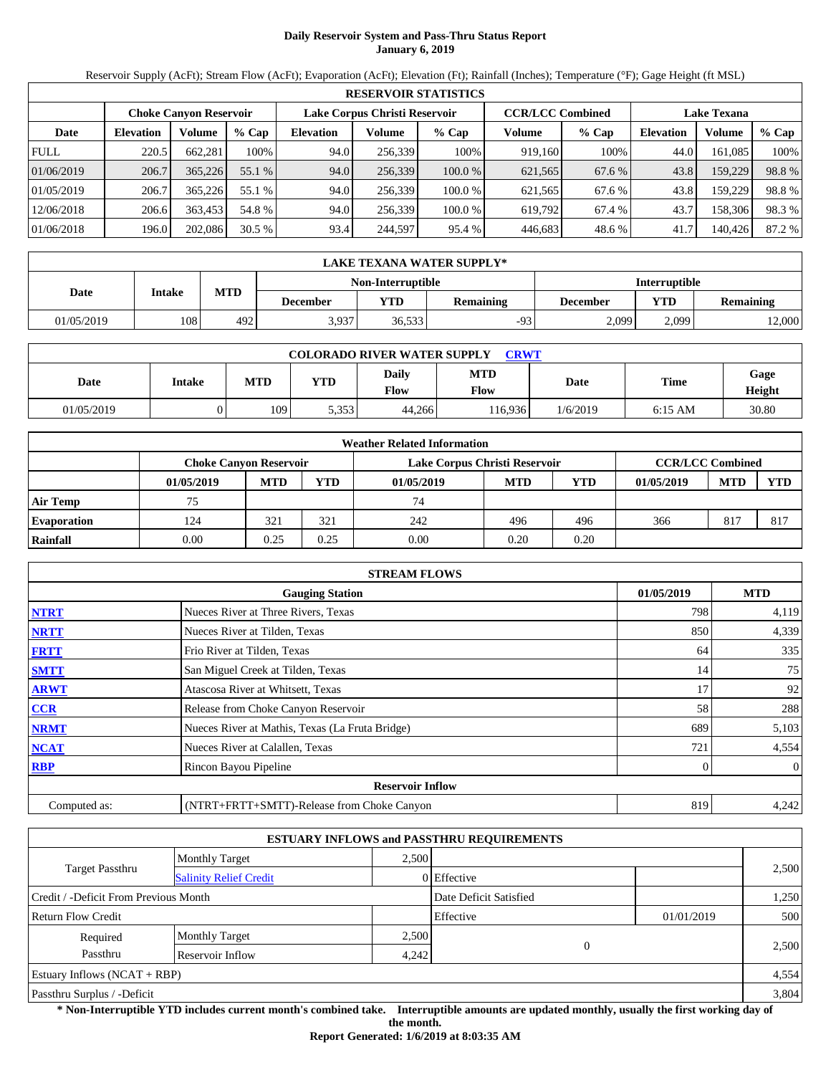# **Daily Reservoir System and Pass-Thru Status Report January 6, 2019**

Reservoir Supply (AcFt); Stream Flow (AcFt); Evaporation (AcFt); Elevation (Ft); Rainfall (Inches); Temperature (°F); Gage Height (ft MSL)

|             |                  |                               |         |                  |                               | <b>RESERVOIR STATISTICS</b> |                         |         |                    |         |        |
|-------------|------------------|-------------------------------|---------|------------------|-------------------------------|-----------------------------|-------------------------|---------|--------------------|---------|--------|
|             |                  | <b>Choke Canvon Reservoir</b> |         |                  | Lake Corpus Christi Reservoir |                             | <b>CCR/LCC Combined</b> |         | <b>Lake Texana</b> |         |        |
| Date        | <b>Elevation</b> | Volume                        | $%$ Cap | <b>Elevation</b> | Volume                        | $%$ Cap                     | Volume                  | $%$ Cap | <b>Elevation</b>   | Volume  | % Cap  |
| <b>FULL</b> | 220.5            | 662,281                       | 100%    | 94.0             | 256,339                       | 100%                        | 919,160                 | 100%    | 44.0               | 161,085 | 100%   |
| 01/06/2019  | 206.7            | 365,226                       | 55.1 %  | 94.0             | 256,339                       | 100.0%                      | 621,565                 | 67.6 %  | 43.8               | 159,229 | 98.8%  |
| 01/05/2019  | 206.7            | 365,226                       | 55.1 %  | 94.0             | 256.339                       | 100.0 %                     | 621,565                 | 67.6 %  | 43.8               | 159,229 | 98.8%  |
| 12/06/2018  | 206.6            | 363,453                       | 54.8 %  | 94.0             | 256,339                       | 100.0 %                     | 619,792                 | 67.4 %  | 43.7               | 158,306 | 98.3%  |
| 01/06/2018  | 196.0            | 202,086                       | 30.5%   | 93.4             | 244,597                       | 95.4 %                      | 446,683                 | 48.6%   | 41.7               | 140,426 | 87.2 % |

|            | LAKE TEXANA WATER SUPPLY* |            |                                                  |            |                  |                 |       |                  |  |  |
|------------|---------------------------|------------|--------------------------------------------------|------------|------------------|-----------------|-------|------------------|--|--|
|            |                           |            | <b>Non-Interruptible</b><br><b>Interruptible</b> |            |                  |                 |       |                  |  |  |
| Date       | Intake                    | <b>MTD</b> | December                                         | <b>YTD</b> | <b>Remaining</b> | <b>December</b> | VTD   | <b>Remaining</b> |  |  |
| 01/05/2019 | 108                       | 492        | 3.937                                            | 36,533     | $-93$            | 2.099           | 2.099 | 12,000           |  |  |

| <b>COLORADO RIVER WATER SUPPLY</b><br>CRWT |               |            |       |               |                    |          |           |                |  |  |
|--------------------------------------------|---------------|------------|-------|---------------|--------------------|----------|-----------|----------------|--|--|
| Date                                       | <b>Intake</b> | <b>MTD</b> | YTD   | Daily<br>Flow | <b>MTD</b><br>Flow | Date     | Time      | Gage<br>Height |  |  |
| 01/05/2019                                 |               | 109        | 5,353 | 44.266        | 116.936            | 1/6/2019 | $6:15$ AM | 30.80          |  |  |

|                    |            |                               |            | <b>Weather Related Information</b> |            |                         |            |            |            |
|--------------------|------------|-------------------------------|------------|------------------------------------|------------|-------------------------|------------|------------|------------|
|                    |            | <b>Choke Canvon Reservoir</b> |            | Lake Corpus Christi Reservoir      |            | <b>CCR/LCC Combined</b> |            |            |            |
|                    | 01/05/2019 | <b>MTD</b>                    | <b>YTD</b> | 01/05/2019                         | <b>MTD</b> | <b>YTD</b>              | 01/05/2019 | <b>MTD</b> | <b>YTD</b> |
| <b>Air Temp</b>    | 75         |                               |            | 74                                 |            |                         |            |            |            |
| <b>Evaporation</b> | 124        | 321                           | 321        | 242                                | 496        | 496                     | 366        | 817        | 817        |
| Rainfall           | 0.00       | 0.25                          | 0.25       | 0.00                               | 0.20       | 0.20                    |            |            |            |

|              | <b>STREAM FLOWS</b>                             |            |                |
|--------------|-------------------------------------------------|------------|----------------|
|              | <b>Gauging Station</b>                          | 01/05/2019 | <b>MTD</b>     |
| <b>NTRT</b>  | Nueces River at Three Rivers, Texas             | 798        | 4,119          |
| <b>NRTT</b>  | Nueces River at Tilden, Texas                   | 850        | 4,339          |
| <b>FRTT</b>  | Frio River at Tilden, Texas                     | 64         | 335            |
| <b>SMTT</b>  | San Miguel Creek at Tilden, Texas               | 14         | 75             |
| <b>ARWT</b>  | Atascosa River at Whitsett, Texas               | 17         | 92             |
| CCR          | Release from Choke Canyon Reservoir             | 58         | 288            |
| <b>NRMT</b>  | Nueces River at Mathis, Texas (La Fruta Bridge) | 689        | 5,103          |
| <b>NCAT</b>  | Nueces River at Calallen, Texas                 | 721        | 4,554          |
| <b>RBP</b>   | Rincon Bayou Pipeline                           | 0          | $\overline{0}$ |
|              | <b>Reservoir Inflow</b>                         |            |                |
| Computed as: | (NTRT+FRTT+SMTT)-Release from Choke Canyon      | 819        | 4,242          |

|                                                         |                       |       | <b>ESTUARY INFLOWS and PASSTHRU REQUIREMENTS</b> |            |       |
|---------------------------------------------------------|-----------------------|-------|--------------------------------------------------|------------|-------|
|                                                         | <b>Monthly Target</b> | 2.500 |                                                  |            |       |
| <b>Target Passthru</b><br><b>Salinity Relief Credit</b> |                       |       | 0 Effective                                      |            | 2,500 |
| Credit / -Deficit From Previous Month                   |                       |       | Date Deficit Satisfied                           |            | 1,250 |
| <b>Return Flow Credit</b>                               |                       |       | Effective                                        | 01/01/2019 | 500   |
| Required                                                | <b>Monthly Target</b> | 2,500 |                                                  |            |       |
| Passthru                                                | Reservoir Inflow      | 4,242 |                                                  | $\theta$   | 2,500 |
| Estuary Inflows $(NCAT + RBP)$                          |                       |       |                                                  |            | 4,554 |
| Passthru Surplus / -Deficit                             |                       |       |                                                  |            | 3,804 |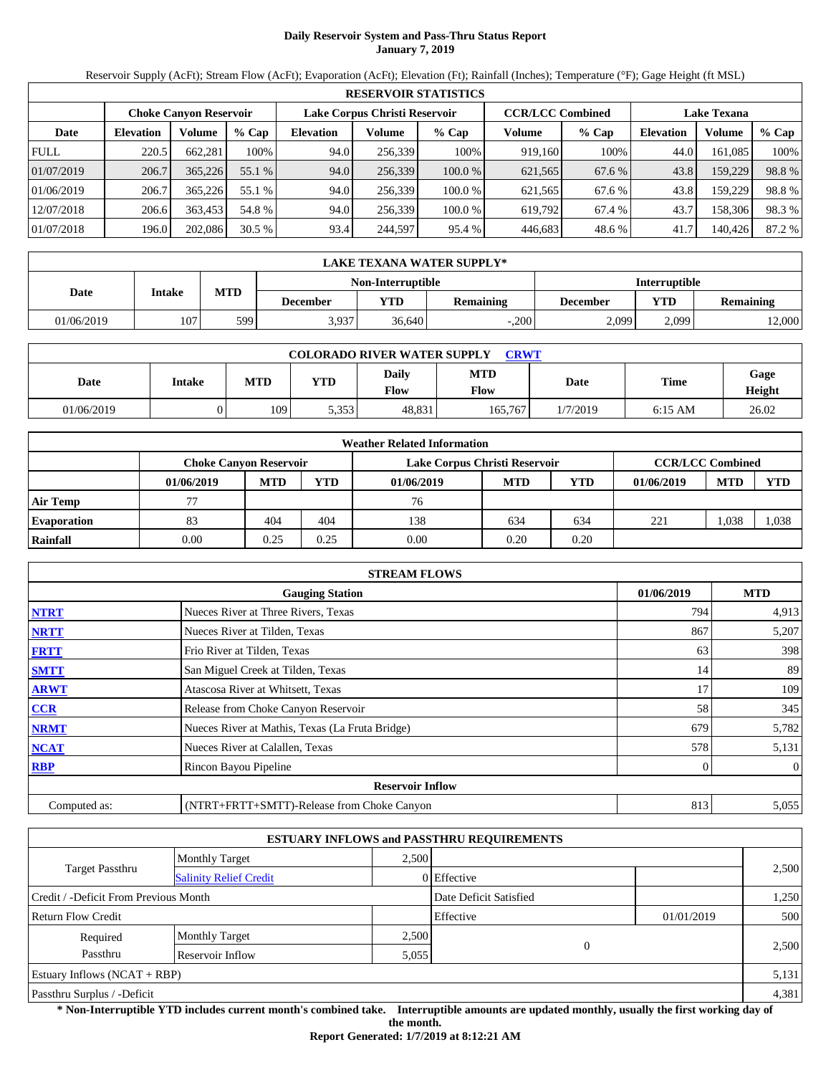# **Daily Reservoir System and Pass-Thru Status Report January 7, 2019**

Reservoir Supply (AcFt); Stream Flow (AcFt); Evaporation (AcFt); Elevation (Ft); Rainfall (Inches); Temperature (°F); Gage Height (ft MSL)

|             | <b>RESERVOIR STATISTICS</b> |                               |         |                               |         |         |                         |         |                    |         |        |
|-------------|-----------------------------|-------------------------------|---------|-------------------------------|---------|---------|-------------------------|---------|--------------------|---------|--------|
|             |                             | <b>Choke Canvon Reservoir</b> |         | Lake Corpus Christi Reservoir |         |         | <b>CCR/LCC Combined</b> |         | <b>Lake Texana</b> |         |        |
| Date        | <b>Elevation</b>            | Volume                        | $%$ Cap | <b>Elevation</b>              | Volume  | $%$ Cap | Volume                  | $%$ Cap | <b>Elevation</b>   | Volume  | % Cap  |
| <b>FULL</b> | 220.5                       | 662,281                       | 100%    | 94.0                          | 256,339 | 100%    | 919,160                 | 100%    | 44.0               | 161,085 | 100%   |
| 01/07/2019  | 206.7                       | 365,226                       | 55.1 %  | 94.0                          | 256,339 | 100.0%  | 621,565                 | 67.6 %  | 43.8               | 159,229 | 98.8%  |
| 01/06/2019  | 206.7                       | 365,226                       | 55.1 %  | 94.0                          | 256.339 | 100.0 % | 621,565                 | 67.6 %  | 43.8               | 159,229 | 98.8%  |
| 12/07/2018  | 206.6                       | 363,453                       | 54.8 %  | 94.0                          | 256,339 | 100.0 % | 619,792                 | 67.4 %  | 43.7               | 158,306 | 98.3%  |
| 01/07/2018  | 196.0                       | 202,086                       | 30.5%   | 93.4                          | 244,597 | 95.4 %  | 446,683                 | 48.6%   | 41.7               | 140,426 | 87.2 % |

|            | LAKE TEXANA WATER SUPPLY* |            |          |                                                  |                  |                 |       |                  |  |  |  |
|------------|---------------------------|------------|----------|--------------------------------------------------|------------------|-----------------|-------|------------------|--|--|--|
|            |                           |            |          | <b>Non-Interruptible</b><br><b>Interruptible</b> |                  |                 |       |                  |  |  |  |
| Date       | Intake                    | <b>MTD</b> | December | <b>YTD</b>                                       | <b>Remaining</b> | <b>December</b> | VTD - | <b>Remaining</b> |  |  |  |
| 01/06/2019 | 107                       | 599        | 3,937    | 36.640                                           | $-.200$          | 2.099           | 2,099 | 12,000           |  |  |  |

| <b>COLORADO RIVER WATER SUPPLY</b><br>CRWT |        |            |       |                      |                    |          |           |                |  |  |
|--------------------------------------------|--------|------------|-------|----------------------|--------------------|----------|-----------|----------------|--|--|
| Date                                       | Intake | <b>MTD</b> | YTD   | Daily<br><b>Flow</b> | <b>MTD</b><br>Flow | Date     | Time      | Gage<br>Height |  |  |
| 01/06/2019                                 |        | 109        | 5,353 | 48.831               | 165.767            | 1/7/2019 | $6:15$ AM | 26.02          |  |  |

|                    |                               |            |            | <b>Weather Related Information</b> |            |      |                         |            |            |
|--------------------|-------------------------------|------------|------------|------------------------------------|------------|------|-------------------------|------------|------------|
|                    | <b>Choke Canvon Reservoir</b> |            |            | Lake Corpus Christi Reservoir      |            |      | <b>CCR/LCC Combined</b> |            |            |
|                    | 01/06/2019                    | <b>MTD</b> | <b>YTD</b> | 01/06/2019                         | <b>MTD</b> | YTD  | 01/06/2019              | <b>MTD</b> | <b>YTD</b> |
| <b>Air Temp</b>    |                               |            |            | 76                                 |            |      |                         |            |            |
| <b>Evaporation</b> | 83                            | 404        | 404        | 138                                | 634        | 634  | 221                     | .038       | 1,038      |
| Rainfall           | 0.00                          | 0.25       | 0.25       | 0.00                               | 0.20       | 0.20 |                         |            |            |

|              | <b>STREAM FLOWS</b>                             |            |              |
|--------------|-------------------------------------------------|------------|--------------|
|              | <b>Gauging Station</b>                          | 01/06/2019 | <b>MTD</b>   |
| <b>NTRT</b>  | Nueces River at Three Rivers, Texas             | 794        | 4,913        |
| <b>NRTT</b>  | Nueces River at Tilden, Texas                   | 867        | 5,207        |
| <b>FRTT</b>  | Frio River at Tilden, Texas                     | 63         | 398          |
| <b>SMTT</b>  | San Miguel Creek at Tilden, Texas               | 14         | 89           |
| <b>ARWT</b>  | Atascosa River at Whitsett, Texas               | 17         | 109          |
| CCR          | Release from Choke Canyon Reservoir             | 58         | 345          |
| <b>NRMT</b>  | Nueces River at Mathis, Texas (La Fruta Bridge) | 679        | 5,782        |
| <b>NCAT</b>  | Nueces River at Calallen, Texas                 | 578        | 5,131        |
| <b>RBP</b>   | Rincon Bayou Pipeline                           |            | $\mathbf{0}$ |
|              | <b>Reservoir Inflow</b>                         |            |              |
| Computed as: | (NTRT+FRTT+SMTT)-Release from Choke Canyon      | 813        | 5,055        |

|                                                         |                       |       | <b>ESTUARY INFLOWS and PASSTHRU REQUIREMENTS</b> |            |       |
|---------------------------------------------------------|-----------------------|-------|--------------------------------------------------|------------|-------|
|                                                         | <b>Monthly Target</b> | 2.500 |                                                  |            |       |
| <b>Target Passthru</b><br><b>Salinity Relief Credit</b> |                       |       | 0 Effective                                      |            | 2,500 |
| Credit / -Deficit From Previous Month                   |                       |       | Date Deficit Satisfied                           |            | 1,250 |
| <b>Return Flow Credit</b>                               |                       |       | Effective                                        | 01/01/2019 | 500   |
| Required                                                | <b>Monthly Target</b> | 2,500 |                                                  |            |       |
| Passthru                                                | Reservoir Inflow      | 5,055 | $\overline{0}$                                   |            | 2,500 |
| Estuary Inflows $(NCAT + RBP)$                          |                       |       |                                                  |            | 5,131 |
| Passthru Surplus / -Deficit                             |                       |       |                                                  |            | 4,381 |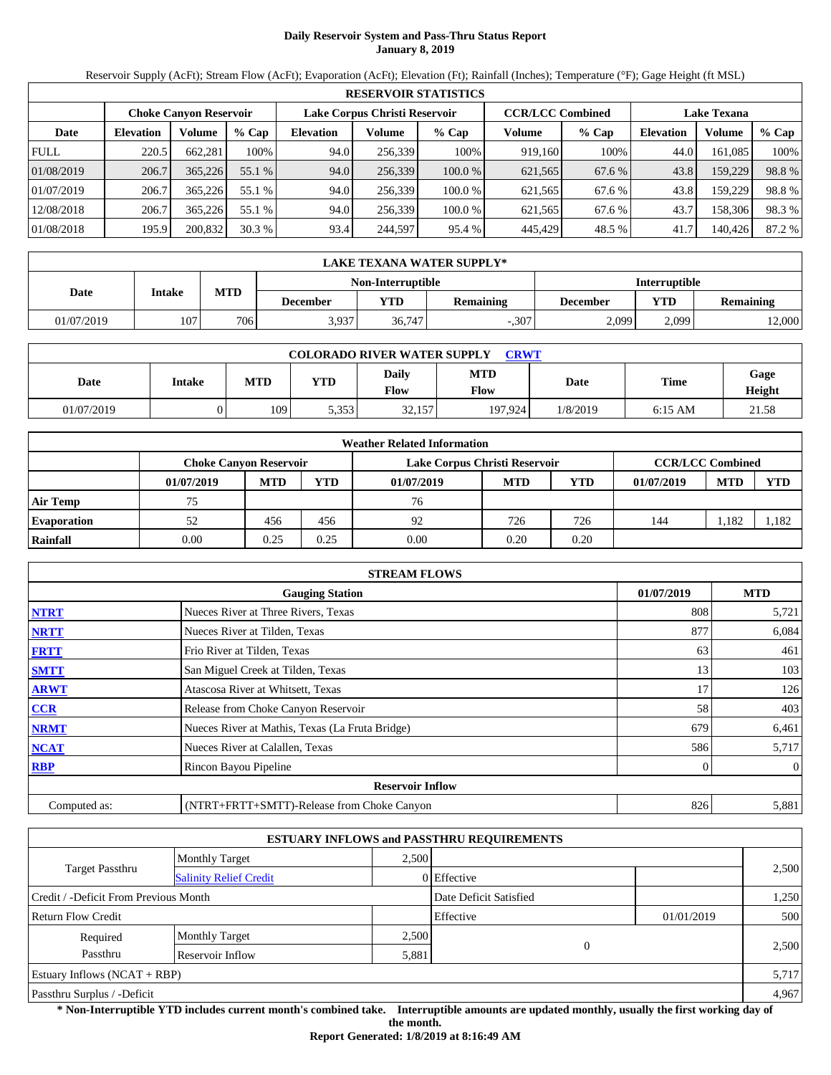# **Daily Reservoir System and Pass-Thru Status Report January 8, 2019**

Reservoir Supply (AcFt); Stream Flow (AcFt); Evaporation (AcFt); Elevation (Ft); Rainfall (Inches); Temperature (°F); Gage Height (ft MSL)

|             | <b>RESERVOIR STATISTICS</b> |                               |         |                               |         |         |                         |         |                    |         |        |  |
|-------------|-----------------------------|-------------------------------|---------|-------------------------------|---------|---------|-------------------------|---------|--------------------|---------|--------|--|
|             |                             | <b>Choke Canvon Reservoir</b> |         | Lake Corpus Christi Reservoir |         |         | <b>CCR/LCC Combined</b> |         | <b>Lake Texana</b> |         |        |  |
| Date        | <b>Elevation</b>            | Volume                        | $%$ Cap | <b>Elevation</b>              | Volume  | $%$ Cap | Volume                  | $%$ Cap | <b>Elevation</b>   | Volume  | % Cap  |  |
| <b>FULL</b> | 220.5                       | 662.281                       | 100%    | 94.0                          | 256,339 | 100%    | 919.160                 | 100%    | 44.0               | 161,085 | 100%   |  |
| 01/08/2019  | 206.7                       | 365,226                       | 55.1 %  | 94.0                          | 256.339 | 100.0%  | 621,565                 | 67.6 %  | 43.8               | 159,229 | 98.8%  |  |
| 01/07/2019  | 206.7                       | 365.226                       | 55.1 %  | 94.0                          | 256,339 | 100.0%  | 621,565                 | 67.6 %  | 43.8               | 159,229 | 98.8%  |  |
| 12/08/2018  | 206.7                       | 365.226                       | 55.1 %  | 94.0                          | 256.339 | 100.0%  | 621.565                 | 67.6 %  | 43.7               | 158,306 | 98.3 % |  |
| 01/08/2018  | 195.9                       | 200,832                       | 30.3%   | 93.4                          | 244,597 | 95.4 %  | 445,429                 | 48.5 %  | 41.7               | 140,426 | 87.2 % |  |

|            | LAKE TEXANA WATER SUPPLY* |            |                                                  |            |                  |          |            |                  |  |  |  |
|------------|---------------------------|------------|--------------------------------------------------|------------|------------------|----------|------------|------------------|--|--|--|
|            |                           |            | <b>Non-Interruptible</b><br><b>Interruptible</b> |            |                  |          |            |                  |  |  |  |
| Date       | Intake                    | <b>MTD</b> | December                                         | <b>YTD</b> | <b>Remaining</b> | December | <b>VTD</b> | <b>Remaining</b> |  |  |  |
| 01/07/2019 | 107                       | 706        | 3,937                                            | 36,747     | $-.307$          | 2.099    | 2,099      | 12,000           |  |  |  |

| <b>COLORADO RIVER WATER SUPPLY</b><br><b>CRWT</b> |        |            |       |                      |             |          |           |                |  |  |
|---------------------------------------------------|--------|------------|-------|----------------------|-------------|----------|-----------|----------------|--|--|
| Date                                              | Intake | <b>MTD</b> | YTD   | Daily<br><b>Flow</b> | MTD<br>Flow | Date     | Time      | Gage<br>Height |  |  |
| 01/07/2019                                        |        | 109        | 5.353 | 32,157               | 197.924     | 1/8/2019 | $6:15$ AM | 21.58          |  |  |

|                    |                               |            |            | <b>Weather Related Information</b> |            |            |            |                         |            |
|--------------------|-------------------------------|------------|------------|------------------------------------|------------|------------|------------|-------------------------|------------|
|                    | <b>Choke Canvon Reservoir</b> |            |            | Lake Corpus Christi Reservoir      |            |            |            | <b>CCR/LCC Combined</b> |            |
|                    | 01/07/2019                    | <b>MTD</b> | <b>YTD</b> | 01/07/2019                         | <b>MTD</b> | <b>YTD</b> | 01/07/2019 | <b>MTD</b>              | <b>YTD</b> |
| <b>Air Temp</b>    | 75                            |            |            | 76                                 |            |            |            |                         |            |
| <b>Evaporation</b> | 52                            | 456        | 456        | 92                                 | 726        | 726        | 144        | 1.182                   | 1,182      |
| Rainfall           | 0.00                          | 0.25       | 0.25       | 0.00                               | 0.20       | 0.20       |            |                         |            |

|              | <b>STREAM FLOWS</b>                             |            |              |
|--------------|-------------------------------------------------|------------|--------------|
|              | <b>Gauging Station</b>                          | 01/07/2019 | <b>MTD</b>   |
| <b>NTRT</b>  | Nueces River at Three Rivers, Texas             | 808        | 5,721        |
| <b>NRTT</b>  | Nueces River at Tilden, Texas                   | 877        | 6,084        |
| <b>FRTT</b>  | Frio River at Tilden, Texas                     | 63         | 461          |
| <b>SMTT</b>  | San Miguel Creek at Tilden, Texas               | 13         | 103          |
| <b>ARWT</b>  | Atascosa River at Whitsett, Texas               | 17         | 126          |
| <b>CCR</b>   | Release from Choke Canyon Reservoir             | 58         | 403          |
| <b>NRMT</b>  | Nueces River at Mathis, Texas (La Fruta Bridge) | 679        | 6,461        |
| <b>NCAT</b>  | Nueces River at Calallen, Texas                 | 586        | 5,717        |
| <b>RBP</b>   | Rincon Bayou Pipeline                           | $\Omega$   | $\mathbf{0}$ |
|              | <b>Reservoir Inflow</b>                         |            |              |
| Computed as: | (NTRT+FRTT+SMTT)-Release from Choke Canyon      | 826        | 5,881        |

|                                                         |                       |       | <b>ESTUARY INFLOWS and PASSTHRU REQUIREMENTS</b> |            |       |
|---------------------------------------------------------|-----------------------|-------|--------------------------------------------------|------------|-------|
|                                                         | <b>Monthly Target</b> | 2.500 |                                                  |            |       |
| <b>Target Passthru</b><br><b>Salinity Relief Credit</b> |                       |       | 0 Effective                                      |            | 2,500 |
| Credit / -Deficit From Previous Month                   |                       |       | Date Deficit Satisfied                           |            | 1,250 |
| <b>Return Flow Credit</b>                               |                       |       | Effective                                        | 01/01/2019 | 500   |
| Required                                                | <b>Monthly Target</b> | 2,500 |                                                  |            |       |
| Passthru                                                | Reservoir Inflow      | 5,881 | $\overline{0}$                                   |            | 2,500 |
| Estuary Inflows $(NCAT + RBP)$                          |                       |       |                                                  |            | 5,717 |
| Passthru Surplus / -Deficit                             |                       |       |                                                  |            | 4,967 |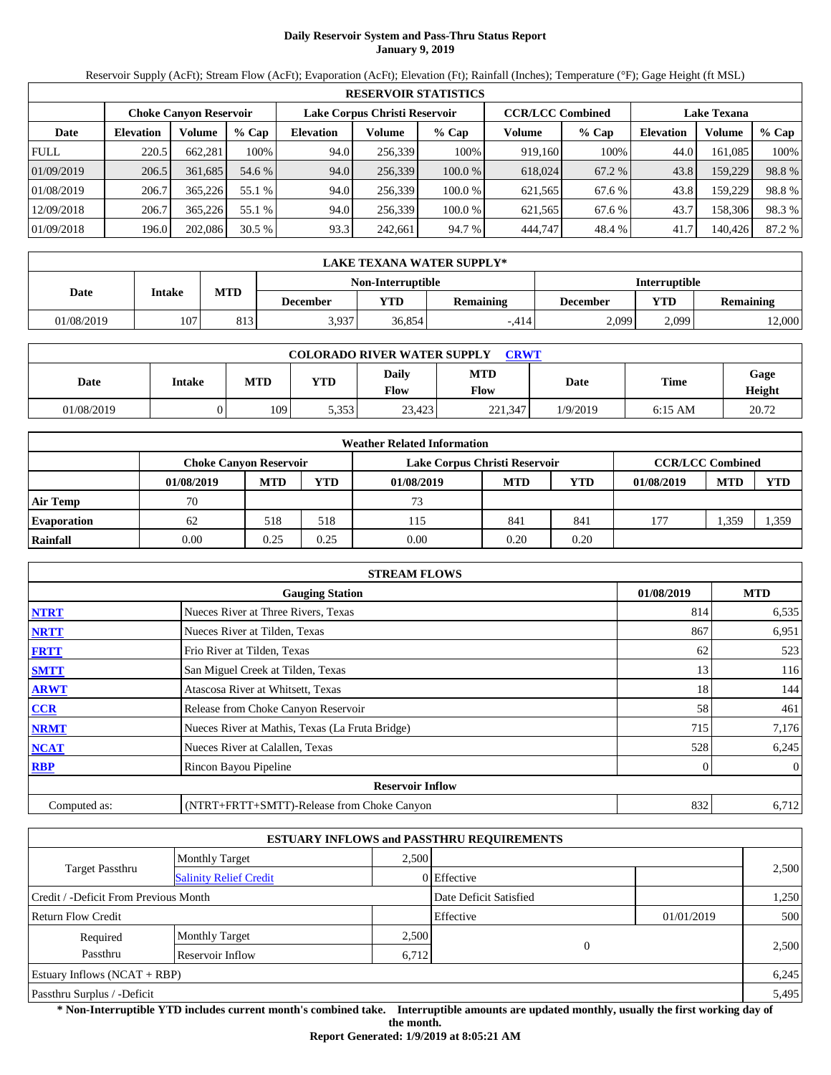# **Daily Reservoir System and Pass-Thru Status Report January 9, 2019**

Reservoir Supply (AcFt); Stream Flow (AcFt); Evaporation (AcFt); Elevation (Ft); Rainfall (Inches); Temperature (°F); Gage Height (ft MSL)

|             |                  |                               |         |                               |         | <b>RESERVOIR STATISTICS</b> |                         |         |                    |         |        |
|-------------|------------------|-------------------------------|---------|-------------------------------|---------|-----------------------------|-------------------------|---------|--------------------|---------|--------|
|             |                  | <b>Choke Canvon Reservoir</b> |         | Lake Corpus Christi Reservoir |         |                             | <b>CCR/LCC Combined</b> |         | <b>Lake Texana</b> |         |        |
| Date        | <b>Elevation</b> | Volume                        | $%$ Cap | <b>Elevation</b>              | Volume  | $%$ Cap                     | Volume                  | $%$ Cap | <b>Elevation</b>   | Volume  | % Cap  |
| <b>FULL</b> | 220.5            | 662.281                       | 100%    | 94.0                          | 256,339 | 100%                        | 919.160                 | 100%    | 44.0               | 161,085 | 100%   |
| 01/09/2019  | 206.5            | 361.685                       | 54.6 %  | 94.0                          | 256.339 | 100.0%                      | 618,024                 | 67.2 %  | 43.8               | 159,229 | 98.8%  |
| 01/08/2019  | 206.7            | 365.226                       | 55.1 %  | 94.0                          | 256,339 | 100.0%                      | 621,565                 | 67.6 %  | 43.8               | 159,229 | 98.8%  |
| 12/09/2018  | 206.7            | 365.226                       | 55.1 %  | 94.0                          | 256.339 | 100.0%                      | 621.565                 | 67.6 %  | 43.7               | 158,306 | 98.3 % |
| 01/09/2018  | 196.0            | 202,086                       | 30.5%   | 93.3                          | 242,661 | 94.7 %                      | 444,747                 | 48.4 %  | 41.7               | 140,426 | 87.2 % |

|            | LAKE TEXANA WATER SUPPLY* |            |                 |                   |                  |                      |       |           |  |  |  |
|------------|---------------------------|------------|-----------------|-------------------|------------------|----------------------|-------|-----------|--|--|--|
|            |                           |            |                 | Non-Interruptible |                  | <b>Interruptible</b> |       |           |  |  |  |
| Date       | Intake                    | <b>MTD</b> | <b>December</b> | <b>YTD</b>        | <b>Remaining</b> | <b>December</b>      | VTD - | Remaining |  |  |  |
| 01/08/2019 | 107                       | 813        | 3,937           | 36.854            | $-414$           | 2.099                | 2.099 | 12,000    |  |  |  |

| <b>COLORADO RIVER WATER SUPPLY</b><br><b>CRWT</b> |        |            |            |                      |                    |          |           |                |  |  |
|---------------------------------------------------|--------|------------|------------|----------------------|--------------------|----------|-----------|----------------|--|--|
| Date                                              | Intake | <b>MTD</b> | <b>YTD</b> | Daily<br><b>Flow</b> | <b>MTD</b><br>Flow | Date     | Time      | Gage<br>Height |  |  |
| 01/08/2019                                        |        | 109        | 5,353      | 23.423               | 221,347            | 1/9/2019 | $6:15$ AM | 20.72          |  |  |

|                    |                               |            |            | <b>Weather Related Information</b> |            |            |            |                         |            |
|--------------------|-------------------------------|------------|------------|------------------------------------|------------|------------|------------|-------------------------|------------|
|                    | <b>Choke Canvon Reservoir</b> |            |            | Lake Corpus Christi Reservoir      |            |            |            | <b>CCR/LCC Combined</b> |            |
|                    | 01/08/2019                    | <b>MTD</b> | <b>YTD</b> | 01/08/2019                         | <b>MTD</b> | <b>YTD</b> | 01/08/2019 | <b>MTD</b>              | <b>YTD</b> |
| <b>Air Temp</b>    | 70                            |            |            | 73                                 |            |            |            |                         |            |
| <b>Evaporation</b> | 62                            | 518        | 518        | 115                                | 841        | 841        | 177        | 1,359                   | 1,359      |
| Rainfall           | 0.00                          | 0.25       | 0.25       | 0.00                               | 0.20       | 0.20       |            |                         |            |

|              | <b>STREAM FLOWS</b>                             |            |              |
|--------------|-------------------------------------------------|------------|--------------|
|              | <b>Gauging Station</b>                          | 01/08/2019 | <b>MTD</b>   |
| <b>NTRT</b>  | Nueces River at Three Rivers, Texas             | 814        | 6,535        |
| <b>NRTT</b>  | Nueces River at Tilden, Texas                   | 867        | 6,951        |
| <b>FRTT</b>  | Frio River at Tilden, Texas                     | 62         | 523          |
| <b>SMTT</b>  | San Miguel Creek at Tilden, Texas               | 13         | 116          |
| <b>ARWT</b>  | Atascosa River at Whitsett, Texas               | 18         | 144          |
| <b>CCR</b>   | Release from Choke Canyon Reservoir             | 58         | 461          |
| <b>NRMT</b>  | Nueces River at Mathis, Texas (La Fruta Bridge) | 715        | 7,176        |
| <b>NCAT</b>  | Nueces River at Calallen, Texas                 | 528        | 6,245        |
| <b>RBP</b>   | Rincon Bayou Pipeline                           | $\Omega$   | $\mathbf{0}$ |
|              | <b>Reservoir Inflow</b>                         |            |              |
| Computed as: | (NTRT+FRTT+SMTT)-Release from Choke Canyon      | 832        | 6,712        |

|                                                         |                       |       | <b>ESTUARY INFLOWS and PASSTHRU REQUIREMENTS</b> |            |       |
|---------------------------------------------------------|-----------------------|-------|--------------------------------------------------|------------|-------|
|                                                         | <b>Monthly Target</b> | 2.500 |                                                  |            |       |
| <b>Target Passthru</b><br><b>Salinity Relief Credit</b> |                       |       | 0 Effective                                      |            | 2,500 |
| Credit / -Deficit From Previous Month                   |                       |       | Date Deficit Satisfied                           |            | 1,250 |
| <b>Return Flow Credit</b>                               |                       |       | Effective                                        | 01/01/2019 | 500   |
| Required                                                | <b>Monthly Target</b> | 2,500 |                                                  |            |       |
| Passthru                                                | Reservoir Inflow      | 6,712 | $\mathbf{0}$                                     |            | 2,500 |
| Estuary Inflows $(NCAT + RBP)$                          |                       |       |                                                  |            | 6,245 |
| Passthru Surplus / -Deficit                             |                       |       |                                                  |            | 5,495 |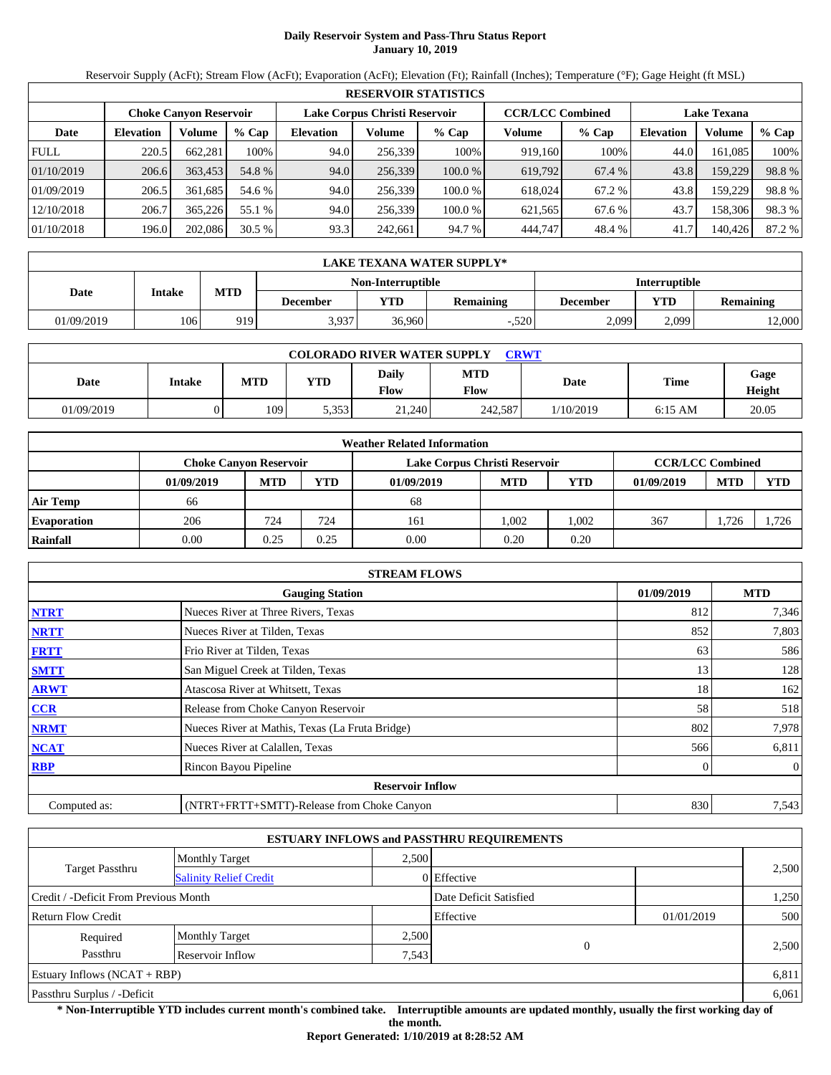# **Daily Reservoir System and Pass-Thru Status Report January 10, 2019**

Reservoir Supply (AcFt); Stream Flow (AcFt); Evaporation (AcFt); Elevation (Ft); Rainfall (Inches); Temperature (°F); Gage Height (ft MSL)

|             | <b>RESERVOIR STATISTICS</b> |                               |         |                               |         |         |                         |         |                    |         |        |  |
|-------------|-----------------------------|-------------------------------|---------|-------------------------------|---------|---------|-------------------------|---------|--------------------|---------|--------|--|
|             |                             | <b>Choke Canvon Reservoir</b> |         | Lake Corpus Christi Reservoir |         |         | <b>CCR/LCC Combined</b> |         | <b>Lake Texana</b> |         |        |  |
| Date        | <b>Elevation</b>            | Volume                        | $%$ Cap | <b>Elevation</b>              | Volume  | $%$ Cap | Volume                  | $%$ Cap | <b>Elevation</b>   | Volume  | % Cap  |  |
| <b>FULL</b> | 220.5                       | 662,281                       | 100%    | 94.0                          | 256,339 | 100%    | 919.160                 | 100%    | 44.0               | 161.085 | 100%   |  |
| 01/10/2019  | 206.6                       | 363.453                       | 54.8 %  | 94.0                          | 256,339 | 100.0 % | 619,792                 | 67.4 %  | 43.8               | 159,229 | 98.8%  |  |
| 01/09/2019  | 206.5                       | 361.685                       | 54.6 %  | 94.0                          | 256.339 | 100.0 % | 618,024                 | 67.2 %  | 43.8               | 159,229 | 98.8%  |  |
| 12/10/2018  | 206.7                       | 365,226                       | 55.1 %  | 94.0                          | 256.339 | 100.0 % | 621,565                 | 67.6 %  | 43.7               | 158.306 | 98.3 % |  |
| 01/10/2018  | 196.0                       | 202,086                       | 30.5%   | 93.3                          | 242,661 | 94.7 %  | 444.747                 | 48.4 %  | 41.7               | 140,426 | 87.2 % |  |

|            | LAKE TEXANA WATER SUPPLY* |            |                 |                   |                  |                      |       |           |  |  |  |
|------------|---------------------------|------------|-----------------|-------------------|------------------|----------------------|-------|-----------|--|--|--|
|            |                           |            |                 | Non-Interruptible |                  | <b>Interruptible</b> |       |           |  |  |  |
| Date       | Intake                    | <b>MTD</b> | <b>December</b> | <b>YTD</b>        | <b>Remaining</b> | <b>December</b>      | VTD   | Remaining |  |  |  |
| 01/09/2019 | 106                       | 919        | 3,937           | 36.960            | $-.520$          | 2.099                | 2.099 | 12,000    |  |  |  |

| <b>COLORADO RIVER WATER SUPPLY</b><br><b>CRWT</b> |        |            |            |               |                           |           |           |                |  |  |
|---------------------------------------------------|--------|------------|------------|---------------|---------------------------|-----------|-----------|----------------|--|--|
| Date                                              | Intake | <b>MTD</b> | <b>YTD</b> | Daily<br>Flow | <b>MTD</b><br><b>Flow</b> | Date      | Time      | Gage<br>Height |  |  |
| 01/09/2019                                        |        | 109        | 5,353      | 21.240        | 242,587                   | 1/10/2019 | $6:15$ AM | 20.05          |  |  |

|                    |                               |            |      | <b>Weather Related Information</b> |            |            |                         |            |            |
|--------------------|-------------------------------|------------|------|------------------------------------|------------|------------|-------------------------|------------|------------|
|                    | <b>Choke Canyon Reservoir</b> |            |      | Lake Corpus Christi Reservoir      |            |            | <b>CCR/LCC Combined</b> |            |            |
|                    | 01/09/2019                    | <b>MTD</b> | YTD  | 01/09/2019                         | <b>MTD</b> | <b>YTD</b> | 01/09/2019              | <b>MTD</b> | <b>YTD</b> |
| Air Temp           | 66                            |            |      | 68                                 |            |            |                         |            |            |
| <b>Evaporation</b> | 206                           | 724        | 724  | 161                                | 1.002      | .002       | 367                     | 1,726      | 1.726      |
| Rainfall           | 0.00                          | 0.25       | 0.25 | 0.00                               | 0.20       | 0.20       |                         |            |            |

|              | <b>STREAM FLOWS</b>                             |            |                |
|--------------|-------------------------------------------------|------------|----------------|
|              | <b>Gauging Station</b>                          | 01/09/2019 | <b>MTD</b>     |
| <b>NTRT</b>  | Nueces River at Three Rivers, Texas             | 812        | 7,346          |
| <b>NRTT</b>  | Nueces River at Tilden, Texas                   | 852        | 7,803          |
| <b>FRTT</b>  | Frio River at Tilden, Texas                     | 63         | 586            |
| <b>SMTT</b>  | San Miguel Creek at Tilden, Texas               | 13         | 128            |
| <b>ARWT</b>  | Atascosa River at Whitsett, Texas               | 18         | 162            |
| <b>CCR</b>   | Release from Choke Canyon Reservoir             | 58         | 518            |
| <b>NRMT</b>  | Nueces River at Mathis, Texas (La Fruta Bridge) | 802        | 7,978          |
| <b>NCAT</b>  | Nueces River at Calallen, Texas                 | 566        | 6,811          |
| <b>RBP</b>   | Rincon Bayou Pipeline                           |            | $\overline{0}$ |
|              | <b>Reservoir Inflow</b>                         |            |                |
| Computed as: | (NTRT+FRTT+SMTT)-Release from Choke Canyon      | 830        | 7,543          |

|                                                  |                       |       | <b>ESTUARY INFLOWS and PASSTHRU REQUIREMENTS</b> |            |       |
|--------------------------------------------------|-----------------------|-------|--------------------------------------------------|------------|-------|
|                                                  | <b>Monthly Target</b> | 2.500 |                                                  |            |       |
| Target Passthru<br><b>Salinity Relief Credit</b> |                       |       | 0 Effective                                      |            | 2,500 |
| Credit / -Deficit From Previous Month            |                       |       | Date Deficit Satisfied                           |            | 1,250 |
| <b>Return Flow Credit</b>                        |                       |       | Effective                                        | 01/01/2019 | 500   |
| Required                                         | <b>Monthly Target</b> | 2,500 |                                                  |            |       |
| Passthru                                         | Reservoir Inflow      | 7,543 | $\Omega$                                         |            | 2.500 |
| Estuary Inflows $(NCAT + RBP)$                   |                       |       |                                                  |            | 6,811 |
| Passthru Surplus / -Deficit                      |                       |       |                                                  |            | 6,061 |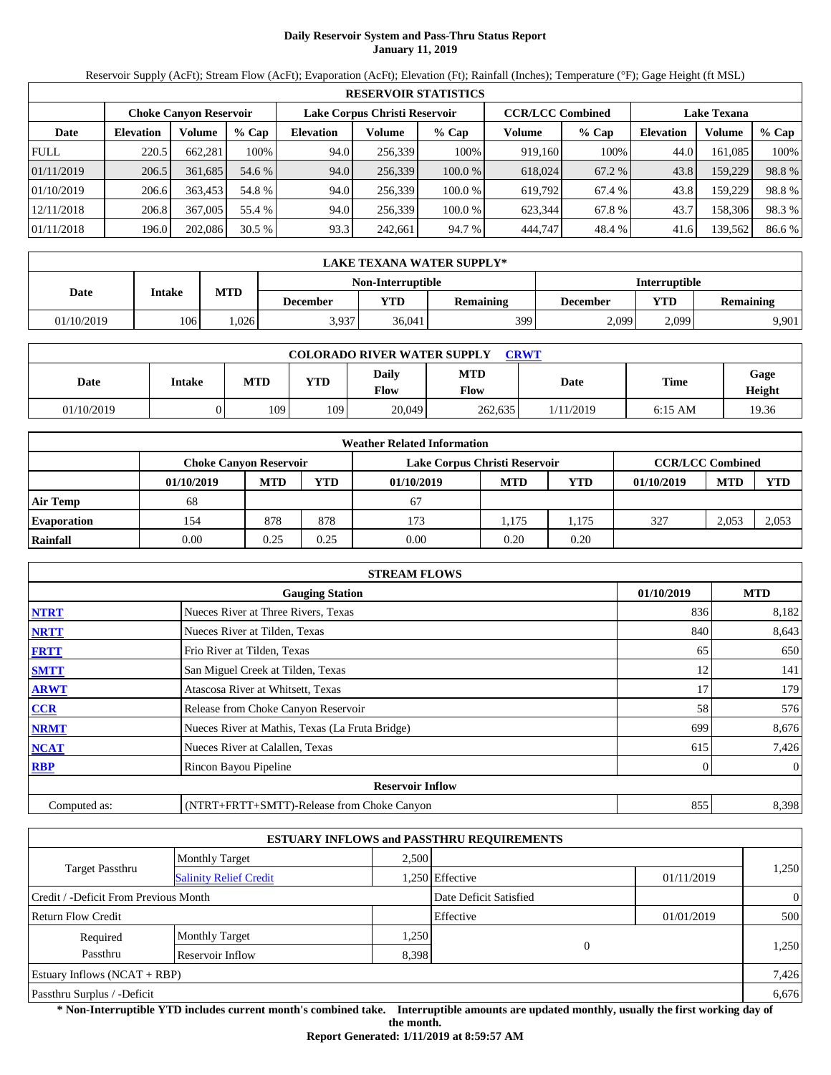# **Daily Reservoir System and Pass-Thru Status Report January 11, 2019**

Reservoir Supply (AcFt); Stream Flow (AcFt); Evaporation (AcFt); Elevation (Ft); Rainfall (Inches); Temperature (°F); Gage Height (ft MSL)

|             | <b>RESERVOIR STATISTICS</b> |                               |         |                               |         |         |                         |         |                    |         |        |  |
|-------------|-----------------------------|-------------------------------|---------|-------------------------------|---------|---------|-------------------------|---------|--------------------|---------|--------|--|
|             |                             | <b>Choke Canyon Reservoir</b> |         | Lake Corpus Christi Reservoir |         |         | <b>CCR/LCC Combined</b> |         | <b>Lake Texana</b> |         |        |  |
| Date        | <b>Elevation</b>            | Volume                        | $%$ Cap | <b>Elevation</b>              | Volume  | $%$ Cap | Volume                  | $%$ Cap | <b>Elevation</b>   | Volume  | % Cap  |  |
| <b>FULL</b> | 220.5                       | 662.281                       | 100%    | 94.0                          | 256,339 | 100%    | 919,160                 | 100%    | 44.0               | 161.085 | 100%   |  |
| 01/11/2019  | 206.5                       | 361,685                       | 54.6 %  | 94.0                          | 256,339 | 100.0 % | 618,024                 | 67.2 %  | 43.8               | 159,229 | 98.8%  |  |
| 01/10/2019  | 206.6                       | 363,453                       | 54.8 %  | 94.0                          | 256,339 | 100.0 % | 619.792                 | 67.4 %  | 43.8               | 159.229 | 98.8%  |  |
| 12/11/2018  | 206.8                       | 367,005                       | 55.4 %  | 94.0                          | 256,339 | 100.0%  | 623,344                 | 67.8%   | 43.7               | 158,306 | 98.3%  |  |
| 01/11/2018  | 196.0                       | 202,086                       | 30.5%   | 93.3                          | 242,661 | 94.7 %  | 444,747                 | 48.4 %  | 41.6               | 139,562 | 86.6 % |  |

|            | LAKE TEXANA WATER SUPPLY* |            |                 |                   |                  |          |                      |                  |  |  |  |
|------------|---------------------------|------------|-----------------|-------------------|------------------|----------|----------------------|------------------|--|--|--|
|            |                           |            |                 | Non-Interruptible |                  |          | <b>Interruptible</b> |                  |  |  |  |
| Date       | Intake                    | <b>MTD</b> | <b>December</b> | VTD-              | <b>Remaining</b> | December | YTD                  | <b>Remaining</b> |  |  |  |
| 01/10/2019 | 106                       | .026       | 3,937           | 36,041            | 3991             | 2,099    | 2.099                | 9,901            |  |  |  |

| <b>COLORADO RIVER WATER SUPPLY</b><br><b>CRWT</b> |               |            |     |                      |             |             |             |                       |  |  |
|---------------------------------------------------|---------------|------------|-----|----------------------|-------------|-------------|-------------|-----------------------|--|--|
| Date                                              | <b>Intake</b> | <b>MTD</b> | YTD | Daily<br><b>Flow</b> | MTD<br>Flow | <b>Date</b> | <b>Time</b> | Gage<br><b>Height</b> |  |  |
| 01/10/2019                                        |               | 109        | 109 | 20,049               | 262,635     | 1/11/2019   | $6:15$ AM   | 19.36                 |  |  |

|                    |                               |            |            | <b>Weather Related Information</b> |            |            |                         |            |            |
|--------------------|-------------------------------|------------|------------|------------------------------------|------------|------------|-------------------------|------------|------------|
|                    | <b>Choke Canvon Reservoir</b> |            |            | Lake Corpus Christi Reservoir      |            |            | <b>CCR/LCC Combined</b> |            |            |
|                    | 01/10/2019                    | <b>MTD</b> | <b>YTD</b> | 01/10/2019                         | <b>MTD</b> | <b>YTD</b> | 01/10/2019              | <b>MTD</b> | <b>YTD</b> |
| <b>Air Temp</b>    | 68                            |            |            | 67                                 |            |            |                         |            |            |
| <b>Evaporation</b> | 154                           | 878        | 878        | 173                                | 1.175      | .175       | 327                     | 2.053      | 2,053      |
| Rainfall           | 0.00                          | 0.25       | 0.25       | 0.00                               | 0.20       | 0.20       |                         |            |            |

|              | <b>STREAM FLOWS</b>                             |            |              |
|--------------|-------------------------------------------------|------------|--------------|
|              | <b>Gauging Station</b>                          | 01/10/2019 | <b>MTD</b>   |
| <b>NTRT</b>  | Nueces River at Three Rivers, Texas             | 836        | 8,182        |
| <b>NRTT</b>  | Nueces River at Tilden, Texas                   | 840        | 8,643        |
| <b>FRTT</b>  | Frio River at Tilden, Texas                     | 65         | 650          |
| <b>SMTT</b>  | San Miguel Creek at Tilden, Texas               | 12         | 141          |
| <b>ARWT</b>  | Atascosa River at Whitsett, Texas               | 17         | 179          |
| <b>CCR</b>   | Release from Choke Canyon Reservoir             | 58         | 576          |
| <b>NRMT</b>  | Nueces River at Mathis, Texas (La Fruta Bridge) | 699        | 8,676        |
| <b>NCAT</b>  | Nueces River at Calallen, Texas                 | 615        | 7,426        |
| <b>RBP</b>   | Rincon Bayou Pipeline                           | $\Omega$   | $\mathbf{0}$ |
|              | <b>Reservoir Inflow</b>                         |            |              |
| Computed as: | (NTRT+FRTT+SMTT)-Release from Choke Canyon      | 855        | 8,398        |

|                                       |                               |       | <b>ESTUARY INFLOWS and PASSTHRU REQUIREMENTS</b> |            |                |
|---------------------------------------|-------------------------------|-------|--------------------------------------------------|------------|----------------|
|                                       | <b>Monthly Target</b>         | 2.500 |                                                  |            |                |
| <b>Target Passthru</b>                | <b>Salinity Relief Credit</b> |       | .250 Effective                                   | 01/11/2019 | 1,250          |
| Credit / -Deficit From Previous Month |                               |       | Date Deficit Satisfied                           |            | $\overline{0}$ |
| <b>Return Flow Credit</b>             |                               |       | Effective                                        | 01/01/2019 | 500            |
| Required                              | <b>Monthly Target</b>         | .250  |                                                  |            |                |
| Passthru                              | Reservoir Inflow              | 8,398 | $\Omega$                                         |            | 1,250          |
| Estuary Inflows $(NCAT + RBP)$        |                               |       |                                                  |            | 7,426          |
| Passthru Surplus / -Deficit           |                               |       |                                                  |            | 6,676          |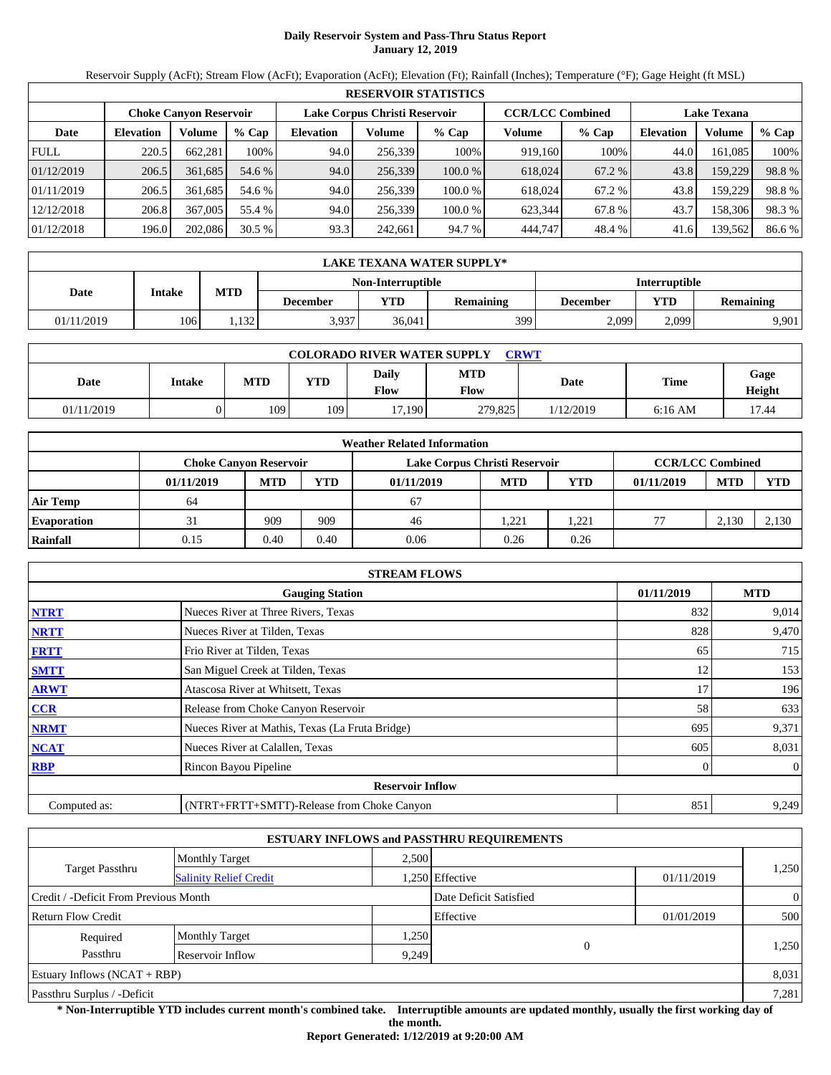# **Daily Reservoir System and Pass-Thru Status Report January 12, 2019**

Reservoir Supply (AcFt); Stream Flow (AcFt); Evaporation (AcFt); Elevation (Ft); Rainfall (Inches); Temperature (°F); Gage Height (ft MSL)

|             | <b>RESERVOIR STATISTICS</b> |                               |         |                  |                               |         |                         |         |                    |         |        |  |
|-------------|-----------------------------|-------------------------------|---------|------------------|-------------------------------|---------|-------------------------|---------|--------------------|---------|--------|--|
|             |                             | <b>Choke Canyon Reservoir</b> |         |                  | Lake Corpus Christi Reservoir |         | <b>CCR/LCC Combined</b> |         | <b>Lake Texana</b> |         |        |  |
| Date        | <b>Elevation</b>            | Volume                        | $%$ Cap | <b>Elevation</b> | Volume                        | % Cap   | Volume                  | $%$ Cap | <b>Elevation</b>   | Volume  | % Cap  |  |
| <b>FULL</b> | 220.5                       | 662.281                       | 100%    | 94.0             | 256.339                       | 100%    | 919.160                 | 100%    | 44.0               | 161.085 | 100%   |  |
| 01/12/2019  | 206.5                       | 361.685                       | 54.6 %  | 94.0             | 256,339                       | 100.0%  | 618,024                 | 67.2 %  | 43.8               | 159,229 | 98.8%  |  |
| 01/11/2019  | 206.5                       | 361.685                       | 54.6 %  | 94.0             | 256.339                       | 100.0 % | 618.024                 | 67.2 %  | 43.8               | 159.229 | 98.8%  |  |
| 12/12/2018  | 206.8                       | 367,005                       | 55.4 %  | 94.0             | 256.339                       | 100.0 % | 623.344                 | 67.8%   | 43.7               | 158.306 | 98.3 % |  |
| 01/12/2018  | 196.0                       | 202,086                       | 30.5%   | 93.3             | 242,661                       | 94.7 %  | 444,747                 | 48.4 %  | 41.6               | 139,562 | 86.6 % |  |

|            | LAKE TEXANA WATER SUPPLY* |                                           |                 |        |                  |          |       |                  |  |  |  |
|------------|---------------------------|-------------------------------------------|-----------------|--------|------------------|----------|-------|------------------|--|--|--|
|            |                           | <b>Interruptible</b><br>Non-Interruptible |                 |        |                  |          |       |                  |  |  |  |
| Date       | Intake                    | <b>MTD</b>                                | <b>December</b> | VTD-   | <b>Remaining</b> | December | YTD   | <b>Remaining</b> |  |  |  |
| 01/11/2019 | 106                       | 1.132                                     | 3,937           | 36,041 | 399              | 2,099    | 2.099 | 9,901            |  |  |  |

| <b>COLORADO RIVER WATER SUPPLY</b><br><b>CRWT</b> |               |            |            |               |             |           |             |                |  |  |
|---------------------------------------------------|---------------|------------|------------|---------------|-------------|-----------|-------------|----------------|--|--|
| Date                                              | <b>Intake</b> | <b>MTD</b> | <b>YTD</b> | Daily<br>Flow | MTD<br>Flow | Date      | <b>Time</b> | Gage<br>Height |  |  |
| 01/11/2019                                        |               | 109        | 109        | 17,190        | 279,825     | 1/12/2019 | $6:16$ AM   | 17.44          |  |  |

|                    |                               |            |      | <b>Weather Related Information</b> |            |                         |            |            |            |
|--------------------|-------------------------------|------------|------|------------------------------------|------------|-------------------------|------------|------------|------------|
|                    | <b>Choke Canyon Reservoir</b> |            |      | Lake Corpus Christi Reservoir      |            | <b>CCR/LCC Combined</b> |            |            |            |
|                    | 01/11/2019                    | <b>MTD</b> | YTD  | 01/11/2019                         | <b>MTD</b> | <b>YTD</b>              | 01/11/2019 | <b>MTD</b> | <b>YTD</b> |
| Air Temp           | 64                            |            |      | 67                                 |            |                         |            |            |            |
| <b>Evaporation</b> |                               | 909        | 909  | 46                                 | 1.221      | .221                    |            | 2.130      | 2,130      |
| Rainfall           | 0.15                          | 0.40       | 0.40 | 0.06                               | 0.26       | 0.26                    |            |            |            |

|              | <b>STREAM FLOWS</b>                             |            |                |
|--------------|-------------------------------------------------|------------|----------------|
|              | <b>Gauging Station</b>                          | 01/11/2019 | <b>MTD</b>     |
| <b>NTRT</b>  | Nueces River at Three Rivers, Texas             | 832        | 9,014          |
| <b>NRTT</b>  | Nueces River at Tilden, Texas                   | 828        | 9,470          |
| <b>FRTT</b>  | Frio River at Tilden, Texas                     | 65         | 715            |
| <b>SMTT</b>  | San Miguel Creek at Tilden, Texas               | 12         | 153            |
| <b>ARWT</b>  | Atascosa River at Whitsett, Texas               | 17         | 196            |
| CCR          | Release from Choke Canyon Reservoir             | 58         | 633            |
| <b>NRMT</b>  | Nueces River at Mathis, Texas (La Fruta Bridge) | 695        | 9,371          |
| <b>NCAT</b>  | Nueces River at Calallen, Texas                 | 605        | 8,031          |
| <b>RBP</b>   | Rincon Bayou Pipeline                           | 0          | $\overline{0}$ |
|              | <b>Reservoir Inflow</b>                         |            |                |
| Computed as: | (NTRT+FRTT+SMTT)-Release from Choke Canyon      | 851        | 9,249          |

|                                       |                                                         |       | <b>ESTUARY INFLOWS and PASSTHRU REQUIREMENTS</b> |            |                |
|---------------------------------------|---------------------------------------------------------|-------|--------------------------------------------------|------------|----------------|
|                                       | <b>Monthly Target</b>                                   | 2,500 |                                                  |            |                |
|                                       | <b>Target Passthru</b><br><b>Salinity Relief Credit</b> |       | .250 Effective                                   | 01/11/2019 | 1,250          |
| Credit / -Deficit From Previous Month |                                                         |       | Date Deficit Satisfied                           |            | $\overline{0}$ |
| <b>Return Flow Credit</b>             |                                                         |       | Effective                                        | 01/01/2019 | 500            |
| Required                              | <b>Monthly Target</b>                                   | 1,250 |                                                  |            |                |
| Passthru                              | Reservoir Inflow                                        | 9,249 | $\theta$                                         |            | 1,250          |
| Estuary Inflows $(NCAT + RBP)$        |                                                         |       |                                                  |            | 8,031          |
| Passthru Surplus / -Deficit           |                                                         |       |                                                  |            | 7,281          |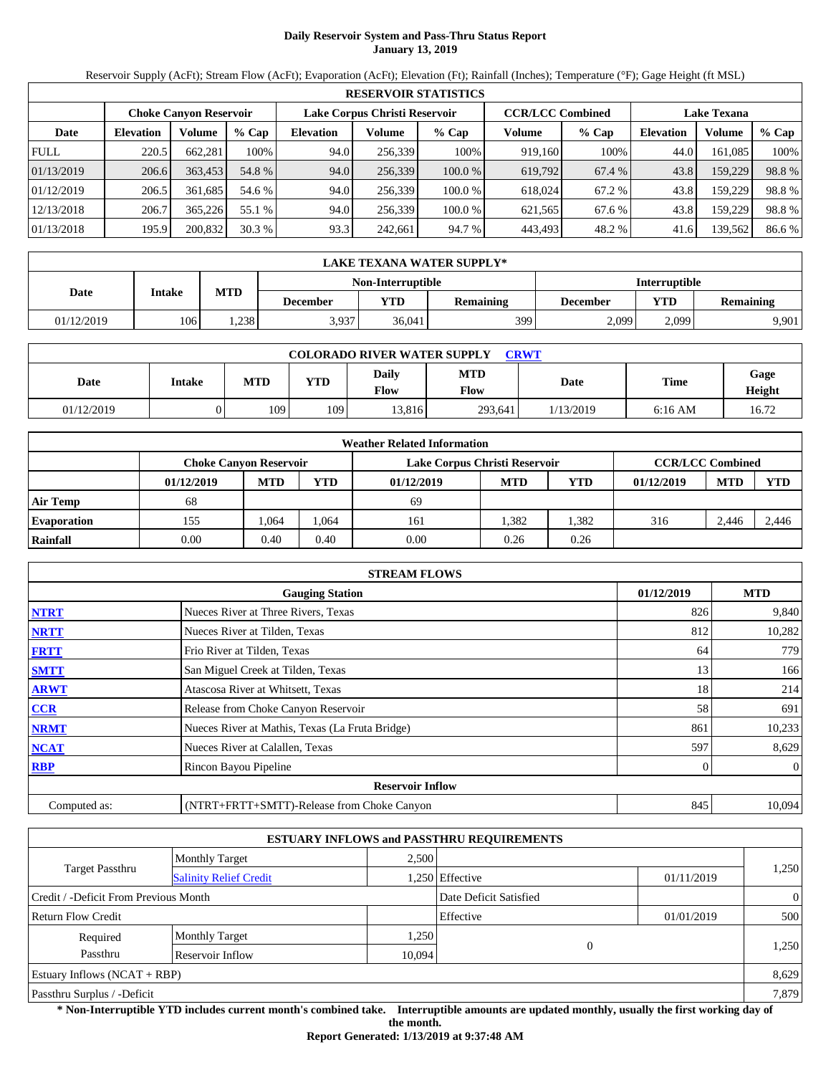# **Daily Reservoir System and Pass-Thru Status Report January 13, 2019**

Reservoir Supply (AcFt); Stream Flow (AcFt); Evaporation (AcFt); Elevation (Ft); Rainfall (Inches); Temperature (°F); Gage Height (ft MSL)

|             | <b>RESERVOIR STATISTICS</b>                                                               |         |         |                  |         |         |         |                    |                  |         |        |  |
|-------------|-------------------------------------------------------------------------------------------|---------|---------|------------------|---------|---------|---------|--------------------|------------------|---------|--------|--|
|             | <b>CCR/LCC Combined</b><br>Lake Corpus Christi Reservoir<br><b>Choke Canyon Reservoir</b> |         |         |                  |         |         |         | <b>Lake Texana</b> |                  |         |        |  |
| Date        | <b>Elevation</b>                                                                          | Volume  | $%$ Cap | <b>Elevation</b> | Volume  | $%$ Cap | Volume  | $%$ Cap            | <b>Elevation</b> | Volume  | % Cap  |  |
| <b>FULL</b> | 220.5                                                                                     | 662.281 | 100%    | 94.0             | 256.339 | 100%    | 919.160 | 100%               | 44.0             | 161.085 | 100%   |  |
| 01/13/2019  | 206.6                                                                                     | 363.453 | 54.8 %  | 94.0             | 256,339 | 100.0%  | 619,792 | 67.4 %             | 43.8             | 159,229 | 98.8%  |  |
| 01/12/2019  | 206.5                                                                                     | 361.685 | 54.6 %  | 94.0             | 256.339 | 100.0 % | 618.024 | 67.2 %             | 43.8             | 159.229 | 98.8%  |  |
| 12/13/2018  | 206.7                                                                                     | 365,226 | 55.1 %  | 94.0             | 256.339 | 100.0 % | 621.565 | 67.6 %             | 43.8             | 159.229 | 98.8%  |  |
| 01/13/2018  | 195.9                                                                                     | 200,832 | 30.3%   | 93.3             | 242,661 | 94.7 %  | 443,493 | 48.2 %             | 41.6             | 139,562 | 86.6 % |  |

|            | LAKE TEXANA WATER SUPPLY* |            |                 |                   |                  |                      |       |                  |  |  |  |
|------------|---------------------------|------------|-----------------|-------------------|------------------|----------------------|-------|------------------|--|--|--|
|            |                           |            |                 | Non-Interruptible |                  | <b>Interruptible</b> |       |                  |  |  |  |
| Date       | Intake                    | <b>MTD</b> | <b>December</b> | VTD-              | <b>Remaining</b> | December             | YTD   | <b>Remaining</b> |  |  |  |
| 01/12/2019 | 1061                      | .238       | 3,937           | 36,041            | 3991             | 2,099                | 2.099 | 9,901            |  |  |  |

| <b>COLORADO RIVER WATER SUPPLY</b><br><b>CRWT</b> |               |            |            |               |             |           |             |                       |  |  |  |
|---------------------------------------------------|---------------|------------|------------|---------------|-------------|-----------|-------------|-----------------------|--|--|--|
| Date                                              | <b>Intake</b> | <b>MTD</b> | <b>YTD</b> | Daily<br>Flow | MTD<br>Flow | Date      | <b>Time</b> | Gage<br><b>Height</b> |  |  |  |
| 01/12/2019                                        |               | 109        | 109        | 13.816        | 293.641     | 1/13/2019 | $6:16$ AM   | 16.72                 |  |  |  |

|                    | <b>Weather Related Information</b> |            |            |                               |            |            |                         |            |            |  |  |
|--------------------|------------------------------------|------------|------------|-------------------------------|------------|------------|-------------------------|------------|------------|--|--|
|                    | <b>Choke Canvon Reservoir</b>      |            |            | Lake Corpus Christi Reservoir |            |            | <b>CCR/LCC Combined</b> |            |            |  |  |
|                    | 01/12/2019                         | <b>MTD</b> | <b>YTD</b> | 01/12/2019                    | <b>MTD</b> | <b>YTD</b> | 01/12/2019              | <b>MTD</b> | <b>YTD</b> |  |  |
| <b>Air Temp</b>    | 68                                 |            |            | 69                            |            |            |                         |            |            |  |  |
| <b>Evaporation</b> | 155                                | .064       | .064       | 161                           | 1.382      | .382       | 316                     | 2.446      | 2.446      |  |  |
| Rainfall           | 0.00                               | 0.40       | 0.40       | 0.00                          | 0.26       | 0.26       |                         |            |            |  |  |

|              | <b>STREAM FLOWS</b>                             |              |              |
|--------------|-------------------------------------------------|--------------|--------------|
|              | <b>Gauging Station</b>                          | 01/12/2019   | <b>MTD</b>   |
| <b>NTRT</b>  | Nueces River at Three Rivers, Texas             | 826          | 9,840        |
| <b>NRTT</b>  | Nueces River at Tilden, Texas                   | 812          | 10,282       |
| <b>FRTT</b>  | Frio River at Tilden, Texas                     | 64           | 779          |
| <b>SMTT</b>  | San Miguel Creek at Tilden, Texas               | 13           | 166          |
| <b>ARWT</b>  | Atascosa River at Whitsett, Texas               | 18           | 214          |
| <b>CCR</b>   | Release from Choke Canyon Reservoir             | 58           | 691          |
| <b>NRMT</b>  | Nueces River at Mathis, Texas (La Fruta Bridge) | 861          | 10,233       |
| <b>NCAT</b>  | Nueces River at Calallen, Texas                 | 597          | 8,629        |
| <b>RBP</b>   | Rincon Bayou Pipeline                           | $\mathbf{0}$ | $\mathbf{0}$ |
|              | <b>Reservoir Inflow</b>                         |              |              |
| Computed as: | (NTRT+FRTT+SMTT)-Release from Choke Canyon      | 845          | 10,094       |

|                                       |                               |        | <b>ESTUARY INFLOWS and PASSTHRU REQUIREMENTS</b> |            |                |
|---------------------------------------|-------------------------------|--------|--------------------------------------------------|------------|----------------|
|                                       | <b>Monthly Target</b>         | 2,500  |                                                  |            |                |
| Target Passthru                       | <b>Salinity Relief Credit</b> |        | 1,250 Effective                                  | 01/11/2019 | 1,250          |
| Credit / -Deficit From Previous Month |                               |        | Date Deficit Satisfied                           |            | $\overline{0}$ |
| <b>Return Flow Credit</b>             |                               |        | Effective                                        | 01/01/2019 | 500            |
| Required                              | <b>Monthly Target</b>         | 1,250  |                                                  |            |                |
| Passthru                              | Reservoir Inflow              | 10,094 | $\overline{0}$                                   |            | 1,250          |
| Estuary Inflows $(NCAT + RBP)$        |                               |        |                                                  |            | 8,629          |
| Passthru Surplus / -Deficit           |                               |        |                                                  |            | 7,879          |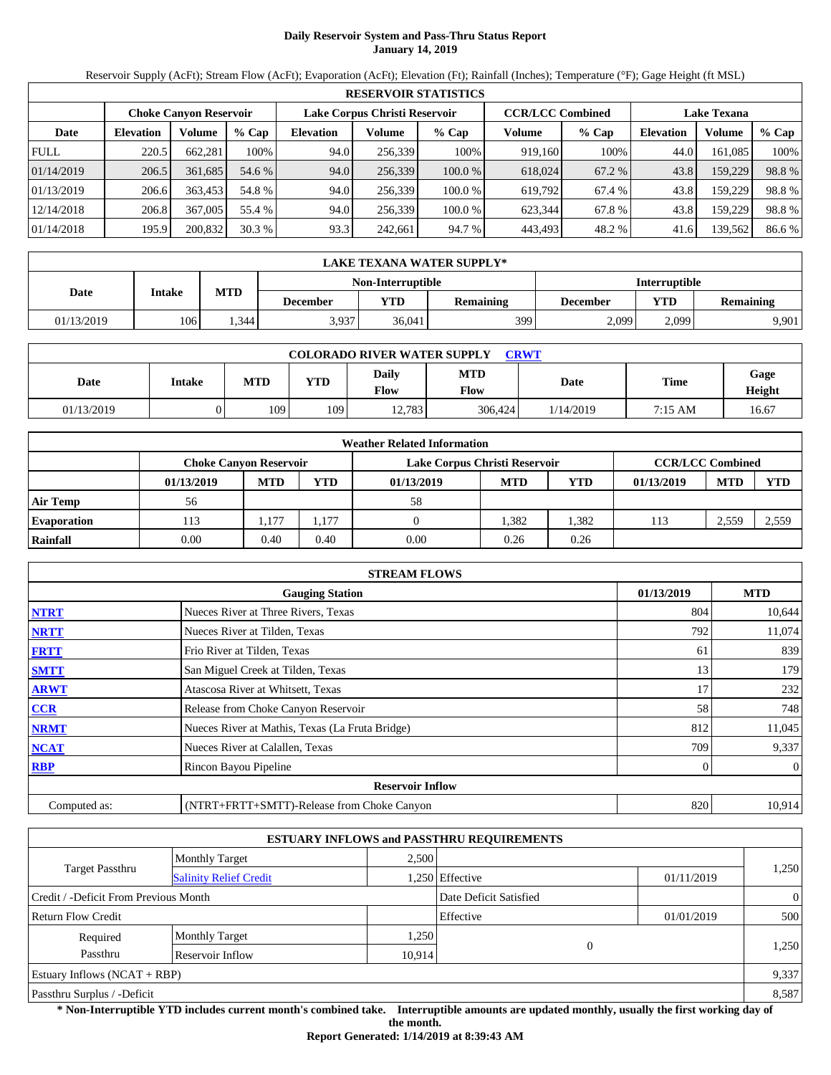# **Daily Reservoir System and Pass-Thru Status Report January 14, 2019**

Reservoir Supply (AcFt); Stream Flow (AcFt); Evaporation (AcFt); Elevation (Ft); Rainfall (Inches); Temperature (°F); Gage Height (ft MSL)

|             | <b>RESERVOIR STATISTICS</b>                                                               |         |         |                  |         |         |                    |         |                  |         |       |  |
|-------------|-------------------------------------------------------------------------------------------|---------|---------|------------------|---------|---------|--------------------|---------|------------------|---------|-------|--|
|             | Lake Corpus Christi Reservoir<br><b>CCR/LCC Combined</b><br><b>Choke Canvon Reservoir</b> |         |         |                  |         |         | <b>Lake Texana</b> |         |                  |         |       |  |
| Date        | <b>Elevation</b>                                                                          | Volume  | $%$ Cap | <b>Elevation</b> | Volume  | $%$ Cap | Volume             | $%$ Cap | <b>Elevation</b> | Volume  | % Cap |  |
| <b>FULL</b> | 220.5                                                                                     | 662,281 | 100%    | 94.0             | 256,339 | 100%    | 919,160            | 100%    | 44.0             | 161,085 | 100%  |  |
| 01/14/2019  | 206.5                                                                                     | 361.685 | 54.6 %  | 94.0             | 256,339 | 100.0%  | 618,024            | 67.2 %  | 43.8             | 159,229 | 98.8% |  |
| 01/13/2019  | 206.6                                                                                     | 363.453 | 54.8 %  | 94.0             | 256.339 | 100.0 % | 619,792            | 67.4 %  | 43.8             | 159,229 | 98.8% |  |
| 12/14/2018  | 206.8                                                                                     | 367,005 | 55.4 %  | 94.0             | 256,339 | 100.0 % | 623,344            | 67.8 %  | 43.8             | 159,229 | 98.8% |  |
| 01/14/2018  | 195.9                                                                                     | 200,832 | 30.3 %  | 93.3             | 242,661 | 94.7 %  | 443,493            | 48.2 %  | 41.6             | 139,562 | 86.6% |  |

|            | LAKE TEXANA WATER SUPPLY* |            |                 |                   |                      |          |       |                  |  |  |  |
|------------|---------------------------|------------|-----------------|-------------------|----------------------|----------|-------|------------------|--|--|--|
|            |                           |            |                 | Non-Interruptible | <b>Interruptible</b> |          |       |                  |  |  |  |
| Date       | Intake                    | <b>MTD</b> | <b>December</b> | VTD-              | <b>Remaining</b>     | December | YTD   | <b>Remaining</b> |  |  |  |
| 01/13/2019 | 106                       | .344       | 3,937           | 36,041            | 3991                 | 2,099    | 2.099 | 9,901            |  |  |  |

| <b>COLORADO RIVER WATER SUPPLY</b><br><b>CRWT</b> |               |            |            |               |             |           |             |                |  |  |  |
|---------------------------------------------------|---------------|------------|------------|---------------|-------------|-----------|-------------|----------------|--|--|--|
| Date                                              | <b>Intake</b> | <b>MTD</b> | <b>YTD</b> | Daily<br>Flow | MTD<br>Flow | Date      | <b>Time</b> | Gage<br>Height |  |  |  |
| 01/13/2019                                        |               | 109        | 109        | 12.783        | 306,424     | 1/14/2019 | 7:15 AM     | 16.67          |  |  |  |

|                    | <b>Weather Related Information</b> |            |            |                               |            |            |                         |            |            |  |  |
|--------------------|------------------------------------|------------|------------|-------------------------------|------------|------------|-------------------------|------------|------------|--|--|
|                    | <b>Choke Canvon Reservoir</b>      |            |            | Lake Corpus Christi Reservoir |            |            | <b>CCR/LCC Combined</b> |            |            |  |  |
|                    | 01/13/2019                         | <b>MTD</b> | <b>YTD</b> | 01/13/2019                    | <b>MTD</b> | <b>YTD</b> | 01/13/2019              | <b>MTD</b> | <b>YTD</b> |  |  |
| <b>Air Temp</b>    | 56                                 |            |            | 58                            |            |            |                         |            |            |  |  |
| <b>Evaporation</b> | 113                                | 1.177      | 1,177      |                               | 1.382      | .382       | 113                     | 2,559      | 2,559      |  |  |
| Rainfall           | 0.00                               | 0.40       | 0.40       | 0.00                          | 0.26       | 0.26       |                         |            |            |  |  |

|              | <b>STREAM FLOWS</b>                             |            |              |
|--------------|-------------------------------------------------|------------|--------------|
|              | <b>Gauging Station</b>                          | 01/13/2019 | <b>MTD</b>   |
| <b>NTRT</b>  | Nueces River at Three Rivers, Texas             | 804        | 10,644       |
| <b>NRTT</b>  | Nueces River at Tilden, Texas                   | 792        | 11,074       |
| <b>FRTT</b>  | Frio River at Tilden, Texas                     | 61         | 839          |
| <b>SMTT</b>  | San Miguel Creek at Tilden, Texas               | 13         | 179          |
| <b>ARWT</b>  | Atascosa River at Whitsett, Texas               | 17         | 232          |
| CCR          | Release from Choke Canyon Reservoir             | 58         | 748          |
| <b>NRMT</b>  | Nueces River at Mathis, Texas (La Fruta Bridge) | 812        | 11,045       |
| <b>NCAT</b>  | Nueces River at Calallen, Texas                 | 709        | 9,337        |
| <b>RBP</b>   | Rincon Bayou Pipeline                           | $\Omega$   | $\mathbf{0}$ |
|              | <b>Reservoir Inflow</b>                         |            |              |
| Computed as: | (NTRT+FRTT+SMTT)-Release from Choke Canyon      | 820        | 10.914       |

|                                       |                               |        | <b>ESTUARY INFLOWS and PASSTHRU REQUIREMENTS</b> |            |                |
|---------------------------------------|-------------------------------|--------|--------------------------------------------------|------------|----------------|
|                                       | <b>Monthly Target</b>         | 2,500  |                                                  |            |                |
| Target Passthru                       | <b>Salinity Relief Credit</b> |        | 1,250 Effective                                  | 01/11/2019 | 1,250          |
| Credit / -Deficit From Previous Month |                               |        | Date Deficit Satisfied                           |            | $\overline{0}$ |
| <b>Return Flow Credit</b>             |                               |        | Effective                                        | 01/01/2019 | 500            |
| Required                              | <b>Monthly Target</b>         | 1,250  |                                                  |            |                |
| Passthru                              | Reservoir Inflow              | 10,914 | $\overline{0}$                                   |            | 1,250          |
| Estuary Inflows $(NCAT + RBP)$        |                               |        |                                                  |            | 9,337          |
| Passthru Surplus / -Deficit           |                               |        |                                                  |            |                |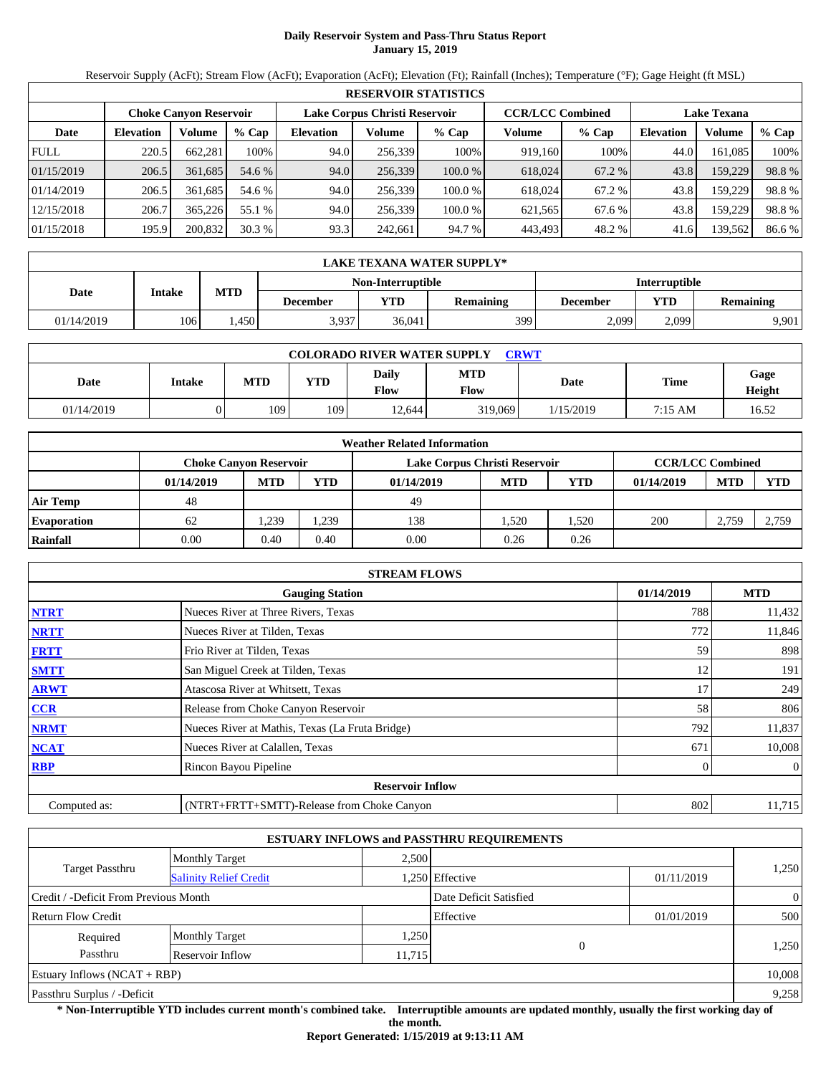# **Daily Reservoir System and Pass-Thru Status Report January 15, 2019**

Reservoir Supply (AcFt); Stream Flow (AcFt); Evaporation (AcFt); Elevation (Ft); Rainfall (Inches); Temperature (°F); Gage Height (ft MSL)

|             | <b>RESERVOIR STATISTICS</b> |                               |         |                  |                               |         |                         |         |                    |         |        |  |  |
|-------------|-----------------------------|-------------------------------|---------|------------------|-------------------------------|---------|-------------------------|---------|--------------------|---------|--------|--|--|
|             |                             | <b>Choke Canyon Reservoir</b> |         |                  | Lake Corpus Christi Reservoir |         | <b>CCR/LCC Combined</b> |         | <b>Lake Texana</b> |         |        |  |  |
| Date        | <b>Elevation</b>            | Volume                        | $%$ Cap | <b>Elevation</b> | Volume                        | % Cap   | Volume                  | $%$ Cap | <b>Elevation</b>   | Volume  | % Cap  |  |  |
| <b>FULL</b> | 220.5                       | 662.281                       | 100%    | 94.0             | 256.339                       | 100%    | 919.160                 | 100%    | 44.0               | 161.085 | 100%   |  |  |
| 01/15/2019  | 206.5                       | 361.685                       | 54.6 %  | 94.0             | 256,339                       | 100.0%  | 618,024                 | 67.2 %  | 43.8               | 159,229 | 98.8%  |  |  |
| 01/14/2019  | 206.5                       | 361.685                       | 54.6 %  | 94.0             | 256.339                       | 100.0 % | 618.024                 | 67.2 %  | 43.8               | 159.229 | 98.8%  |  |  |
| 12/15/2018  | 206.7                       | 365,226                       | 55.1 %  | 94.0             | 256.339                       | 100.0 % | 621.565                 | 67.6 %  | 43.8               | 159.229 | 98.8%  |  |  |
| 01/15/2018  | 195.9                       | 200,832                       | 30.3%   | 93.3             | 242,661                       | 94.7 %  | 443,493                 | 48.2 %  | 41.6               | 139,562 | 86.6 % |  |  |

|            | LAKE TEXANA WATER SUPPLY* |            |                 |                   |                  |                      |       |                  |  |  |  |
|------------|---------------------------|------------|-----------------|-------------------|------------------|----------------------|-------|------------------|--|--|--|
|            |                           |            |                 | Non-Interruptible |                  | <b>Interruptible</b> |       |                  |  |  |  |
| Date       | Intake                    | <b>MTD</b> | <b>December</b> | VTD               | <b>Remaining</b> | December             | YTD   | <b>Remaining</b> |  |  |  |
| 01/14/2019 | 106                       | .450       | 3,937           | 36,041            | 3991             | 2,099                | 2.099 | 9,901            |  |  |  |

| <b>COLORADO RIVER WATER SUPPLY</b><br><b>CRWT</b> |               |            |            |               |             |           |                   |                |  |  |
|---------------------------------------------------|---------------|------------|------------|---------------|-------------|-----------|-------------------|----------------|--|--|
| Date                                              | <b>Intake</b> | <b>MTD</b> | <b>YTD</b> | Daily<br>Flow | MTD<br>Flow | Date      | <b>Time</b>       | Gage<br>Height |  |  |
| 01/14/2019                                        |               | 109        | 109        | 12.644        | 319,069     | 1/15/2019 | $7:15 \text{ AM}$ | 16.52          |  |  |

|                    | <b>Weather Related Information</b> |                                                                                           |            |            |            |            |            |            |            |  |  |
|--------------------|------------------------------------|-------------------------------------------------------------------------------------------|------------|------------|------------|------------|------------|------------|------------|--|--|
|                    |                                    | <b>CCR/LCC Combined</b><br>Lake Corpus Christi Reservoir<br><b>Choke Canvon Reservoir</b> |            |            |            |            |            |            |            |  |  |
|                    | 01/14/2019                         | <b>MTD</b>                                                                                | <b>YTD</b> | 01/14/2019 | <b>MTD</b> | <b>YTD</b> | 01/14/2019 | <b>MTD</b> | <b>YTD</b> |  |  |
| <b>Air Temp</b>    | 48                                 |                                                                                           |            | 49         |            |            |            |            |            |  |  |
| <b>Evaporation</b> | 62                                 | .239                                                                                      | . 239      | 138        | .520       | .520       | 200        | 2,759      | 2.759      |  |  |
| Rainfall           | 0.00                               | 0.40                                                                                      | 0.40       | 0.00       | 0.26       | 0.26       |            |            |            |  |  |

|              | <b>STREAM FLOWS</b>                             |            |                |
|--------------|-------------------------------------------------|------------|----------------|
|              | <b>Gauging Station</b>                          | 01/14/2019 | <b>MTD</b>     |
| <b>NTRT</b>  | Nueces River at Three Rivers, Texas             | 788        | 11,432         |
| <b>NRTT</b>  | Nueces River at Tilden, Texas                   | 772        | 11,846         |
| <b>FRTT</b>  | Frio River at Tilden, Texas                     | 59         | 898            |
| <b>SMTT</b>  | San Miguel Creek at Tilden, Texas               | 12         | 191            |
| <b>ARWT</b>  | Atascosa River at Whitsett, Texas               | 17         | 249            |
| CCR          | Release from Choke Canyon Reservoir             | 58         | 806            |
| <b>NRMT</b>  | Nueces River at Mathis, Texas (La Fruta Bridge) | 792        | 11,837         |
| <b>NCAT</b>  | Nueces River at Calallen, Texas                 | 671        | 10,008         |
| <b>RBP</b>   | Rincon Bayou Pipeline                           |            | $\overline{0}$ |
|              | <b>Reservoir Inflow</b>                         |            |                |
| Computed as: | (NTRT+FRTT+SMTT)-Release from Choke Canyon      | 802        | 11,715         |

|                                       |                               |        | <b>ESTUARY INFLOWS and PASSTHRU REQUIREMENTS</b> |            |                |
|---------------------------------------|-------------------------------|--------|--------------------------------------------------|------------|----------------|
|                                       | <b>Monthly Target</b>         | 2,500  |                                                  |            |                |
| Target Passthru                       | <b>Salinity Relief Credit</b> |        | .250 Effective                                   | 01/11/2019 | 1,250          |
| Credit / -Deficit From Previous Month |                               |        | Date Deficit Satisfied                           |            | $\overline{0}$ |
| <b>Return Flow Credit</b>             |                               |        | Effective                                        | 01/01/2019 | 500            |
| Required                              | <b>Monthly Target</b>         | 1,250  |                                                  |            |                |
| Passthru                              | Reservoir Inflow              | 11,715 | $\Omega$                                         |            | 1,250          |
| Estuary Inflows $(NCAT + RBP)$        |                               |        |                                                  |            | 10,008         |
| Passthru Surplus / -Deficit           |                               |        |                                                  |            | 9,258          |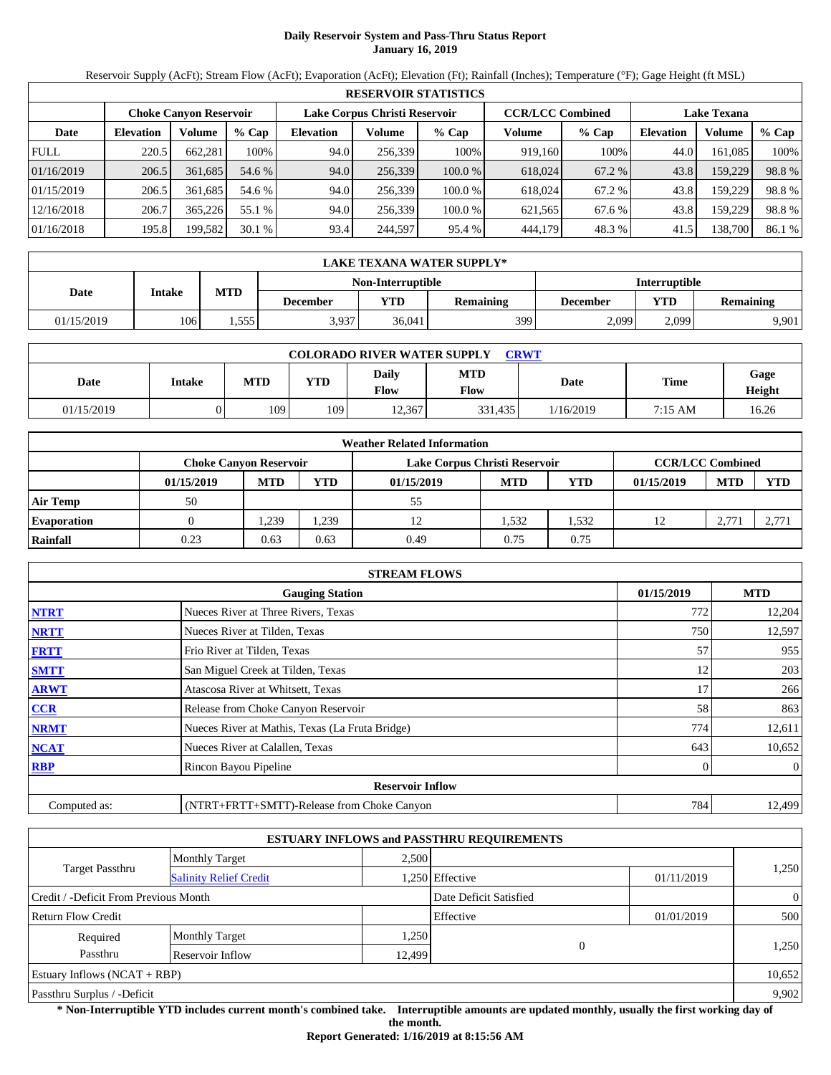# **Daily Reservoir System and Pass-Thru Status Report January 16, 2019**

Reservoir Supply (AcFt); Stream Flow (AcFt); Evaporation (AcFt); Elevation (Ft); Rainfall (Inches); Temperature (°F); Gage Height (ft MSL)

|             | <b>RESERVOIR STATISTICS</b> |                               |         |                               |         |         |                         |         |                    |         |        |  |
|-------------|-----------------------------|-------------------------------|---------|-------------------------------|---------|---------|-------------------------|---------|--------------------|---------|--------|--|
|             |                             | <b>Choke Canvon Reservoir</b> |         | Lake Corpus Christi Reservoir |         |         | <b>CCR/LCC Combined</b> |         | <b>Lake Texana</b> |         |        |  |
| Date        | <b>Elevation</b>            | Volume                        | $%$ Cap | <b>Elevation</b>              | Volume  | $%$ Cap | Volume                  | $%$ Cap | <b>Elevation</b>   | Volume  | % Cap  |  |
| <b>FULL</b> | 220.5                       | 662,281                       | 100%    | 94.0                          | 256,339 | 100%    | 919,160                 | 100%    | 44.0               | 161,085 | 100%   |  |
| 01/16/2019  | 206.5                       | 361.685                       | 54.6 %  | 94.0                          | 256,339 | 100.0%  | 618,024                 | 67.2 %  | 43.8               | 159,229 | 98.8%  |  |
| 01/15/2019  | 206.5                       | 361.685                       | 54.6 %  | 94.0                          | 256.339 | 100.0 % | 618,024                 | 67.2 %  | 43.8               | 159,229 | 98.8%  |  |
| 12/16/2018  | 206.7                       | 365,226                       | 55.1 %  | 94.0                          | 256,339 | 100.0 % | 621,565                 | 67.6 %  | 43.8               | 159,229 | 98.8%  |  |
| 01/16/2018  | 195.8                       | 199,582                       | 30.1%   | 93.4                          | 244,597 | 95.4 %  | 444,179                 | 48.3 %  | 41.5               | 138,700 | 86.1 % |  |

|            | LAKE TEXANA WATER SUPPLY* |            |                 |                   |                  |                      |                         |       |  |  |  |
|------------|---------------------------|------------|-----------------|-------------------|------------------|----------------------|-------------------------|-------|--|--|--|
|            |                           |            |                 | Non-Interruptible |                  | <b>Interruptible</b> |                         |       |  |  |  |
| Date       | Intake                    | <b>MTD</b> | <b>December</b> | VTD               | <b>Remaining</b> | December             | YTD<br><b>Remaining</b> |       |  |  |  |
| 01/15/2019 | 106                       | .555       | 3,937           | 36,041            | 3991             | 2,099                | 2.099                   | 9,901 |  |  |  |

| <b>COLORADO RIVER WATER SUPPLY</b><br><b>CRWT</b> |               |            |            |               |             |           |             |                |  |  |
|---------------------------------------------------|---------------|------------|------------|---------------|-------------|-----------|-------------|----------------|--|--|
| Date                                              | <b>Intake</b> | <b>MTD</b> | <b>YTD</b> | Daily<br>Flow | MTD<br>Flow | Date      | <b>Time</b> | Gage<br>Height |  |  |
| 01/15/2019                                        |               | 109        | 109        | 12.367        | 331.435     | 1/16/2019 | 7:15 AM     | 16.26          |  |  |

|                    | <b>Weather Related Information</b> |                                                                                           |            |            |            |            |            |            |            |  |  |  |
|--------------------|------------------------------------|-------------------------------------------------------------------------------------------|------------|------------|------------|------------|------------|------------|------------|--|--|--|
|                    |                                    | <b>CCR/LCC Combined</b><br>Lake Corpus Christi Reservoir<br><b>Choke Canvon Reservoir</b> |            |            |            |            |            |            |            |  |  |  |
|                    | 01/15/2019                         | <b>MTD</b>                                                                                | <b>YTD</b> | 01/15/2019 | <b>MTD</b> | <b>YTD</b> | 01/15/2019 | <b>MTD</b> | <b>YTD</b> |  |  |  |
| <b>Air Temp</b>    | 50                                 |                                                                                           |            | 55         |            |            |            |            |            |  |  |  |
| <b>Evaporation</b> |                                    | .239                                                                                      | . 239      |            | 1.532      | .532       | 12         | 2.771      | 2,77       |  |  |  |
| Rainfall           | 0.23                               | 0.63                                                                                      | 0.63       | 0.49       | 0.75       | 0.75       |            |            |            |  |  |  |

|              | <b>STREAM FLOWS</b>                             |     |                |  |  |  |  |  |
|--------------|-------------------------------------------------|-----|----------------|--|--|--|--|--|
|              | <b>Gauging Station</b>                          |     |                |  |  |  |  |  |
| <b>NTRT</b>  | Nueces River at Three Rivers, Texas             | 772 | 12,204         |  |  |  |  |  |
| <b>NRTT</b>  | Nueces River at Tilden, Texas                   | 750 | 12,597         |  |  |  |  |  |
| <b>FRTT</b>  | Frio River at Tilden, Texas                     | 57  | 955            |  |  |  |  |  |
| <b>SMTT</b>  | San Miguel Creek at Tilden, Texas               | 12  | 203            |  |  |  |  |  |
| <b>ARWT</b>  | Atascosa River at Whitsett, Texas               | 17  | 266            |  |  |  |  |  |
| CCR          | Release from Choke Canyon Reservoir             | 58  | 863            |  |  |  |  |  |
| <b>NRMT</b>  | Nueces River at Mathis, Texas (La Fruta Bridge) | 774 | 12,611         |  |  |  |  |  |
| <b>NCAT</b>  | Nueces River at Calallen, Texas                 | 643 | 10,652         |  |  |  |  |  |
| <b>RBP</b>   | Rincon Bayou Pipeline                           | 0   | $\overline{0}$ |  |  |  |  |  |
|              | <b>Reservoir Inflow</b>                         |     |                |  |  |  |  |  |
| Computed as: | (NTRT+FRTT+SMTT)-Release from Choke Canyon      | 784 | 12,499         |  |  |  |  |  |

|                                       |                               |        | <b>ESTUARY INFLOWS and PASSTHRU REQUIREMENTS</b> |            |                |  |
|---------------------------------------|-------------------------------|--------|--------------------------------------------------|------------|----------------|--|
|                                       | <b>Monthly Target</b>         | 2,500  |                                                  |            |                |  |
| Target Passthru                       | <b>Salinity Relief Credit</b> |        | .250 Effective                                   | 01/11/2019 | 1,250          |  |
| Credit / -Deficit From Previous Month |                               |        | Date Deficit Satisfied                           |            | $\overline{0}$ |  |
| <b>Return Flow Credit</b>             |                               |        | Effective                                        | 01/01/2019 | 500            |  |
| Required                              | <b>Monthly Target</b>         | 1,250  |                                                  |            |                |  |
| Passthru                              | Reservoir Inflow              | 12,499 | $\Omega$                                         |            | 1,250          |  |
| Estuary Inflows $(NCAT + RBP)$        |                               |        |                                                  |            | 10,652         |  |
| Passthru Surplus / -Deficit           |                               |        |                                                  |            | 9,902          |  |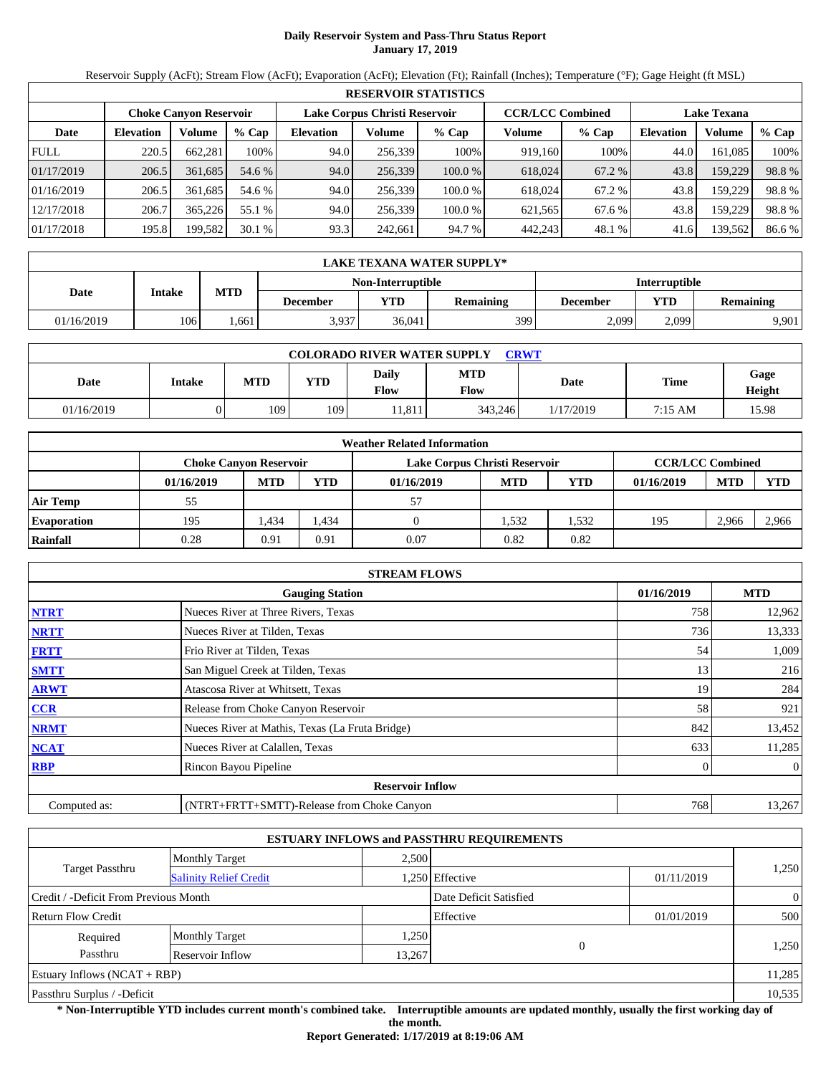# **Daily Reservoir System and Pass-Thru Status Report January 17, 2019**

Reservoir Supply (AcFt); Stream Flow (AcFt); Evaporation (AcFt); Elevation (Ft); Rainfall (Inches); Temperature (°F); Gage Height (ft MSL)

|             | <b>RESERVOIR STATISTICS</b> |                               |         |                               |         |         |                         |         |                    |         |        |  |
|-------------|-----------------------------|-------------------------------|---------|-------------------------------|---------|---------|-------------------------|---------|--------------------|---------|--------|--|
|             |                             | <b>Choke Canyon Reservoir</b> |         | Lake Corpus Christi Reservoir |         |         | <b>CCR/LCC Combined</b> |         | <b>Lake Texana</b> |         |        |  |
| Date        | <b>Elevation</b>            | Volume                        | $%$ Cap | <b>Elevation</b>              | Volume  | $%$ Cap | Volume                  | $%$ Cap | <b>Elevation</b>   | Volume  | % Cap  |  |
| <b>FULL</b> | 220.5                       | 662,281                       | 100%    | 94.0                          | 256,339 | 100%    | 919.160                 | 100%    | 44.0               | 161,085 | 100%   |  |
| 01/17/2019  | 206.5                       | 361,685                       | 54.6 %  | 94.0                          | 256.339 | 100.0 % | 618,024                 | 67.2 %  | 43.8               | 159,229 | 98.8%  |  |
| 01/16/2019  | 206.5                       | 361.685                       | 54.6 %  | 94.0                          | 256,339 | 100.0 % | 618,024                 | 67.2 %  | 43.8               | 159.229 | 98.8%  |  |
| 12/17/2018  | 206.7                       | 365,226                       | 55.1 %  | 94.0                          | 256.339 | 100.0 % | 621.565                 | 67.6 %  | 43.8               | 159.229 | 98.8%  |  |
| 01/17/2018  | 195.8                       | 199,582                       | 30.1%   | 93.3                          | 242.661 | 94.7 %  | 442,243                 | 48.1 %  | 41.6               | 139,562 | 86.6 % |  |

|            | LAKE TEXANA WATER SUPPLY* |            |                 |                   |                  |                      |                         |       |  |  |  |
|------------|---------------------------|------------|-----------------|-------------------|------------------|----------------------|-------------------------|-------|--|--|--|
|            |                           |            |                 | Non-Interruptible |                  | <b>Interruptible</b> |                         |       |  |  |  |
| Date       | Intake                    | <b>MTD</b> | <b>December</b> | VTD               | <b>Remaining</b> | December             | YTD<br><b>Remaining</b> |       |  |  |  |
| 01/16/2019 | 106                       | .661       | 3,937           | 36,041            | 3991             | 2,099                | 2.099                   | 9,901 |  |  |  |

| <b>COLORADO RIVER WATER SUPPLY</b><br><b>CRWT</b> |               |            |     |                      |                    |             |                   |                       |  |  |
|---------------------------------------------------|---------------|------------|-----|----------------------|--------------------|-------------|-------------------|-----------------------|--|--|
| Date                                              | <b>Intake</b> | <b>MTD</b> | YTD | Daily<br><b>Flow</b> | <b>MTD</b><br>Flow | <b>Date</b> | <b>Time</b>       | Gage<br><b>Height</b> |  |  |
| 01/16/2019                                        |               | 109        | 109 | 11.811               | 343.246            | 1/17/2019   | $7:15 \text{ AM}$ | 15.98                 |  |  |

|                    |                               |            |            | <b>Weather Related Information</b> |            |      |                         |            |            |
|--------------------|-------------------------------|------------|------------|------------------------------------|------------|------|-------------------------|------------|------------|
|                    | <b>Choke Canvon Reservoir</b> |            |            | Lake Corpus Christi Reservoir      |            |      | <b>CCR/LCC Combined</b> |            |            |
|                    | 01/16/2019                    | <b>MTD</b> | <b>YTD</b> | 01/16/2019                         | <b>MTD</b> | YTD  | 01/16/2019              | <b>MTD</b> | <b>YTD</b> |
| <b>Air Temp</b>    | 55                            |            |            | 57                                 |            |      |                         |            |            |
| <b>Evaporation</b> | 195                           | .434       | 1.434      |                                    | .532       | .532 | 195                     | 2.966      | 2,966      |
| Rainfall           | 0.28                          | 0.91       | 0.91       | 0.07                               | 0.82       | 0.82 |                         |            |            |

|              | <b>STREAM FLOWS</b>                             |            |                |
|--------------|-------------------------------------------------|------------|----------------|
|              | <b>Gauging Station</b>                          | 01/16/2019 | <b>MTD</b>     |
| <b>NTRT</b>  | Nueces River at Three Rivers, Texas             | 758        | 12,962         |
| <b>NRTT</b>  | Nueces River at Tilden, Texas                   | 736        | 13,333         |
| <b>FRTT</b>  | Frio River at Tilden, Texas                     | 54         | 1,009          |
| <b>SMTT</b>  | San Miguel Creek at Tilden, Texas               | 13         | 216            |
| <b>ARWT</b>  | Atascosa River at Whitsett, Texas               | 19         | 284            |
| CCR          | Release from Choke Canyon Reservoir             | 58         | 921            |
| <b>NRMT</b>  | Nueces River at Mathis, Texas (La Fruta Bridge) | 842        | 13,452         |
| <b>NCAT</b>  | Nueces River at Calallen, Texas                 | 633        | 11,285         |
| <b>RBP</b>   | Rincon Bayou Pipeline                           | 0          | $\overline{0}$ |
|              | <b>Reservoir Inflow</b>                         |            |                |
| Computed as: | (NTRT+FRTT+SMTT)-Release from Choke Canyon      | 768        | 13,267         |

|                                                         |                       |        | <b>ESTUARY INFLOWS and PASSTHRU REQUIREMENTS</b> |            |                |
|---------------------------------------------------------|-----------------------|--------|--------------------------------------------------|------------|----------------|
|                                                         | <b>Monthly Target</b> | 2.500  |                                                  |            |                |
| <b>Target Passthru</b><br><b>Salinity Relief Credit</b> |                       |        | 1,250 Effective                                  | 01/11/2019 | 1,250          |
| Credit / -Deficit From Previous Month                   |                       |        | Date Deficit Satisfied                           |            | $\overline{0}$ |
| <b>Return Flow Credit</b>                               |                       |        | Effective                                        | 01/01/2019 | 500            |
| Required                                                | <b>Monthly Target</b> | 1,250  |                                                  |            |                |
| Passthru                                                | Reservoir Inflow      | 13,267 | $\Omega$                                         |            | 1,250          |
| Estuary Inflows $(NCAT + RBP)$                          |                       |        |                                                  |            | 11,285         |
| Passthru Surplus / -Deficit                             |                       |        |                                                  |            | 10,535         |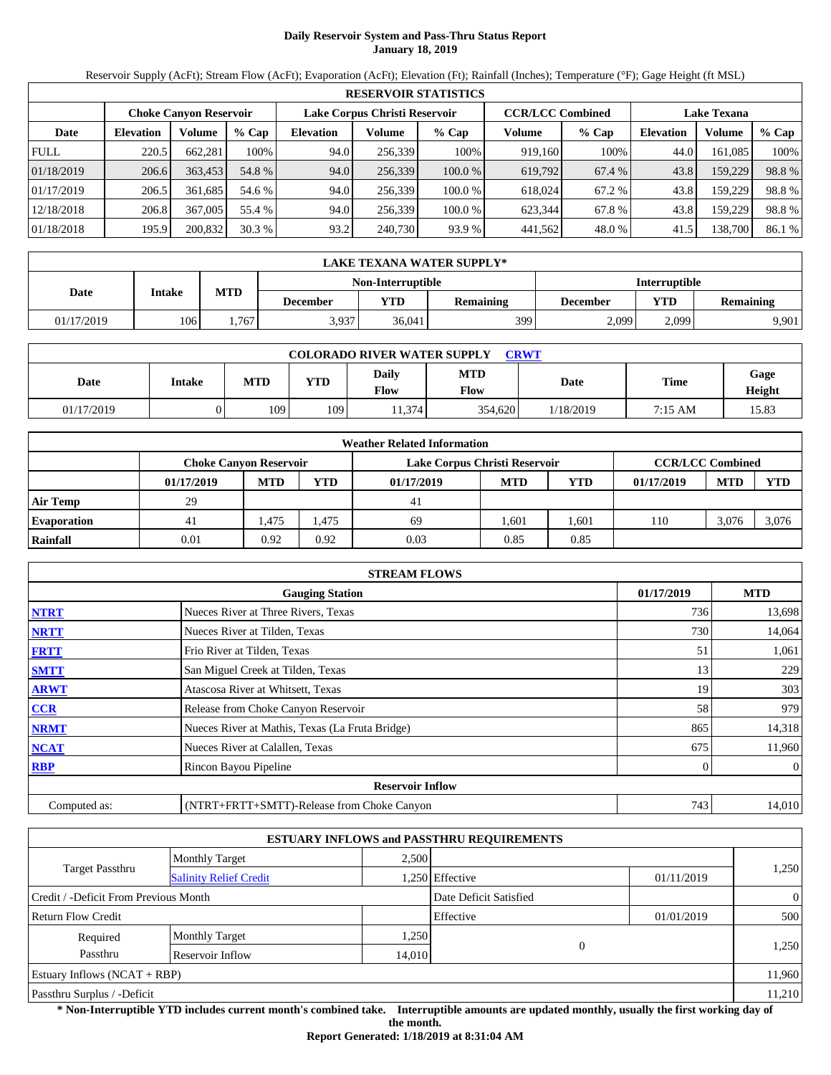# **Daily Reservoir System and Pass-Thru Status Report January 18, 2019**

Reservoir Supply (AcFt); Stream Flow (AcFt); Evaporation (AcFt); Elevation (Ft); Rainfall (Inches); Temperature (°F); Gage Height (ft MSL)

|             | <b>RESERVOIR STATISTICS</b> |                               |         |                  |                               |         |                         |         |                    |         |        |  |  |
|-------------|-----------------------------|-------------------------------|---------|------------------|-------------------------------|---------|-------------------------|---------|--------------------|---------|--------|--|--|
|             |                             | <b>Choke Canyon Reservoir</b> |         |                  | Lake Corpus Christi Reservoir |         | <b>CCR/LCC Combined</b> |         | <b>Lake Texana</b> |         |        |  |  |
| Date        | <b>Elevation</b>            | Volume                        | $%$ Cap | <b>Elevation</b> | Volume                        | $%$ Cap | Volume                  | $%$ Cap | Elevation          | Volume  | % Cap  |  |  |
| <b>FULL</b> | 220.5                       | 662,281                       | 100%    | 94.0             | 256,339                       | 100%    | 919.160                 | 100%    | 44.0               | 161.085 | 100%   |  |  |
| 01/18/2019  | 206.6                       | 363.453                       | 54.8 %  | 94.0             | 256,339                       | 100.0 % | 619.792                 | 67.4 %  | 43.8               | 159,229 | 98.8%  |  |  |
| 01/17/2019  | 206.5                       | 361.685                       | 54.6 %  | 94.0             | 256.339                       | 100.0 % | 618,024                 | 67.2 %  | 43.8               | 159,229 | 98.8%  |  |  |
| 12/18/2018  | 206.8                       | 367,005                       | 55.4 %  | 94.0             | 256.339                       | 100.0 % | 623.344                 | 67.8%   | 43.8               | 159,229 | 98.8%  |  |  |
| 01/18/2018  | 195.9                       | 200.832                       | 30.3%   | 93.2             | 240,730                       | 93.9 %  | 441.562                 | 48.0 %  | 41.5               | 138,700 | 86.1 % |  |  |

|            | LAKE TEXANA WATER SUPPLY* |            |                   |                      |                  |          |                         |       |  |  |  |
|------------|---------------------------|------------|-------------------|----------------------|------------------|----------|-------------------------|-------|--|--|--|
|            |                           |            | Non-Interruptible | <b>Interruptible</b> |                  |          |                         |       |  |  |  |
| Date       | Intake                    | <b>MTD</b> | <b>December</b>   | VTD-                 | <b>Remaining</b> | December | YTD<br><b>Remaining</b> |       |  |  |  |
| 01/17/2019 | 106                       | .767       | 3,937             | 36,041               | 3991             | 2,099    | 2.099                   | 9,901 |  |  |  |

| <b>COLORADO RIVER WATER SUPPLY</b><br><b>CRWT</b> |               |            |     |               |             |           |                   |                       |  |  |
|---------------------------------------------------|---------------|------------|-----|---------------|-------------|-----------|-------------------|-----------------------|--|--|
| Date                                              | <b>Intake</b> | <b>MTD</b> | YTD | Daily<br>Flow | MTD<br>Flow | Date      | <b>Time</b>       | Gage<br><b>Height</b> |  |  |
| 01/17/2019                                        |               | 109        | 109 | 11,374        | 354.620     | 1/18/2019 | $7:15 \text{ AM}$ | 15.83                 |  |  |

|                    |                               |            |            | <b>Weather Related Information</b> |            |                         |            |            |            |
|--------------------|-------------------------------|------------|------------|------------------------------------|------------|-------------------------|------------|------------|------------|
|                    | <b>Choke Canvon Reservoir</b> |            |            | Lake Corpus Christi Reservoir      |            | <b>CCR/LCC Combined</b> |            |            |            |
|                    | 01/17/2019                    | <b>MTD</b> | <b>YTD</b> | 01/17/2019                         | <b>MTD</b> | <b>YTD</b>              | 01/17/2019 | <b>MTD</b> | <b>YTD</b> |
| <b>Air Temp</b>    | 29                            |            |            | 41                                 |            |                         |            |            |            |
| <b>Evaporation</b> | 41                            | .475       | 1.475      | 69                                 | 1.601      | .601                    | 110        | 3.076      | 3,076      |
| Rainfall           | 0.01                          | 0.92       | 0.92       | 0.03                               | 0.85       | 0.85                    |            |            |            |

|              | <b>STREAM FLOWS</b>                             |            |                |
|--------------|-------------------------------------------------|------------|----------------|
|              | <b>Gauging Station</b>                          | 01/17/2019 | <b>MTD</b>     |
| <b>NTRT</b>  | Nueces River at Three Rivers, Texas             | 736        | 13,698         |
| <b>NRTT</b>  | Nueces River at Tilden, Texas                   | 730        | 14,064         |
| <b>FRTT</b>  | Frio River at Tilden, Texas                     | 51         | 1,061          |
| <b>SMTT</b>  | San Miguel Creek at Tilden, Texas               | 13         | 229            |
| <b>ARWT</b>  | Atascosa River at Whitsett, Texas               | 19         | 303            |
| <b>CCR</b>   | Release from Choke Canyon Reservoir             | 58         | 979            |
| <b>NRMT</b>  | Nueces River at Mathis, Texas (La Fruta Bridge) | 865        | 14,318         |
| <b>NCAT</b>  | Nueces River at Calallen, Texas                 | 675        | 11,960         |
| <b>RBP</b>   | Rincon Bayou Pipeline                           |            | $\overline{0}$ |
|              | <b>Reservoir Inflow</b>                         |            |                |
| Computed as: | (NTRT+FRTT+SMTT)-Release from Choke Canyon      | 743        | 14,010         |

|                                                         |                       |        | <b>ESTUARY INFLOWS and PASSTHRU REQUIREMENTS</b> |            |                |
|---------------------------------------------------------|-----------------------|--------|--------------------------------------------------|------------|----------------|
|                                                         | <b>Monthly Target</b> | 2.500  |                                                  |            |                |
| <b>Target Passthru</b><br><b>Salinity Relief Credit</b> |                       |        | .250 Effective                                   | 01/11/2019 | 1,250          |
| Credit / -Deficit From Previous Month                   |                       |        | Date Deficit Satisfied                           |            | $\overline{0}$ |
| <b>Return Flow Credit</b>                               |                       |        | Effective                                        | 01/01/2019 | 500            |
| Required                                                | <b>Monthly Target</b> | 1,250  |                                                  |            |                |
| Passthru                                                | Reservoir Inflow      | 14,010 | $\Omega$                                         |            | 1,250          |
| Estuary Inflows $(NCAT + RBP)$                          |                       |        |                                                  |            | 11,960         |
| Passthru Surplus / -Deficit                             |                       |        |                                                  |            | 11,210         |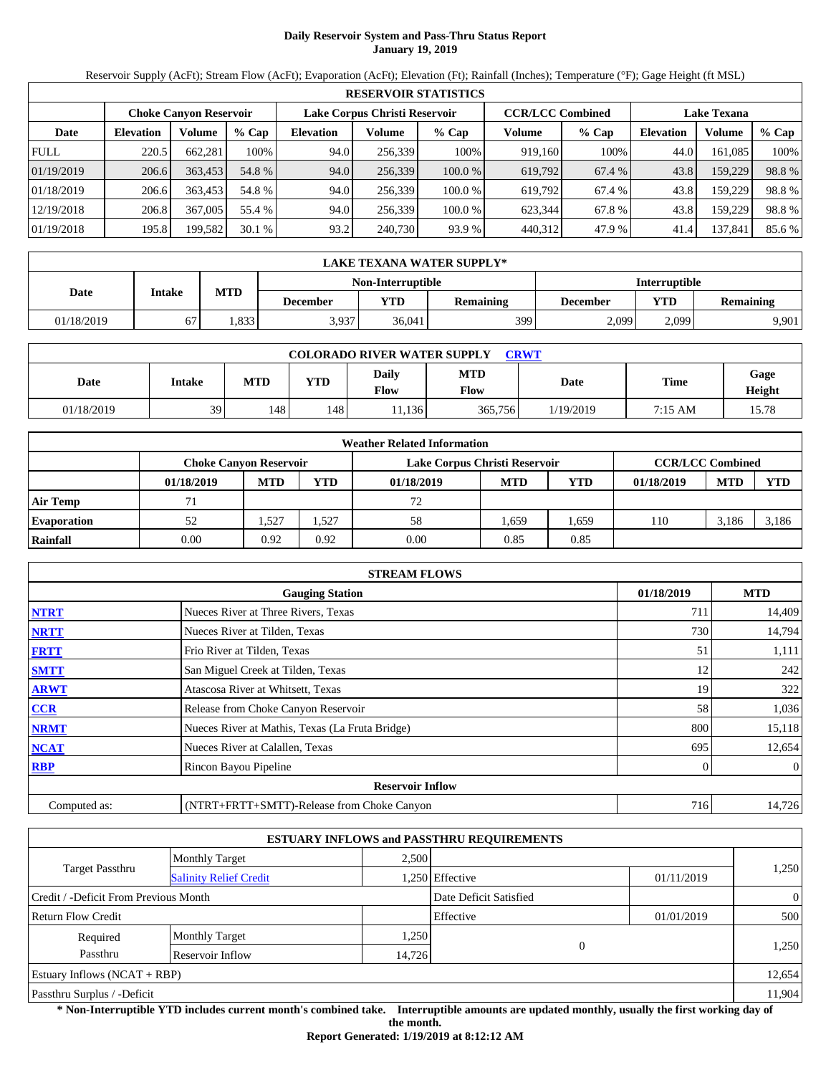# **Daily Reservoir System and Pass-Thru Status Report January 19, 2019**

Reservoir Supply (AcFt); Stream Flow (AcFt); Evaporation (AcFt); Elevation (Ft); Rainfall (Inches); Temperature (°F); Gage Height (ft MSL)

|             | <b>RESERVOIR STATISTICS</b> |                               |         |                               |         |         |                         |         |                    |         |        |  |  |
|-------------|-----------------------------|-------------------------------|---------|-------------------------------|---------|---------|-------------------------|---------|--------------------|---------|--------|--|--|
|             |                             | <b>Choke Canvon Reservoir</b> |         | Lake Corpus Christi Reservoir |         |         | <b>CCR/LCC Combined</b> |         | <b>Lake Texana</b> |         |        |  |  |
| Date        | <b>Elevation</b>            | Volume                        | $%$ Cap | <b>Elevation</b>              | Volume  | $%$ Cap | Volume                  | $%$ Cap | <b>Elevation</b>   | Volume  | % Cap  |  |  |
| <b>FULL</b> | 220.5                       | 662.281                       | 100%    | 94.0                          | 256,339 | 100%    | 919.160                 | 100%    | 44.0               | 161,085 | 100%   |  |  |
| 01/19/2019  | 206.6                       | 363,453                       | 54.8 %  | 94.0                          | 256.339 | 100.0%  | 619.792                 | 67.4 %  | 43.8               | 159,229 | 98.8%  |  |  |
| 01/18/2019  | 206.6                       | 363.453                       | 54.8 %  | 94.0                          | 256,339 | 100.0%  | 619.792                 | 67.4 %  | 43.8               | 159,229 | 98.8%  |  |  |
| 12/19/2018  | 206.8                       | 367,005                       | 55.4 %  | 94.0                          | 256.339 | 100.0%  | 623.344                 | 67.8 %  | 43.8               | 159,229 | 98.8%  |  |  |
| 01/19/2018  | 195.8                       | 199,582                       | 30.1%   | 93.2                          | 240,730 | 93.9 %  | 440,312                 | 47.9 %  | 41.4               | 137,841 | 85.6 % |  |  |

|            | LAKE TEXANA WATER SUPPLY* |                      |                                                                                   |        |     |       |       |       |  |  |  |
|------------|---------------------------|----------------------|-----------------------------------------------------------------------------------|--------|-----|-------|-------|-------|--|--|--|
|            |                           | <b>Interruptible</b> |                                                                                   |        |     |       |       |       |  |  |  |
| Date       | Intake                    | <b>MTD</b>           | YTD<br>YTD<br><b>Remaining</b><br><b>Remaining</b><br><b>December</b><br>December |        |     |       |       |       |  |  |  |
| 01/18/2019 |                           | .833                 | 3,937                                                                             | 36.041 | 399 | 2,099 | 2,099 | 9.901 |  |  |  |

| <b>COLORADO RIVER WATER SUPPLY</b><br><b>CRWT</b> |               |            |            |               |             |           |                   |                |  |  |  |
|---------------------------------------------------|---------------|------------|------------|---------------|-------------|-----------|-------------------|----------------|--|--|--|
| Date                                              | <b>Intake</b> | <b>MTD</b> | <b>YTD</b> | Daily<br>Flow | MTD<br>Flow | Date      | <b>Time</b>       | Gage<br>Height |  |  |  |
| 01/18/2019                                        | 39            | 148        | 148        | 11.136        | 365,756     | 1/19/2019 | $7:15 \text{ AM}$ | 15.78          |  |  |  |

|                    | <b>Weather Related Information</b> |            |            |            |                               |            |            |            |                         |  |  |
|--------------------|------------------------------------|------------|------------|------------|-------------------------------|------------|------------|------------|-------------------------|--|--|
|                    | <b>Choke Canvon Reservoir</b>      |            |            |            | Lake Corpus Christi Reservoir |            |            |            | <b>CCR/LCC Combined</b> |  |  |
|                    | 01/18/2019                         | <b>MTD</b> | <b>YTD</b> | 01/18/2019 | <b>MTD</b>                    | <b>YTD</b> | 01/18/2019 | <b>MTD</b> | <b>YTD</b>              |  |  |
| <b>Air Temp</b>    |                                    |            |            | 72         |                               |            |            |            |                         |  |  |
| <b>Evaporation</b> | 52                                 | .527       | 1,527      | 58         | 1.659                         | .659       | 110        | 3.186      | 3,186                   |  |  |
| Rainfall           | 0.00                               | 0.92       | 0.92       | 0.00       | 0.85                          | 0.85       |            |            |                         |  |  |

|              | <b>STREAM FLOWS</b>                             |     |                |  |  |  |  |  |
|--------------|-------------------------------------------------|-----|----------------|--|--|--|--|--|
|              | <b>Gauging Station</b>                          |     |                |  |  |  |  |  |
| <b>NTRT</b>  | Nueces River at Three Rivers, Texas             | 711 | 14,409         |  |  |  |  |  |
| <b>NRTT</b>  | Nueces River at Tilden, Texas                   | 730 | 14,794         |  |  |  |  |  |
| <b>FRTT</b>  | Frio River at Tilden, Texas                     | 51  | 1,111          |  |  |  |  |  |
| <b>SMTT</b>  | San Miguel Creek at Tilden, Texas               | 12  | 242            |  |  |  |  |  |
| <b>ARWT</b>  | Atascosa River at Whitsett, Texas               | 19  | 322            |  |  |  |  |  |
| <b>CCR</b>   | Release from Choke Canyon Reservoir             | 58  | 1,036          |  |  |  |  |  |
| <b>NRMT</b>  | Nueces River at Mathis, Texas (La Fruta Bridge) | 800 | 15,118         |  |  |  |  |  |
| <b>NCAT</b>  | Nueces River at Calallen, Texas                 | 695 | 12,654         |  |  |  |  |  |
| <b>RBP</b>   | Rincon Bayou Pipeline                           | 0   | $\overline{0}$ |  |  |  |  |  |
|              | <b>Reservoir Inflow</b>                         |     |                |  |  |  |  |  |
| Computed as: | (NTRT+FRTT+SMTT)-Release from Choke Canyon      | 716 | 14,726         |  |  |  |  |  |

|                                                         |                       |        | <b>ESTUARY INFLOWS and PASSTHRU REQUIREMENTS</b> |            |                |
|---------------------------------------------------------|-----------------------|--------|--------------------------------------------------|------------|----------------|
|                                                         | <b>Monthly Target</b> | 2.500  |                                                  |            |                |
| <b>Target Passthru</b><br><b>Salinity Relief Credit</b> |                       |        | 1,250 Effective                                  | 01/11/2019 | 1,250          |
| Credit / -Deficit From Previous Month                   |                       |        | Date Deficit Satisfied                           |            | $\overline{0}$ |
| <b>Return Flow Credit</b>                               |                       |        | Effective                                        | 01/01/2019 | 500            |
| Required                                                | <b>Monthly Target</b> | 1,250  |                                                  |            |                |
| Passthru                                                | Reservoir Inflow      | 14,726 | $\Omega$                                         |            | 1,250          |
| Estuary Inflows $(NCAT + RBP)$                          |                       |        |                                                  |            | 12,654         |
| Passthru Surplus / -Deficit                             |                       |        |                                                  |            | 11,904         |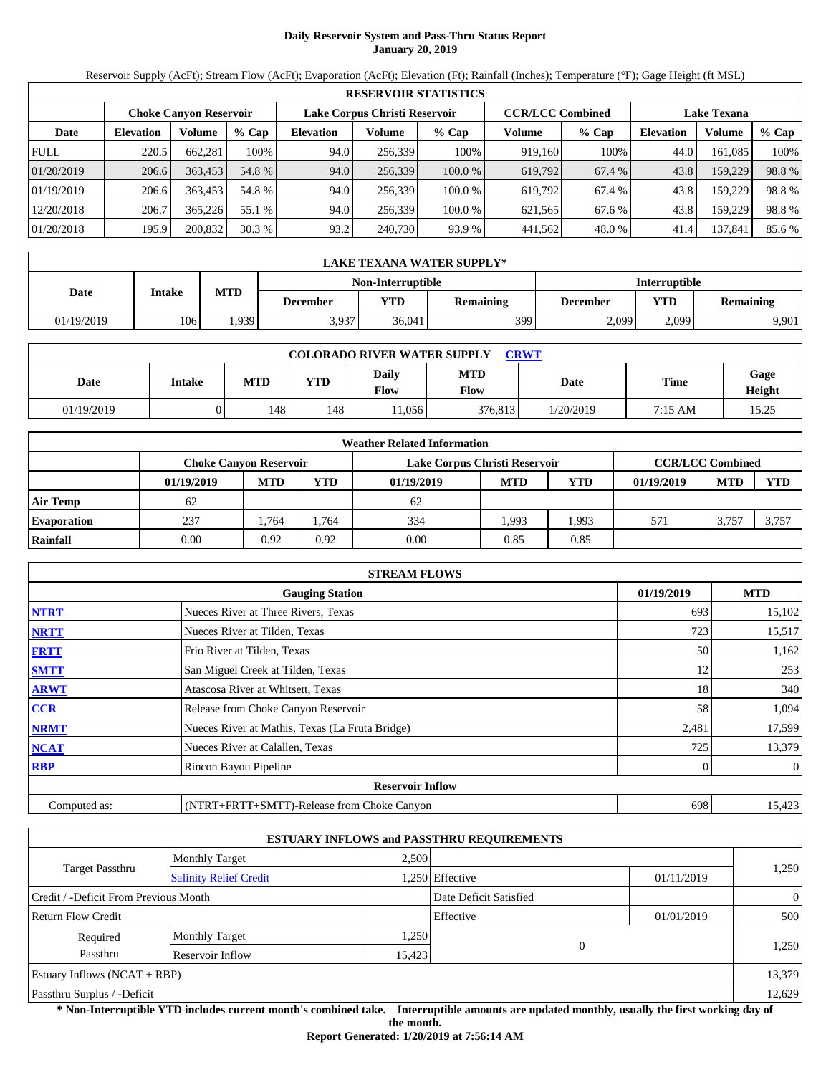# **Daily Reservoir System and Pass-Thru Status Report January 20, 2019**

Reservoir Supply (AcFt); Stream Flow (AcFt); Evaporation (AcFt); Elevation (Ft); Rainfall (Inches); Temperature (°F); Gage Height (ft MSL)

|             | <b>RESERVOIR STATISTICS</b> |                               |         |                               |         |         |                         |         |                    |         |        |  |  |
|-------------|-----------------------------|-------------------------------|---------|-------------------------------|---------|---------|-------------------------|---------|--------------------|---------|--------|--|--|
|             |                             | <b>Choke Canyon Reservoir</b> |         | Lake Corpus Christi Reservoir |         |         | <b>CCR/LCC Combined</b> |         | <b>Lake Texana</b> |         |        |  |  |
| Date        | <b>Elevation</b>            | Volume                        | $%$ Cap | <b>Elevation</b>              | Volume  | $%$ Cap | Volume                  | $%$ Cap | <b>Elevation</b>   | Volume  | % Cap  |  |  |
| <b>FULL</b> | 220.5                       | 662,281                       | 100%    | 94.0                          | 256,339 | 100%    | 919,160                 | 100%    | 44.0               | 161.085 | 100%   |  |  |
| 01/20/2019  | 206.6                       | 363,453                       | 54.8 %  | 94.0                          | 256,339 | 100.0 % | 619,792                 | 67.4 %  | 43.8               | 159,229 | 98.8%  |  |  |
| 01/19/2019  | 206.6                       | 363.453                       | 54.8 %  | 94.0                          | 256.339 | 100.0 % | 619.792                 | 67.4 %  | 43.8               | 159,229 | 98.8%  |  |  |
| 12/20/2018  | 206.7                       | 365,226                       | 55.1 %  | 94.0                          | 256,339 | 100.0%  | 621,565                 | 67.6 %  | 43.8               | 159,229 | 98.8%  |  |  |
| 01/20/2018  | 195.9                       | 200,832                       | 30.3%   | 93.2                          | 240,730 | 93.9 %  | 441,562                 | 48.0 %  | 41.4               | 137,841 | 85.6 % |  |  |

|                                                  | LAKE TEXANA WATER SUPPLY* |            |                                                                                   |        |     |       |       |       |  |  |  |
|--------------------------------------------------|---------------------------|------------|-----------------------------------------------------------------------------------|--------|-----|-------|-------|-------|--|--|--|
| <b>Interruptible</b><br><b>Non-Interruptible</b> |                           |            |                                                                                   |        |     |       |       |       |  |  |  |
| Date                                             | Intake                    | <b>MTD</b> | YTD<br>YTD<br><b>Remaining</b><br><b>Remaining</b><br><b>December</b><br>December |        |     |       |       |       |  |  |  |
| 01/19/2019                                       | 106                       | .939       | 3,937                                                                             | 36.041 | 399 | 2,099 | 2.099 | 9.901 |  |  |  |

| <b>COLORADO RIVER WATER SUPPLY</b><br><b>CRWT</b> |               |               |            |               |             |           |                   |                |  |  |  |
|---------------------------------------------------|---------------|---------------|------------|---------------|-------------|-----------|-------------------|----------------|--|--|--|
| Date                                              | <b>Intake</b> | <b>MTD</b>    | <b>YTD</b> | Daily<br>Flow | MTD<br>Flow | Date      | <b>Time</b>       | Gage<br>Height |  |  |  |
| 01/19/2019                                        |               | $148^{\circ}$ | 148        | 1.056         | 376.813     | 1/20/2019 | $7:15 \text{ AM}$ | 15.25          |  |  |  |

|                    | <b>Weather Related Information</b> |                                                                                           |            |            |            |      |            |            |       |  |  |
|--------------------|------------------------------------|-------------------------------------------------------------------------------------------|------------|------------|------------|------|------------|------------|-------|--|--|
|                    |                                    | <b>CCR/LCC Combined</b><br>Lake Corpus Christi Reservoir<br><b>Choke Canvon Reservoir</b> |            |            |            |      |            |            |       |  |  |
|                    | 01/19/2019                         | <b>MTD</b>                                                                                | <b>YTD</b> | 01/19/2019 | <b>MTD</b> | YTD  | 01/19/2019 | <b>MTD</b> | YTD   |  |  |
| <b>Air Temp</b>    | 62                                 |                                                                                           |            | 62         |            |      |            |            |       |  |  |
| <b>Evaporation</b> | 237                                | .764                                                                                      | 1.764      | 334        | 1.993      | .993 | 571        | 3,757      | 3,757 |  |  |
| Rainfall           | 0.00                               | 0.92                                                                                      | 0.92       | 0.00       | 0.85       | 0.85 |            |            |       |  |  |

|              | <b>STREAM FLOWS</b>                             |       |                |  |  |  |  |  |  |
|--------------|-------------------------------------------------|-------|----------------|--|--|--|--|--|--|
|              | <b>Gauging Station</b>                          |       |                |  |  |  |  |  |  |
| <b>NTRT</b>  | Nueces River at Three Rivers, Texas             | 693   | 15,102         |  |  |  |  |  |  |
| <b>NRTT</b>  | Nueces River at Tilden, Texas                   | 723   | 15,517         |  |  |  |  |  |  |
| <b>FRTT</b>  | Frio River at Tilden, Texas                     | 50    | 1,162          |  |  |  |  |  |  |
| <b>SMTT</b>  | San Miguel Creek at Tilden, Texas               | 12    | 253            |  |  |  |  |  |  |
| <b>ARWT</b>  | Atascosa River at Whitsett, Texas               | 18    | 340            |  |  |  |  |  |  |
| <b>CCR</b>   | Release from Choke Canyon Reservoir             | 58    | 1,094          |  |  |  |  |  |  |
| <b>NRMT</b>  | Nueces River at Mathis, Texas (La Fruta Bridge) | 2,481 | 17,599         |  |  |  |  |  |  |
| <b>NCAT</b>  | Nueces River at Calallen, Texas                 | 725   | 13,379         |  |  |  |  |  |  |
| <b>RBP</b>   | Rincon Bayou Pipeline                           | 0     | $\overline{0}$ |  |  |  |  |  |  |
|              | <b>Reservoir Inflow</b>                         |       |                |  |  |  |  |  |  |
| Computed as: | (NTRT+FRTT+SMTT)-Release from Choke Canyon      | 698   | 15,423         |  |  |  |  |  |  |

|                                       |                               |        | <b>ESTUARY INFLOWS and PASSTHRU REQUIREMENTS</b> |            |                |
|---------------------------------------|-------------------------------|--------|--------------------------------------------------|------------|----------------|
|                                       | <b>Monthly Target</b>         | 2.500  |                                                  |            |                |
| <b>Target Passthru</b>                | <b>Salinity Relief Credit</b> |        | 1,250 Effective                                  | 01/11/2019 | 1,250          |
| Credit / -Deficit From Previous Month |                               |        | Date Deficit Satisfied                           |            | $\overline{0}$ |
| <b>Return Flow Credit</b>             |                               |        | Effective                                        | 01/01/2019 | 500            |
| Required                              | <b>Monthly Target</b>         | 1,250  |                                                  |            |                |
| Passthru                              | Reservoir Inflow              | 15,423 | $\Omega$                                         |            | 1,250          |
| Estuary Inflows $(NCAT + RBP)$        |                               |        |                                                  |            | 13,379         |
| Passthru Surplus / -Deficit           |                               |        |                                                  |            | 12,629         |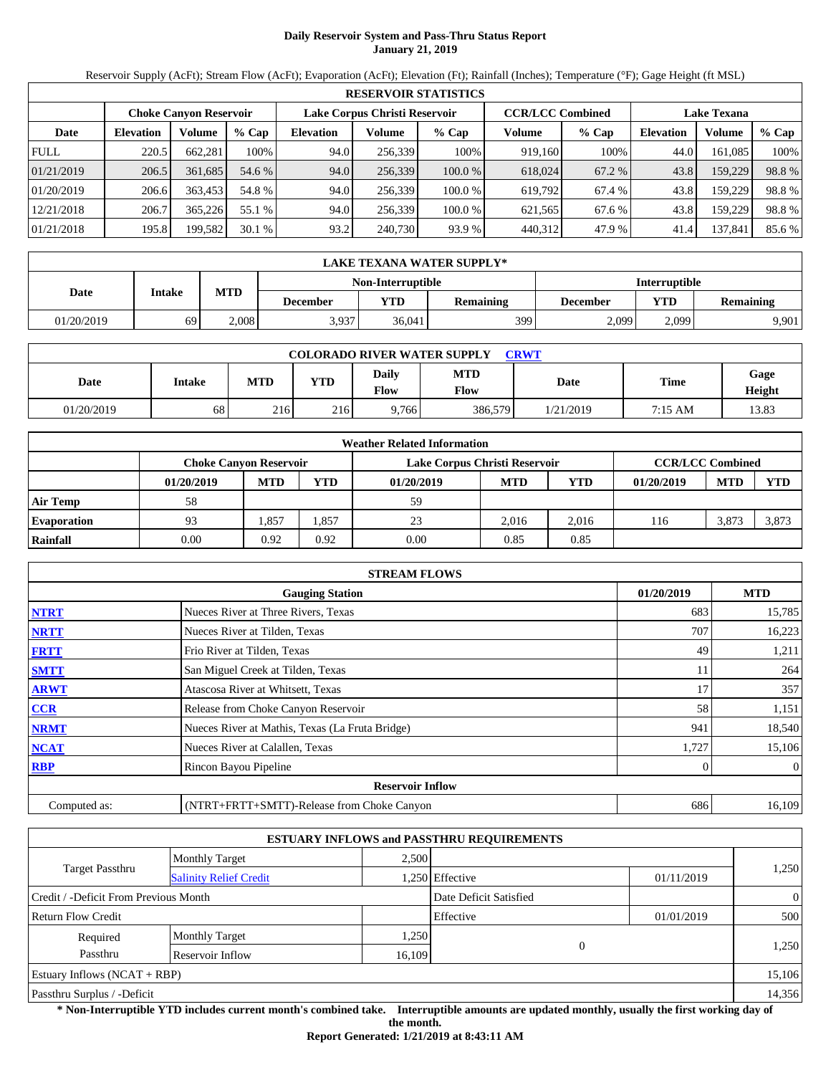# **Daily Reservoir System and Pass-Thru Status Report January 21, 2019**

Reservoir Supply (AcFt); Stream Flow (AcFt); Evaporation (AcFt); Elevation (Ft); Rainfall (Inches); Temperature (°F); Gage Height (ft MSL)

|             | <b>RESERVOIR STATISTICS</b>                                                               |         |         |                  |         |                    |         |         |                  |         |        |  |
|-------------|-------------------------------------------------------------------------------------------|---------|---------|------------------|---------|--------------------|---------|---------|------------------|---------|--------|--|
|             | <b>CCR/LCC Combined</b><br>Lake Corpus Christi Reservoir<br><b>Choke Canyon Reservoir</b> |         |         |                  |         | <b>Lake Texana</b> |         |         |                  |         |        |  |
| Date        | <b>Elevation</b>                                                                          | Volume  | $%$ Cap | <b>Elevation</b> | Volume  | $%$ Cap            | Volume  | $%$ Cap | <b>Elevation</b> | Volume  | % Cap  |  |
| <b>FULL</b> | 220.5                                                                                     | 662.281 | 100%    | 94.0             | 256.339 | 100%               | 919.160 | 100%    | 44.0             | 161.085 | 100%   |  |
| 01/21/2019  | 206.5                                                                                     | 361.685 | 54.6 %  | 94.0             | 256,339 | 100.0%             | 618,024 | 67.2 %  | 43.8             | 159,229 | 98.8%  |  |
| 01/20/2019  | 206.6                                                                                     | 363,453 | 54.8 %  | 94.0             | 256.339 | 100.0 %            | 619.792 | 67.4 %  | 43.8             | 159.229 | 98.8%  |  |
| 12/21/2018  | 206.7                                                                                     | 365,226 | 55.1 %  | 94.0             | 256.339 | 100.0 %            | 621.565 | 67.6 %  | 43.8             | 159.229 | 98.8%  |  |
| 01/21/2018  | 195.8                                                                                     | 199,582 | 30.1%   | 93.2             | 240,730 | 93.9 %             | 440,312 | 47.9 %  | 41.4             | 137,841 | 85.6 % |  |

|            | LAKE TEXANA WATER SUPPLY*                 |            |                 |        |                  |          |       |                  |  |  |  |
|------------|-------------------------------------------|------------|-----------------|--------|------------------|----------|-------|------------------|--|--|--|
|            | <b>Interruptible</b><br>Non-Interruptible |            |                 |        |                  |          |       |                  |  |  |  |
| Date       | Intake                                    | <b>MTD</b> | <b>December</b> | VTD-   | <b>Remaining</b> | December | YTD   | <b>Remaining</b> |  |  |  |
| 01/20/2019 | 69                                        | 2.008      | 3,937           | 36,041 | 3991             | 2,099    | 2.099 | 9,901            |  |  |  |

| <b>COLORADO RIVER WATER SUPPLY</b><br><b>CRWT</b> |        |            |            |                             |                    |           |         |                       |  |  |
|---------------------------------------------------|--------|------------|------------|-----------------------------|--------------------|-----------|---------|-----------------------|--|--|
| Date                                              | Intake | <b>MTD</b> | <b>YTD</b> | <b>Daily</b><br><b>Flow</b> | <b>MTD</b><br>Flow | Date      | Time    | Gage<br><b>Height</b> |  |  |
| 01/20/2019                                        | 68     | 216        | 216        | 9.766                       | 386,579            | 1/21/2019 | 7:15 AM | 13.83                 |  |  |

|                    |                               |            |            | <b>Weather Related Information</b> |            |            |                         |            |            |
|--------------------|-------------------------------|------------|------------|------------------------------------|------------|------------|-------------------------|------------|------------|
|                    | <b>Choke Canvon Reservoir</b> |            |            | Lake Corpus Christi Reservoir      |            |            | <b>CCR/LCC Combined</b> |            |            |
|                    | 01/20/2019                    | <b>MTD</b> | <b>YTD</b> | 01/20/2019                         | <b>MTD</b> | <b>YTD</b> | 01/20/2019              | <b>MTD</b> | <b>YTD</b> |
| <b>Air Temp</b>    | 58                            |            |            | 59                                 |            |            |                         |            |            |
| <b>Evaporation</b> | 93                            | .357       | 1,857      | 23                                 | 2.016      | 2.016      | 116                     | 3.873      | 3,873      |
| Rainfall           | 0.00                          | 0.92       | 0.92       | 0.00                               | 0.85       | 0.85       |                         |            |            |

|              | <b>STREAM FLOWS</b>                             |            |                |
|--------------|-------------------------------------------------|------------|----------------|
|              | <b>Gauging Station</b>                          | 01/20/2019 | <b>MTD</b>     |
| <b>NTRT</b>  | Nueces River at Three Rivers, Texas             | 683        | 15,785         |
| <b>NRTT</b>  | Nueces River at Tilden, Texas                   | 707        | 16,223         |
| <b>FRTT</b>  | Frio River at Tilden, Texas                     | 49         | 1,211          |
| <b>SMTT</b>  | San Miguel Creek at Tilden, Texas               | 11         | 264            |
| <b>ARWT</b>  | Atascosa River at Whitsett, Texas               | 17         | 357            |
| <b>CCR</b>   | Release from Choke Canyon Reservoir             | 58         | 1,151          |
| <b>NRMT</b>  | Nueces River at Mathis, Texas (La Fruta Bridge) | 941        | 18,540         |
| <b>NCAT</b>  | Nueces River at Calallen, Texas                 | 1,727      | 15,106         |
| <b>RBP</b>   | Rincon Bayou Pipeline                           | 0          | $\overline{0}$ |
|              | <b>Reservoir Inflow</b>                         |            |                |
| Computed as: | (NTRT+FRTT+SMTT)-Release from Choke Canyon      | 686        | 16,109         |

|                                       |                               |        | <b>ESTUARY INFLOWS and PASSTHRU REQUIREMENTS</b> |            |                |
|---------------------------------------|-------------------------------|--------|--------------------------------------------------|------------|----------------|
|                                       | <b>Monthly Target</b>         | 2.500  |                                                  |            |                |
| <b>Target Passthru</b>                | <b>Salinity Relief Credit</b> |        | 1,250 Effective                                  | 01/11/2019 | 1,250          |
| Credit / -Deficit From Previous Month |                               |        | Date Deficit Satisfied                           |            | $\overline{0}$ |
| <b>Return Flow Credit</b>             |                               |        | Effective                                        | 01/01/2019 | 500            |
| Required                              | <b>Monthly Target</b>         | 1,250  |                                                  |            |                |
| Passthru                              | Reservoir Inflow              | 16,109 | $\Omega$                                         |            | 1,250          |
| Estuary Inflows $(NCAT + RBP)$        |                               |        |                                                  |            | 15,106         |
| Passthru Surplus / -Deficit           |                               |        |                                                  |            | 14,356         |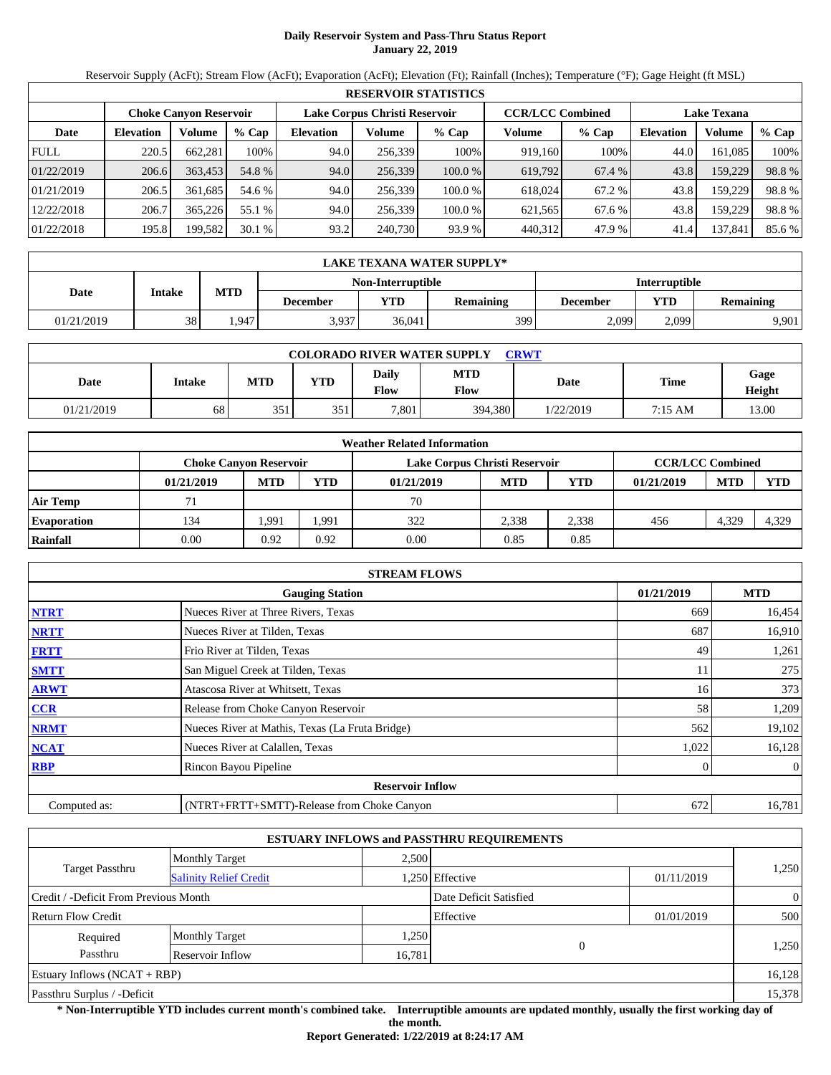# **Daily Reservoir System and Pass-Thru Status Report January 22, 2019**

Reservoir Supply (AcFt); Stream Flow (AcFt); Evaporation (AcFt); Elevation (Ft); Rainfall (Inches); Temperature (°F); Gage Height (ft MSL)

|             | <b>RESERVOIR STATISTICS</b> |                                                                                           |         |                  |         |         |                    |         |                  |         |        |  |
|-------------|-----------------------------|-------------------------------------------------------------------------------------------|---------|------------------|---------|---------|--------------------|---------|------------------|---------|--------|--|
|             |                             | <b>CCR/LCC Combined</b><br>Lake Corpus Christi Reservoir<br><b>Choke Canyon Reservoir</b> |         |                  |         |         | <b>Lake Texana</b> |         |                  |         |        |  |
| Date        | <b>Elevation</b>            | Volume                                                                                    | $%$ Cap | <b>Elevation</b> | Volume  | $%$ Cap | Volume             | $%$ Cap | <b>Elevation</b> | Volume  | % Cap  |  |
| <b>FULL</b> | 220.5                       | 662.281                                                                                   | 100%    | 94.0             | 256.339 | 100%    | 919.160            | 100%    | 44.0             | 161.085 | 100%   |  |
| 01/22/2019  | 206.6                       | 363.453                                                                                   | 54.8 %  | 94.0             | 256,339 | 100.0%  | 619,792            | 67.4 %  | 43.8             | 159,229 | 98.8%  |  |
| 01/21/2019  | 206.5                       | 361.685                                                                                   | 54.6 %  | 94.0             | 256.339 | 100.0 % | 618.024            | 67.2 %  | 43.8             | 159.229 | 98.8%  |  |
| 12/22/2018  | 206.7                       | 365,226                                                                                   | 55.1 %  | 94.0             | 256.339 | 100.0 % | 621.565            | 67.6 %  | 43.8             | 159.229 | 98.8%  |  |
| 01/22/2018  | 195.8                       | 199,582                                                                                   | 30.1%   | 93.2             | 240,730 | 93.9 %  | 440,312            | 47.9 %  | 41.4             | 137,841 | 85.6 % |  |

|            | LAKE TEXANA WATER SUPPLY*                 |            |                 |        |                  |          |       |                  |  |  |  |
|------------|-------------------------------------------|------------|-----------------|--------|------------------|----------|-------|------------------|--|--|--|
|            | <b>Interruptible</b><br>Non-Interruptible |            |                 |        |                  |          |       |                  |  |  |  |
| Date       | Intake                                    | <b>MTD</b> | <b>December</b> | VTD-   | <b>Remaining</b> | December | YTD   | <b>Remaining</b> |  |  |  |
| 01/21/2019 | 38                                        | .947       | 3,937           | 36,041 | 399              | 2,099    | 2.099 | 9,901            |  |  |  |

| <b>COLORADO RIVER WATER SUPPLY</b><br><b>CRWT</b> |        |            |     |                      |                    |           |         |                       |  |  |
|---------------------------------------------------|--------|------------|-----|----------------------|--------------------|-----------|---------|-----------------------|--|--|
| Date                                              | Intake | <b>MTD</b> | YTD | <b>Daily</b><br>Flow | <b>MTD</b><br>Flow | Date      | Time    | Gage<br><b>Height</b> |  |  |
| 01/21/2019                                        | 68     | 351        | 351 | 7,801                | 394,380            | 1/22/2019 | 7:15 AM | 13.00                 |  |  |

|                    | <b>Weather Related Information</b> |            |       |                               |            |       |                         |            |            |  |  |
|--------------------|------------------------------------|------------|-------|-------------------------------|------------|-------|-------------------------|------------|------------|--|--|
|                    | <b>Choke Canvon Reservoir</b>      |            |       | Lake Corpus Christi Reservoir |            |       | <b>CCR/LCC Combined</b> |            |            |  |  |
|                    | 01/21/2019                         | <b>MTD</b> | YTD   | 01/21/2019                    | <b>MTD</b> | YTD   | 01/21/2019              | <b>MTD</b> | <b>YTD</b> |  |  |
| <b>Air Temp</b>    |                                    |            |       | 70                            |            |       |                         |            |            |  |  |
| <b>Evaporation</b> | 134                                | 1.991      | 1,991 | 322                           | 2.338      | 2,338 | 456                     | 4,329      | 4,329      |  |  |
| Rainfall           | 0.00                               | 0.92       | 0.92  | 0.00                          | 0.85       | 0.85  |                         |            |            |  |  |

|              | <b>STREAM FLOWS</b>                             |            |            |
|--------------|-------------------------------------------------|------------|------------|
|              | <b>Gauging Station</b>                          | 01/21/2019 | <b>MTD</b> |
| <b>NTRT</b>  | Nueces River at Three Rivers, Texas             | 669        | 16,454     |
| <b>NRTT</b>  | Nueces River at Tilden, Texas                   | 687        | 16,910     |
| <b>FRTT</b>  | Frio River at Tilden, Texas                     | 49         | 1,261      |
| <b>SMTT</b>  | San Miguel Creek at Tilden, Texas               | 11         | 275        |
| <b>ARWT</b>  | Atascosa River at Whitsett, Texas               | 16         | 373        |
| CCR          | Release from Choke Canyon Reservoir             | 58         | 1,209      |
| <b>NRMT</b>  | Nueces River at Mathis, Texas (La Fruta Bridge) | 562        | 19,102     |
| <b>NCAT</b>  | Nueces River at Calallen, Texas                 | 1,022      | 16,128     |
| <b>RBP</b>   | Rincon Bayou Pipeline                           | 0          | $\Omega$   |
|              | <b>Reservoir Inflow</b>                         |            |            |
| Computed as: | (NTRT+FRTT+SMTT)-Release from Choke Canyon      | 672        | 16,781     |

|                                       |                               |        | <b>ESTUARY INFLOWS and PASSTHRU REQUIREMENTS</b> |            |                |  |
|---------------------------------------|-------------------------------|--------|--------------------------------------------------|------------|----------------|--|
|                                       | <b>Monthly Target</b>         | 2,500  |                                                  |            |                |  |
| <b>Target Passthru</b>                | <b>Salinity Relief Credit</b> |        | 1,250 Effective                                  | 01/11/2019 | 1,250          |  |
| Credit / -Deficit From Previous Month |                               |        | Date Deficit Satisfied                           |            | $\overline{0}$ |  |
| <b>Return Flow Credit</b>             |                               |        | Effective                                        | 01/01/2019 | 500            |  |
| Required                              | <b>Monthly Target</b>         | 1,250  |                                                  |            |                |  |
| Passthru                              | Reservoir Inflow              | 16,781 | $\Omega$                                         |            | 1,250          |  |
| Estuary Inflows $(NCAT + RBP)$        |                               |        |                                                  |            | 16,128         |  |
| Passthru Surplus / -Deficit           |                               |        |                                                  |            | 15,378         |  |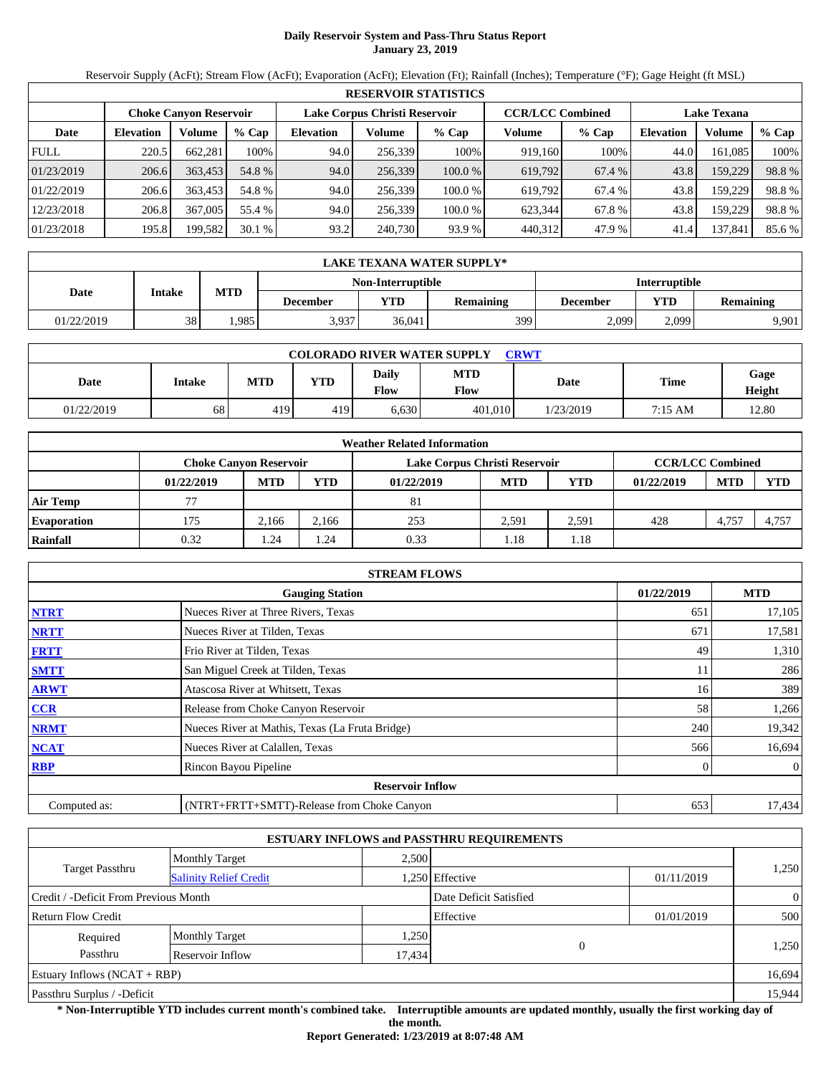# **Daily Reservoir System and Pass-Thru Status Report January 23, 2019**

Reservoir Supply (AcFt); Stream Flow (AcFt); Evaporation (AcFt); Elevation (Ft); Rainfall (Inches); Temperature (°F); Gage Height (ft MSL)

|             | <b>RESERVOIR STATISTICS</b> |                               |         |                               |         |         |                         |         |                    |         |        |  |
|-------------|-----------------------------|-------------------------------|---------|-------------------------------|---------|---------|-------------------------|---------|--------------------|---------|--------|--|
|             |                             | <b>Choke Canyon Reservoir</b> |         | Lake Corpus Christi Reservoir |         |         | <b>CCR/LCC Combined</b> |         | <b>Lake Texana</b> |         |        |  |
| Date        | <b>Elevation</b>            | Volume                        | $%$ Cap | <b>Elevation</b>              | Volume  | $%$ Cap | Volume                  | $%$ Cap | <b>Elevation</b>   | Volume  | % Cap  |  |
| <b>FULL</b> | 220.5                       | 662.281                       | 100%    | 94.0                          | 256.339 | 100%    | 919.160                 | 100%    | 44.0               | 161.085 | 100%   |  |
| 01/23/2019  | 206.6                       | 363.453                       | 54.8 %  | 94.0                          | 256,339 | 100.0%  | 619,792                 | 67.4 %  | 43.8               | 159,229 | 98.8%  |  |
| 01/22/2019  | 206.6                       | 363,453                       | 54.8 %  | 94.0                          | 256.339 | 100.0 % | 619.792                 | 67.4 %  | 43.8               | 159.229 | 98.8%  |  |
| 12/23/2018  | 206.8                       | 367,005                       | 55.4 %  | 94.0                          | 256.339 | 100.0 % | 623.344                 | 67.8%   | 43.8               | 159.229 | 98.8%  |  |
| 01/23/2018  | 195.8                       | 199,582                       | 30.1%   | 93.2                          | 240,730 | 93.9 %  | 440,312                 | 47.9 %  | 41.4               | 137,841 | 85.6 % |  |

|            | LAKE TEXANA WATER SUPPLY* |            |                          |                      |                  |          |       |                  |  |  |  |
|------------|---------------------------|------------|--------------------------|----------------------|------------------|----------|-------|------------------|--|--|--|
|            |                           |            | <b>Non-Interruptible</b> | <b>Interruptible</b> |                  |          |       |                  |  |  |  |
| Date       | Intake                    | <b>MTD</b> | <b>December</b>          | YTD                  | <b>Remaining</b> | December | YTD   | <b>Remaining</b> |  |  |  |
| 01/22/2019 | 38                        | .985       | 3,937                    | 36.041               | 399              | 2,099    | 2,099 | 9.901            |  |  |  |

| <b>COLORADO RIVER WATER SUPPLY</b><br><b>CRWT</b> |        |            |            |                             |                    |           |             |                |  |  |
|---------------------------------------------------|--------|------------|------------|-----------------------------|--------------------|-----------|-------------|----------------|--|--|
| Date                                              | Intake | <b>MTD</b> | <b>YTD</b> | <b>Daily</b><br><b>Flow</b> | <b>MTD</b><br>Flow | Date      | <b>Time</b> | Gage<br>Height |  |  |
| 01/22/2019                                        | 68     | 419        | 419        | 6.630                       | 401.010            | 1/23/2019 | 7:15 AM     | 12.80          |  |  |

|                    | <b>Weather Related Information</b> |            |            |                               |            |                         |            |            |            |  |  |
|--------------------|------------------------------------|------------|------------|-------------------------------|------------|-------------------------|------------|------------|------------|--|--|
|                    | <b>Choke Canvon Reservoir</b>      |            |            | Lake Corpus Christi Reservoir |            | <b>CCR/LCC Combined</b> |            |            |            |  |  |
|                    | 01/22/2019                         | <b>MTD</b> | <b>YTD</b> | 01/22/2019                    | <b>MTD</b> | <b>YTD</b>              | 01/22/2019 | <b>MTD</b> | <b>YTD</b> |  |  |
| <b>Air Temp</b>    |                                    |            |            | 81                            |            |                         |            |            |            |  |  |
| <b>Evaporation</b> | 175                                | 2.166      | 2.166      | 253                           | 2.591      | 2,591                   | 428        | 4,757      | 4.757      |  |  |
| Rainfall           | 0.32                               | 1.24       | . . 24     | 0.33                          | 1.18       | l.18                    |            |            |            |  |  |

|              | <b>STREAM FLOWS</b>                             |            |                |
|--------------|-------------------------------------------------|------------|----------------|
|              | <b>Gauging Station</b>                          | 01/22/2019 | <b>MTD</b>     |
| <b>NTRT</b>  | Nueces River at Three Rivers, Texas             | 651        | 17,105         |
| <b>NRTT</b>  | Nueces River at Tilden, Texas                   | 671        | 17,581         |
| <b>FRTT</b>  | Frio River at Tilden, Texas                     | 49         | 1,310          |
| <b>SMTT</b>  | San Miguel Creek at Tilden, Texas               | 11         | 286            |
| <b>ARWT</b>  | Atascosa River at Whitsett, Texas               | 16         | 389            |
| <b>CCR</b>   | Release from Choke Canyon Reservoir             | 58         | 1,266          |
| <b>NRMT</b>  | Nueces River at Mathis, Texas (La Fruta Bridge) | 240        | 19,342         |
| <b>NCAT</b>  | Nueces River at Calallen, Texas                 | 566        | 16,694         |
| <b>RBP</b>   | Rincon Bayou Pipeline                           | 0          | $\overline{0}$ |
|              | <b>Reservoir Inflow</b>                         |            |                |
| Computed as: | (NTRT+FRTT+SMTT)-Release from Choke Canyon      | 653        | 17,434         |

|                                       |                               |        | <b>ESTUARY INFLOWS and PASSTHRU REQUIREMENTS</b> |            |                |
|---------------------------------------|-------------------------------|--------|--------------------------------------------------|------------|----------------|
|                                       | <b>Monthly Target</b>         | 2,500  |                                                  |            |                |
| <b>Target Passthru</b>                | <b>Salinity Relief Credit</b> |        | .250 Effective                                   | 01/11/2019 | 1,250          |
| Credit / -Deficit From Previous Month |                               |        | Date Deficit Satisfied                           |            | $\overline{0}$ |
| <b>Return Flow Credit</b>             |                               |        | Effective                                        | 01/01/2019 | 500            |
| Required                              | <b>Monthly Target</b>         | 1,250  |                                                  |            |                |
| Passthru                              | Reservoir Inflow              | 17,434 | $\overline{0}$                                   |            | 1,250          |
| Estuary Inflows $(NCAT + RBP)$        |                               |        |                                                  |            | 16,694         |
| Passthru Surplus / -Deficit           |                               |        |                                                  |            | 15,944         |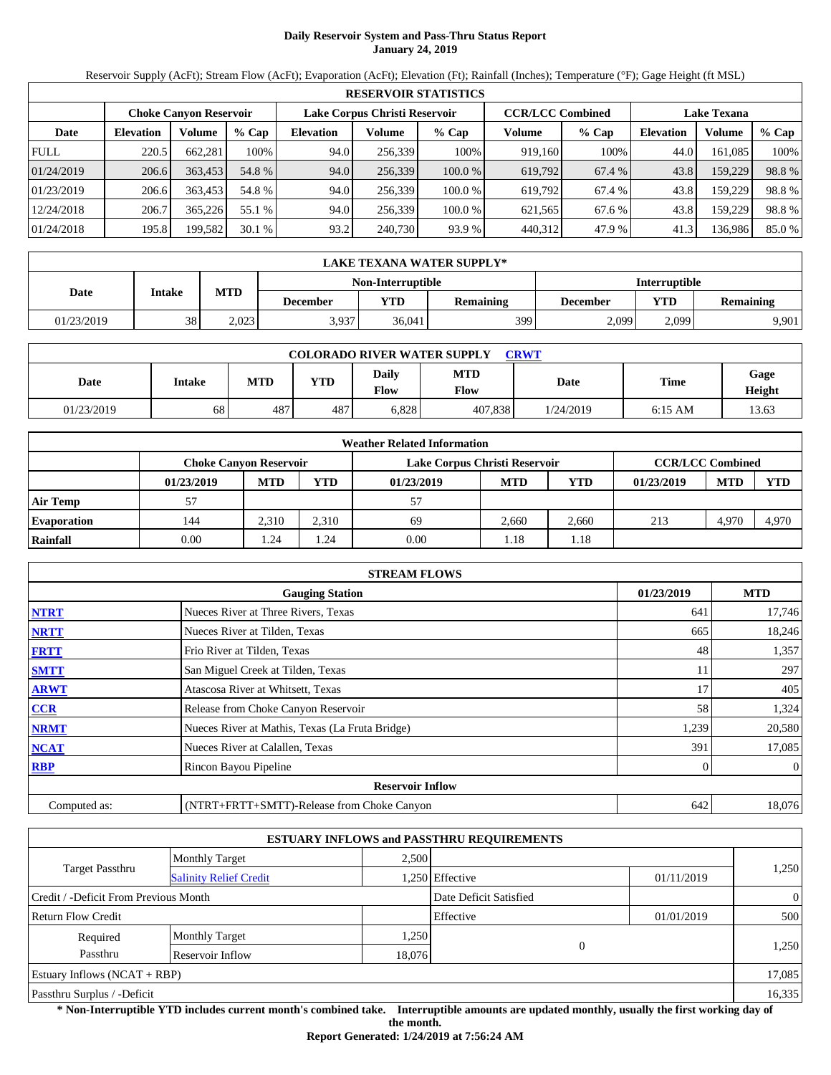# **Daily Reservoir System and Pass-Thru Status Report January 24, 2019**

Reservoir Supply (AcFt); Stream Flow (AcFt); Evaporation (AcFt); Elevation (Ft); Rainfall (Inches); Temperature (°F); Gage Height (ft MSL)

|             | <b>RESERVOIR STATISTICS</b> |                               |         |                               |         |         |                         |         |                    |         |        |  |
|-------------|-----------------------------|-------------------------------|---------|-------------------------------|---------|---------|-------------------------|---------|--------------------|---------|--------|--|
|             |                             | <b>Choke Canyon Reservoir</b> |         | Lake Corpus Christi Reservoir |         |         | <b>CCR/LCC Combined</b> |         | <b>Lake Texana</b> |         |        |  |
| Date        | <b>Elevation</b>            | Volume                        | $%$ Cap | <b>Elevation</b>              | Volume  | $%$ Cap | Volume                  | $%$ Cap | <b>Elevation</b>   | Volume  | % Cap  |  |
| <b>FULL</b> | 220.5                       | 662.281                       | 100%    | 94.0                          | 256.339 | 100%    | 919.160                 | 100%    | 44.0               | 161.085 | 100%   |  |
| 01/24/2019  | 206.6                       | 363.453                       | 54.8 %  | 94.0                          | 256,339 | 100.0%  | 619,792                 | 67.4 %  | 43.8               | 159,229 | 98.8%  |  |
| 01/23/2019  | 206.6                       | 363,453                       | 54.8 %  | 94.0                          | 256.339 | 100.0 % | 619.792                 | 67.4 %  | 43.8               | 159.229 | 98.8%  |  |
| 12/24/2018  | 206.7                       | 365,226                       | 55.1 %  | 94.0                          | 256.339 | 100.0 % | 621.565                 | 67.6 %  | 43.8               | 159.229 | 98.8%  |  |
| 01/24/2018  | 195.8                       | 199,582                       | 30.1%   | 93.2                          | 240,730 | 93.9 %  | 440,312                 | 47.9 %  | 41.3               | 136,986 | 85.0 % |  |

|                   | LAKE TEXANA WATER SUPPLY* |            |                 |        |                  |          |                         |                      |  |  |  |
|-------------------|---------------------------|------------|-----------------|--------|------------------|----------|-------------------------|----------------------|--|--|--|
| Non-Interruptible |                           |            |                 |        |                  |          |                         | <b>Interruptible</b> |  |  |  |
| Date              | Intake                    | <b>MTD</b> | <b>December</b> | VTD-   | <b>Remaining</b> | December | YTD<br><b>Remaining</b> |                      |  |  |  |
| 01/23/2019        | 38                        | 2,023      | 3,937           | 36,041 | 3991             | 2,099    | 2.099                   | 9,901                |  |  |  |

| <b>COLORADO RIVER WATER SUPPLY</b><br>CRWT |        |            |            |                      |                    |           |           |                |  |  |
|--------------------------------------------|--------|------------|------------|----------------------|--------------------|-----------|-----------|----------------|--|--|
| Date                                       | Intake | <b>MTD</b> | <b>YTD</b> | <b>Daily</b><br>Flow | <b>MTD</b><br>Flow | Date      | Time      | Gage<br>Height |  |  |
| 01/23/2019                                 | 68     | 487        | 487        | 6,828                | 407.838            | 1/24/2019 | $6:15$ AM | 13.63          |  |  |

|                    |                               |            |            | <b>Weather Related Information</b> |            |                         |            |            |            |
|--------------------|-------------------------------|------------|------------|------------------------------------|------------|-------------------------|------------|------------|------------|
|                    | <b>Choke Canvon Reservoir</b> |            |            | Lake Corpus Christi Reservoir      |            | <b>CCR/LCC Combined</b> |            |            |            |
|                    | 01/23/2019                    | <b>MTD</b> | <b>YTD</b> | 01/23/2019                         | <b>MTD</b> | <b>YTD</b>              | 01/23/2019 | <b>MTD</b> | <b>YTD</b> |
| <b>Air Temp</b>    |                               |            |            | 57                                 |            |                         |            |            |            |
| <b>Evaporation</b> | 144                           | 2.310      | 2,310      | 69                                 | 2.660      | 2.660                   | 213        | 4,970      | 4,970      |
| Rainfall           | 0.00                          | 1.24       | . .24      | 0.00                               | 1.18       | l.18                    |            |            |            |

|              | <b>STREAM FLOWS</b>                             |            |                |
|--------------|-------------------------------------------------|------------|----------------|
|              | <b>Gauging Station</b>                          | 01/23/2019 | <b>MTD</b>     |
| <b>NTRT</b>  | Nueces River at Three Rivers, Texas             | 641        | 17,746         |
| <b>NRTT</b>  | Nueces River at Tilden, Texas                   | 665        | 18,246         |
| <b>FRTT</b>  | Frio River at Tilden, Texas                     | 48         | 1,357          |
| <b>SMTT</b>  | San Miguel Creek at Tilden, Texas               | 11         | 297            |
| <b>ARWT</b>  | Atascosa River at Whitsett, Texas               | 17         | 405            |
| <b>CCR</b>   | Release from Choke Canyon Reservoir             | 58         | 1,324          |
| <b>NRMT</b>  | Nueces River at Mathis, Texas (La Fruta Bridge) | 1,239      | 20,580         |
| <b>NCAT</b>  | Nueces River at Calallen, Texas                 | 391        | 17,085         |
| <b>RBP</b>   | Rincon Bayou Pipeline                           |            | $\overline{0}$ |
|              | <b>Reservoir Inflow</b>                         |            |                |
| Computed as: | (NTRT+FRTT+SMTT)-Release from Choke Canyon      | 642        | 18,076         |

|                                       |                               |        | <b>ESTUARY INFLOWS and PASSTHRU REQUIREMENTS</b> |            |                |
|---------------------------------------|-------------------------------|--------|--------------------------------------------------|------------|----------------|
|                                       | <b>Monthly Target</b>         | 2,500  |                                                  |            |                |
| <b>Target Passthru</b>                | <b>Salinity Relief Credit</b> |        | 1,250 Effective                                  | 01/11/2019 | 1,250          |
| Credit / -Deficit From Previous Month |                               |        | Date Deficit Satisfied                           |            | $\overline{0}$ |
| <b>Return Flow Credit</b>             |                               |        | Effective                                        | 01/01/2019 | 500            |
| Required                              | <b>Monthly Target</b>         | 1,250  |                                                  |            |                |
| Passthru                              | Reservoir Inflow              | 18,076 | $\Omega$                                         |            | 1,250          |
| Estuary Inflows $(NCAT + RBP)$        |                               |        |                                                  |            | 17,085         |
| Passthru Surplus / -Deficit           |                               |        |                                                  |            | 16,335         |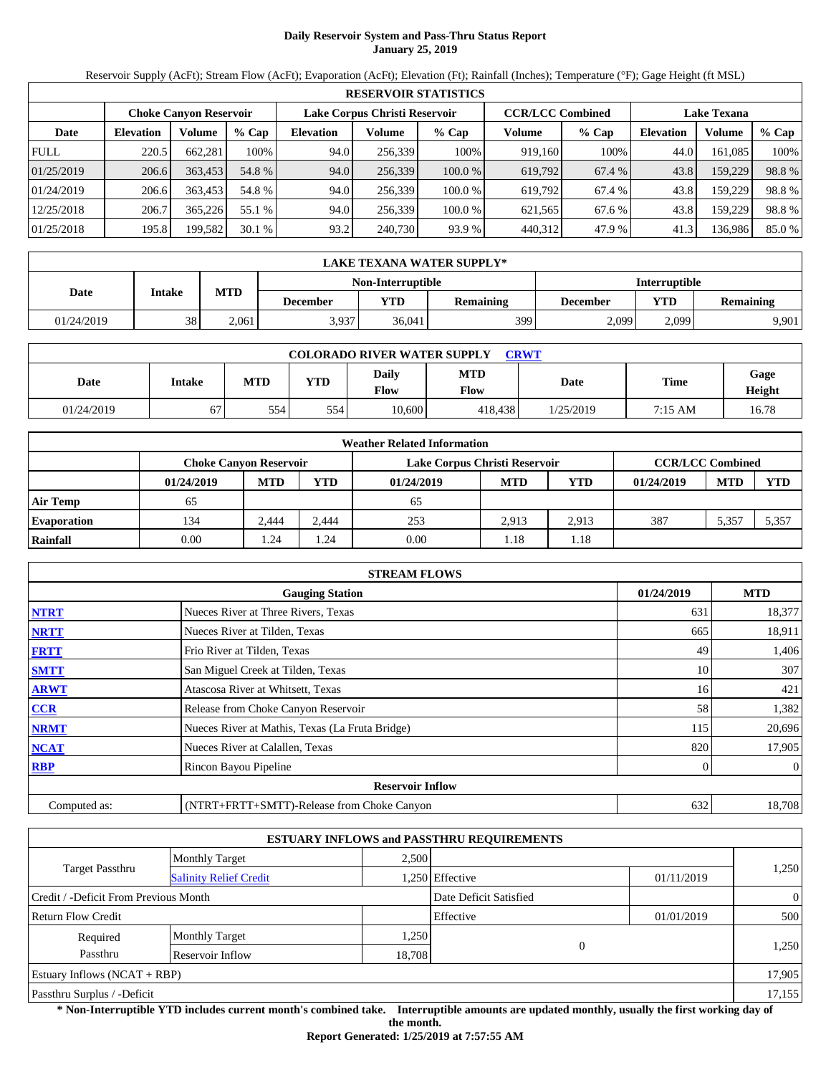# **Daily Reservoir System and Pass-Thru Status Report January 25, 2019**

Reservoir Supply (AcFt); Stream Flow (AcFt); Evaporation (AcFt); Elevation (Ft); Rainfall (Inches); Temperature (°F); Gage Height (ft MSL)

|             | <b>RESERVOIR STATISTICS</b>                                                               |         |         |                  |         |         |                    |         |                  |         |        |  |  |
|-------------|-------------------------------------------------------------------------------------------|---------|---------|------------------|---------|---------|--------------------|---------|------------------|---------|--------|--|--|
|             | Lake Corpus Christi Reservoir<br><b>CCR/LCC Combined</b><br><b>Choke Canyon Reservoir</b> |         |         |                  |         |         | <b>Lake Texana</b> |         |                  |         |        |  |  |
| Date        | <b>Elevation</b>                                                                          | Volume  | $%$ Cap | <b>Elevation</b> | Volume  | $%$ Cap | Volume             | $%$ Cap | <b>Elevation</b> | Volume  | % Cap  |  |  |
| <b>FULL</b> | 220.5                                                                                     | 662.281 | 100%    | 94.0             | 256.339 | 100%    | 919.160            | 100%    | 44.0             | 161.085 | 100%   |  |  |
| 01/25/2019  | 206.6                                                                                     | 363.453 | 54.8 %  | 94.0             | 256,339 | 100.0 % | 619,792            | 67.4 %  | 43.8             | 159,229 | 98.8%  |  |  |
| 01/24/2019  | 206.6                                                                                     | 363,453 | 54.8 %  | 94.0             | 256.339 | 100.0 % | 619.792            | 67.4 %  | 43.8             | 159.229 | 98.8%  |  |  |
| 12/25/2018  | 206.7                                                                                     | 365,226 | 55.1 %  | 94.0             | 256.339 | 100.0 % | 621.565            | 67.6 %  | 43.8             | 159.229 | 98.8%  |  |  |
| 01/25/2018  | 195.8                                                                                     | 199,582 | 30.1%   | 93.2             | 240,730 | 93.9 %  | 440,312            | 47.9 %  | 41.3             | 136,986 | 85.0 % |  |  |

|            | LAKE TEXANA WATER SUPPLY* |                                                  |                 |        |                  |          |       |                  |  |  |  |
|------------|---------------------------|--------------------------------------------------|-----------------|--------|------------------|----------|-------|------------------|--|--|--|
|            |                           | <b>Interruptible</b><br><b>Non-Interruptible</b> |                 |        |                  |          |       |                  |  |  |  |
| Date       | Intake                    | <b>MTD</b>                                       | <b>December</b> | YTD    | <b>Remaining</b> | December | YTD   | <b>Remaining</b> |  |  |  |
| 01/24/2019 | 38                        | 2.061                                            | 3,937           | 36.041 | 399              | 2,099    | 2,099 | 9.901            |  |  |  |

| <b>COLORADO RIVER WATER SUPPLY</b><br><b>CRWT</b> |               |            |            |               |             |           |             |                |  |  |
|---------------------------------------------------|---------------|------------|------------|---------------|-------------|-----------|-------------|----------------|--|--|
| Date                                              | <b>Intake</b> | <b>MTD</b> | <b>YTD</b> | Daily<br>Flow | MTD<br>Flow | Date      | <b>Time</b> | Gage<br>Height |  |  |
| 01/24/2019                                        | 67            | 554        | 554        | 10.600        | 418.438     | 1/25/2019 | 7:15 AM     | 16.78          |  |  |

|                    |                               |            |            | <b>Weather Related Information</b> |                         |       |            |            |            |
|--------------------|-------------------------------|------------|------------|------------------------------------|-------------------------|-------|------------|------------|------------|
|                    | <b>Choke Canvon Reservoir</b> |            |            | Lake Corpus Christi Reservoir      | <b>CCR/LCC Combined</b> |       |            |            |            |
|                    | 01/24/2019                    | <b>MTD</b> | <b>YTD</b> | 01/24/2019                         | <b>MTD</b>              | YTD   | 01/24/2019 | <b>MTD</b> | <b>YTD</b> |
| <b>Air Temp</b>    | 65                            |            |            | 65                                 |                         |       |            |            |            |
| <b>Evaporation</b> | 134                           | 2.444      | 2.444      | 253                                | 2.913                   | 2.913 | 387        | 5,357      | 5,357      |
| Rainfall           | 0.00                          | l.24       | .24        | 0.00                               | 1.18                    | 1.18  |            |            |            |

|              | <b>STREAM FLOWS</b>                             |            |                |
|--------------|-------------------------------------------------|------------|----------------|
|              | <b>Gauging Station</b>                          | 01/24/2019 | <b>MTD</b>     |
| <b>NTRT</b>  | Nueces River at Three Rivers, Texas             | 631        | 18,377         |
| <b>NRTT</b>  | Nueces River at Tilden, Texas                   | 665        | 18,911         |
| <b>FRTT</b>  | Frio River at Tilden, Texas                     | 49         | 1,406          |
| <b>SMTT</b>  | San Miguel Creek at Tilden, Texas               | 10         | 307            |
| <b>ARWT</b>  | Atascosa River at Whitsett, Texas               | 16         | 421            |
| <b>CCR</b>   | Release from Choke Canyon Reservoir             | 58         | 1,382          |
| <b>NRMT</b>  | Nueces River at Mathis, Texas (La Fruta Bridge) | 115        | 20,696         |
| <b>NCAT</b>  | Nueces River at Calallen, Texas                 | 820        | 17,905         |
| <b>RBP</b>   | Rincon Bayou Pipeline                           |            | $\overline{0}$ |
|              | <b>Reservoir Inflow</b>                         |            |                |
| Computed as: | (NTRT+FRTT+SMTT)-Release from Choke Canyon      | 632        | 18,708         |

|                                                         |                       |        | <b>ESTUARY INFLOWS and PASSTHRU REQUIREMENTS</b> |            |                |  |
|---------------------------------------------------------|-----------------------|--------|--------------------------------------------------|------------|----------------|--|
|                                                         | <b>Monthly Target</b> | 2.500  |                                                  |            |                |  |
| <b>Target Passthru</b><br><b>Salinity Relief Credit</b> |                       |        | .250 Effective                                   | 01/11/2019 | 1,250          |  |
| Credit / -Deficit From Previous Month                   |                       |        | Date Deficit Satisfied                           |            | $\overline{0}$ |  |
| <b>Return Flow Credit</b>                               |                       |        | Effective                                        | 01/01/2019 | 500            |  |
| Required                                                | <b>Monthly Target</b> | 1,250  |                                                  |            |                |  |
| Passthru                                                | Reservoir Inflow      | 18,708 | $\Omega$                                         |            | 1,250          |  |
| Estuary Inflows $(NCAT + RBP)$                          |                       |        |                                                  |            | 17,905         |  |
| Passthru Surplus / -Deficit                             |                       |        |                                                  |            | 17,155         |  |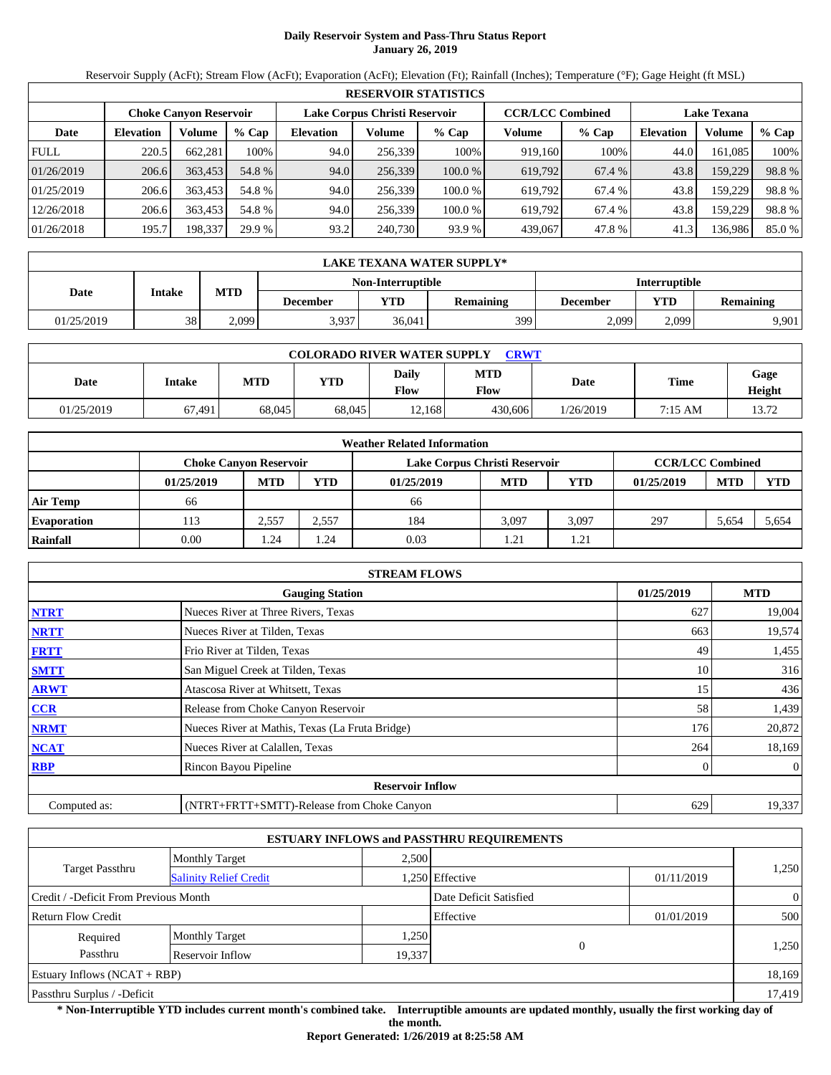# **Daily Reservoir System and Pass-Thru Status Report January 26, 2019**

Reservoir Supply (AcFt); Stream Flow (AcFt); Evaporation (AcFt); Elevation (Ft); Rainfall (Inches); Temperature (°F); Gage Height (ft MSL)

|             | <b>RESERVOIR STATISTICS</b>                                                               |         |         |                  |         |         |                    |         |                  |         |       |  |
|-------------|-------------------------------------------------------------------------------------------|---------|---------|------------------|---------|---------|--------------------|---------|------------------|---------|-------|--|
|             | <b>CCR/LCC Combined</b><br>Lake Corpus Christi Reservoir<br><b>Choke Canyon Reservoir</b> |         |         |                  |         |         | <b>Lake Texana</b> |         |                  |         |       |  |
| Date        | <b>Elevation</b>                                                                          | Volume  | $%$ Cap | <b>Elevation</b> | Volume  | $%$ Cap | Volume             | $%$ Cap | <b>Elevation</b> | Volume  | % Cap |  |
| <b>FULL</b> | 220.5                                                                                     | 662.281 | 100%    | 94.0             | 256.339 | 100%    | 919.160            | 100%    | 44.0             | 161.085 | 100%  |  |
| 01/26/2019  | 206.6                                                                                     | 363.453 | 54.8 %  | 94.0             | 256,339 | 100.0%  | 619,792            | 67.4 %  | 43.8             | 159,229 | 98.8% |  |
| 01/25/2019  | 206.6                                                                                     | 363,453 | 54.8 %  | 94.0             | 256.339 | 100.0 % | 619.792            | 67.4 %  | 43.8             | 159.229 | 98.8% |  |
| 12/26/2018  | 206.6                                                                                     | 363.453 | 54.8 %  | 94.0             | 256.339 | 100.0 % | 619.792            | 67.4 %  | 43.8             | 159.229 | 98.8% |  |
| 01/26/2018  | 195.7                                                                                     | 198,337 | 29.9 %  | 93.2             | 240,730 | 93.9 %  | 439,067            | 47.8 %  | 41.3             | 136,986 | 85.0% |  |

|            | LAKE TEXANA WATER SUPPLY* |            |                 |                                           |                  |          |       |                  |  |  |  |
|------------|---------------------------|------------|-----------------|-------------------------------------------|------------------|----------|-------|------------------|--|--|--|
|            |                           |            |                 | <b>Interruptible</b><br>Non-Interruptible |                  |          |       |                  |  |  |  |
| Date       | Intake                    | <b>MTD</b> | <b>December</b> | VTD-                                      | <b>Remaining</b> | December | YTD   | <b>Remaining</b> |  |  |  |
| 01/25/2019 | 38                        | 2,099      | 3,937           | 36,041                                    | 3991             | 2,099    | 2.099 | 9,901            |  |  |  |

|            | <b>COLORADO RIVER WATER SUPPLY</b><br>CRWT |        |        |               |                    |           |             |                |  |  |  |
|------------|--------------------------------------------|--------|--------|---------------|--------------------|-----------|-------------|----------------|--|--|--|
| Date       | Intake                                     | MTD    | VTD    | Daily<br>Flow | <b>MTD</b><br>Flow | Date      | <b>Time</b> | Gage<br>Height |  |  |  |
| 01/25/2019 | 67.491                                     | 68,045 | 68,045 | 12.168        | 430,606            | 1/26/2019 | 7:15 AM     | 13.72          |  |  |  |

|                    | <b>Weather Related Information</b> |            |            |                               |                         |            |            |            |            |  |  |
|--------------------|------------------------------------|------------|------------|-------------------------------|-------------------------|------------|------------|------------|------------|--|--|
|                    | <b>Choke Canvon Reservoir</b>      |            |            | Lake Corpus Christi Reservoir | <b>CCR/LCC Combined</b> |            |            |            |            |  |  |
|                    | 01/25/2019                         | <b>MTD</b> | <b>YTD</b> | 01/25/2019                    | <b>MTD</b>              | <b>YTD</b> | 01/25/2019 | <b>MTD</b> | <b>YTD</b> |  |  |
| <b>Air Temp</b>    | 66                                 |            |            | 66                            |                         |            |            |            |            |  |  |
| <b>Evaporation</b> | 113                                | 2.557      | 2,557      | 184                           | 3.097                   | 3.097      | 297        | 5,654      | 5,654      |  |  |
| Rainfall           | 0.00                               | . . 24     | . .24      | 0.03                          | 1.21                    | 1.21       |            |            |            |  |  |

|              | <b>STREAM FLOWS</b>                             |            |                |
|--------------|-------------------------------------------------|------------|----------------|
|              | <b>Gauging Station</b>                          | 01/25/2019 | <b>MTD</b>     |
| <b>NTRT</b>  | Nueces River at Three Rivers, Texas             | 627        | 19,004         |
| <b>NRTT</b>  | Nueces River at Tilden, Texas                   | 663        | 19,574         |
| <b>FRTT</b>  | Frio River at Tilden, Texas                     | 49         | 1,455          |
| <b>SMTT</b>  | San Miguel Creek at Tilden, Texas               | 10         | 316            |
| <b>ARWT</b>  | Atascosa River at Whitsett, Texas               | 15         | 436            |
| <b>CCR</b>   | Release from Choke Canyon Reservoir             | 58         | 1,439          |
| <b>NRMT</b>  | Nueces River at Mathis, Texas (La Fruta Bridge) | 176        | 20,872         |
| <b>NCAT</b>  | Nueces River at Calallen, Texas                 | 264        | 18,169         |
| <b>RBP</b>   | Rincon Bayou Pipeline                           | 0          | $\overline{0}$ |
|              | <b>Reservoir Inflow</b>                         |            |                |
| Computed as: | (NTRT+FRTT+SMTT)-Release from Choke Canyon      | 629        | 19,337         |

|                                                         |                       |        | <b>ESTUARY INFLOWS and PASSTHRU REQUIREMENTS</b> |            |                |  |
|---------------------------------------------------------|-----------------------|--------|--------------------------------------------------|------------|----------------|--|
|                                                         | <b>Monthly Target</b> | 2,500  |                                                  |            |                |  |
| <b>Target Passthru</b><br><b>Salinity Relief Credit</b> |                       |        | 1,250 Effective                                  | 01/11/2019 | 1,250          |  |
| Credit / -Deficit From Previous Month                   |                       |        | Date Deficit Satisfied                           |            | $\overline{0}$ |  |
| <b>Return Flow Credit</b>                               |                       |        | Effective                                        | 01/01/2019 | 500            |  |
| Required                                                | <b>Monthly Target</b> | 1,250  |                                                  |            |                |  |
| Passthru                                                | Reservoir Inflow      | 19,337 | $\Omega$                                         |            | 1,250          |  |
| Estuary Inflows $(NCAT + RBP)$                          |                       |        |                                                  |            | 18,169         |  |
| Passthru Surplus / -Deficit                             |                       |        |                                                  |            | 17,419         |  |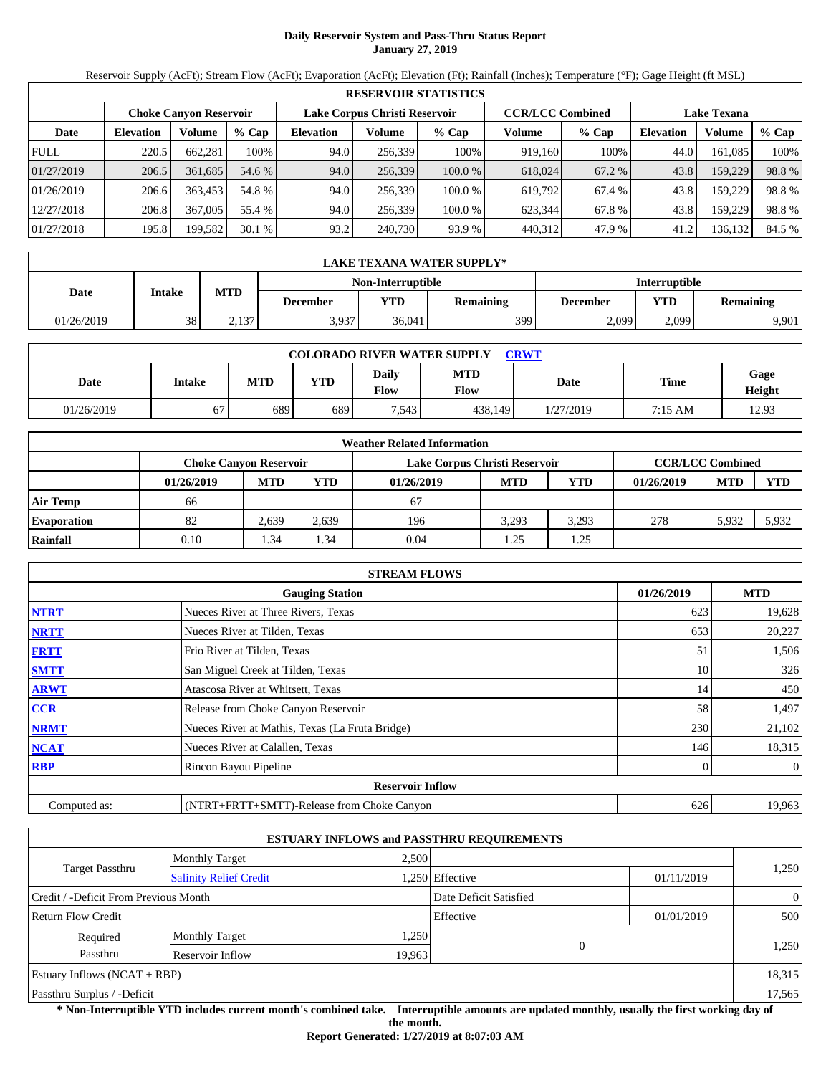# **Daily Reservoir System and Pass-Thru Status Report January 27, 2019**

Reservoir Supply (AcFt); Stream Flow (AcFt); Evaporation (AcFt); Elevation (Ft); Rainfall (Inches); Temperature (°F); Gage Height (ft MSL)

|             | <b>RESERVOIR STATISTICS</b>                                                                                     |         |         |                  |         |         |         |        |                  |         |        |  |
|-------------|-----------------------------------------------------------------------------------------------------------------|---------|---------|------------------|---------|---------|---------|--------|------------------|---------|--------|--|
|             | Lake Corpus Christi Reservoir<br><b>CCR/LCC Combined</b><br><b>Lake Texana</b><br><b>Choke Canyon Reservoir</b> |         |         |                  |         |         |         |        |                  |         |        |  |
| Date        | <b>Elevation</b>                                                                                                | Volume  | $%$ Cap | <b>Elevation</b> | Volume  | $%$ Cap | Volume  | % Cap  | <b>Elevation</b> | Volume  | % Cap  |  |
| <b>FULL</b> | 220.5                                                                                                           | 662,281 | 100%    | 94.0             | 256.339 | 100%    | 919,160 | 100%   | 44.0             | 161,085 | 100%   |  |
| 01/27/2019  | 206.5                                                                                                           | 361.685 | 54.6 %  | 94.0             | 256,339 | 100.0 % | 618,024 | 67.2 % | 43.8             | 159,229 | 98.8%  |  |
| 01/26/2019  | 206.6                                                                                                           | 363,453 | 54.8 %  | 94.0             | 256.339 | 100.0 % | 619.792 | 67.4 % | 43.8             | 159,229 | 98.8%  |  |
| 12/27/2018  | 206.8                                                                                                           | 367,005 | 55.4 %  | 94.0             | 256.339 | 100.0 % | 623.344 | 67.8%  | 43.8             | 159,229 | 98.8%  |  |
| 01/27/2018  | 195.8                                                                                                           | 199,582 | 30.1%   | 93.2             | 240,730 | 93.9 %  | 440,312 | 47.9 % | 41.2             | 136,132 | 84.5 % |  |

|            | LAKE TEXANA WATER SUPPLY* |            |                 |                   |                  |                      |       |                  |  |  |  |
|------------|---------------------------|------------|-----------------|-------------------|------------------|----------------------|-------|------------------|--|--|--|
|            |                           |            |                 | Non-Interruptible |                  | <b>Interruptible</b> |       |                  |  |  |  |
| Date       | Intake                    | <b>MTD</b> | <b>December</b> | VTD-              | <b>Remaining</b> | December             | YTD   | <b>Remaining</b> |  |  |  |
| 01/26/2019 | 38                        | 2,137      | 3,937           | 36,041            | 3991             | 2,099                | 2.099 | 9,901            |  |  |  |

| <b>COLORADO RIVER WATER SUPPLY</b><br><b>CRWT</b> |        |            |     |                      |                    |           |         |                |  |  |
|---------------------------------------------------|--------|------------|-----|----------------------|--------------------|-----------|---------|----------------|--|--|
| Date                                              | Intake | <b>MTD</b> | YTD | <b>Daily</b><br>Flow | <b>MTD</b><br>Flow | Date      | Time    | Gage<br>Height |  |  |
| 01/26/2019                                        | 67     | 689        | 689 | 7,543                | 438.149            | 1/27/2019 | 7:15 AM | 12.93          |  |  |

|                    | <b>Weather Related Information</b> |            |       |                               |            |       |                         |            |            |  |  |  |
|--------------------|------------------------------------|------------|-------|-------------------------------|------------|-------|-------------------------|------------|------------|--|--|--|
|                    | <b>Choke Canvon Reservoir</b>      |            |       | Lake Corpus Christi Reservoir |            |       | <b>CCR/LCC Combined</b> |            |            |  |  |  |
|                    | 01/26/2019                         | <b>MTD</b> | YTD   | 01/26/2019                    | <b>MTD</b> | YTD   | 01/26/2019              | <b>MTD</b> | <b>YTD</b> |  |  |  |
| <b>Air Temp</b>    | 66                                 |            |       | 67                            |            |       |                         |            |            |  |  |  |
| <b>Evaporation</b> | 82                                 | 2,639      | 2,639 | 196                           | 3,293      | 3,293 | 278                     | 5,932      | 5,932      |  |  |  |
| Rainfall           | 0.10                               | 1.34       | . 34  | 0.04                          | 1.25       | 1.25  |                         |            |            |  |  |  |

|              | <b>STREAM FLOWS</b>                             |            |                |
|--------------|-------------------------------------------------|------------|----------------|
|              | <b>Gauging Station</b>                          | 01/26/2019 | <b>MTD</b>     |
| <b>NTRT</b>  | Nueces River at Three Rivers, Texas             | 623        | 19,628         |
| <b>NRTT</b>  | Nueces River at Tilden, Texas                   | 653        | 20,227         |
| <b>FRTT</b>  | Frio River at Tilden, Texas                     | 51         | 1,506          |
| <b>SMTT</b>  | San Miguel Creek at Tilden, Texas               | 10         | 326            |
| <b>ARWT</b>  | Atascosa River at Whitsett, Texas               | 14         | 450            |
| <b>CCR</b>   | Release from Choke Canyon Reservoir             | 58         | 1,497          |
| <b>NRMT</b>  | Nueces River at Mathis, Texas (La Fruta Bridge) | 230        | 21,102         |
| <b>NCAT</b>  | Nueces River at Calallen, Texas                 | 146        | 18,315         |
| <b>RBP</b>   | Rincon Bayou Pipeline                           |            | $\overline{0}$ |
|              | <b>Reservoir Inflow</b>                         |            |                |
| Computed as: | (NTRT+FRTT+SMTT)-Release from Choke Canyon      | 626        | 19,963         |

|                                       |                               |        | <b>ESTUARY INFLOWS and PASSTHRU REQUIREMENTS</b> |            |                |
|---------------------------------------|-------------------------------|--------|--------------------------------------------------|------------|----------------|
|                                       | <b>Monthly Target</b>         | 2,500  |                                                  |            |                |
| <b>Target Passthru</b>                | <b>Salinity Relief Credit</b> |        | 1,250 Effective                                  | 01/11/2019 | 1,250          |
| Credit / -Deficit From Previous Month |                               |        | Date Deficit Satisfied                           |            | $\overline{0}$ |
| <b>Return Flow Credit</b>             |                               |        | Effective                                        | 01/01/2019 | 500            |
| Required                              | <b>Monthly Target</b>         | 1,250  |                                                  |            |                |
| Passthru                              | Reservoir Inflow              | 19,963 | $\Omega$                                         |            | 1,250          |
| Estuary Inflows $(NCAT + RBP)$        |                               |        |                                                  |            | 18,315         |
| Passthru Surplus / -Deficit           |                               |        |                                                  |            | 17,565         |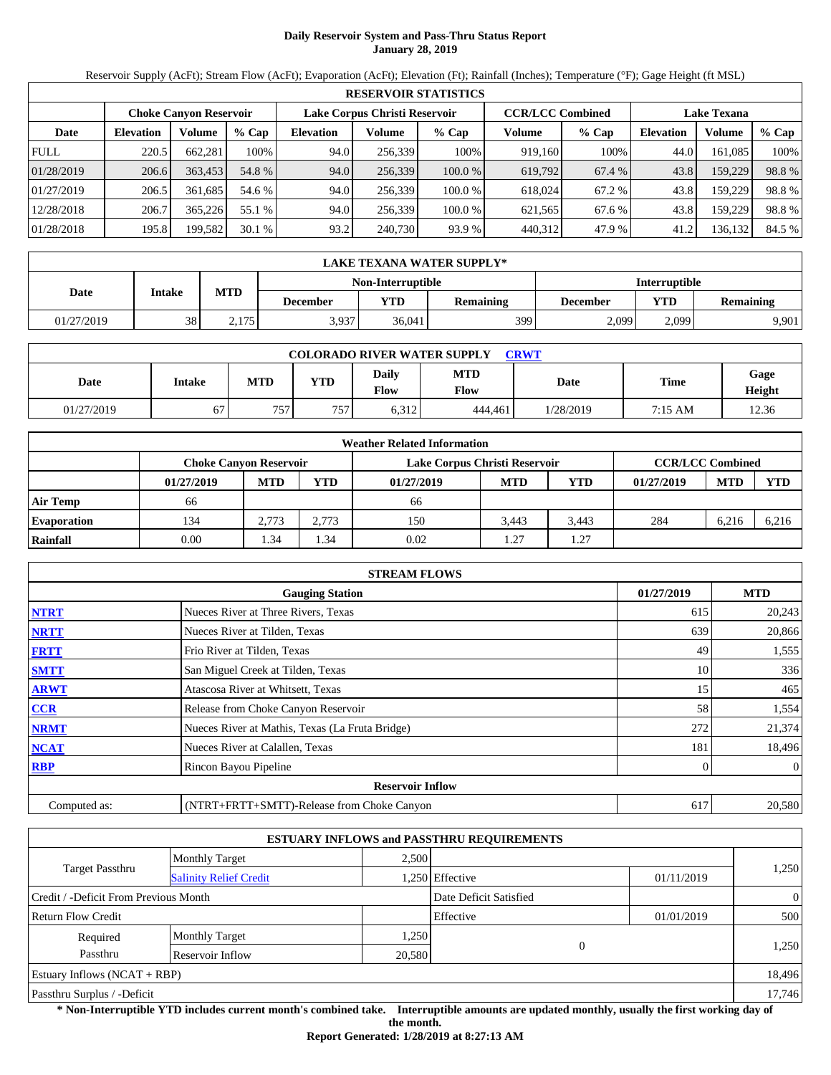# **Daily Reservoir System and Pass-Thru Status Report January 28, 2019**

Reservoir Supply (AcFt); Stream Flow (AcFt); Evaporation (AcFt); Elevation (Ft); Rainfall (Inches); Temperature (°F); Gage Height (ft MSL)

|             | <b>RESERVOIR STATISTICS</b>                                                                                     |         |         |                  |         |         |         |         |                  |         |        |  |
|-------------|-----------------------------------------------------------------------------------------------------------------|---------|---------|------------------|---------|---------|---------|---------|------------------|---------|--------|--|
|             | <b>CCR/LCC Combined</b><br>Lake Corpus Christi Reservoir<br><b>Lake Texana</b><br><b>Choke Canyon Reservoir</b> |         |         |                  |         |         |         |         |                  |         |        |  |
| Date        | <b>Elevation</b>                                                                                                | Volume  | $%$ Cap | <b>Elevation</b> | Volume  | $%$ Cap | Volume  | $%$ Cap | <b>Elevation</b> | Volume  | % Cap  |  |
| <b>FULL</b> | 220.5                                                                                                           | 662.281 | 100%    | 94.0             | 256.339 | 100%    | 919.160 | 100%    | 44.0             | 161.085 | 100%   |  |
| 01/28/2019  | 206.6                                                                                                           | 363.453 | 54.8 %  | 94.0             | 256,339 | 100.0%  | 619,792 | 67.4 %  | 43.8             | 159,229 | 98.8%  |  |
| 01/27/2019  | 206.5                                                                                                           | 361.685 | 54.6 %  | 94.0             | 256.339 | 100.0 % | 618.024 | 67.2 %  | 43.8             | 159.229 | 98.8%  |  |
| 12/28/2018  | 206.7                                                                                                           | 365,226 | 55.1 %  | 94.0             | 256.339 | 100.0 % | 621.565 | 67.6 %  | 43.8             | 159.229 | 98.8%  |  |
| 01/28/2018  | 195.8                                                                                                           | 199,582 | 30.1%   | 93.2             | 240,730 | 93.9 %  | 440,312 | 47.9 %  | 41.2             | 136,132 | 84.5 % |  |

|            | LAKE TEXANA WATER SUPPLY* |            |                 |                          |                  |                      |       |                  |  |  |  |
|------------|---------------------------|------------|-----------------|--------------------------|------------------|----------------------|-------|------------------|--|--|--|
|            |                           |            |                 | <b>Non-Interruptible</b> |                  | <b>Interruptible</b> |       |                  |  |  |  |
| Date       | Intake                    | <b>MTD</b> | <b>December</b> | YTD                      | <b>Remaining</b> | December             | YTD   | <b>Remaining</b> |  |  |  |
| 01/27/2019 | 38                        | 2,175      | 3,937           | 36,041                   | 399              | 2,099                | 2,099 | 9.901            |  |  |  |

| <b>COLORADO RIVER WATER SUPPLY</b><br><b>CRWT</b> |        |            |     |                      |                    |           |         |                |  |  |
|---------------------------------------------------|--------|------------|-----|----------------------|--------------------|-----------|---------|----------------|--|--|
| Date                                              | Intake | <b>MTD</b> | YTD | <b>Daily</b><br>Flow | <b>MTD</b><br>Flow | Date      | Time    | Gage<br>Height |  |  |
| 01/27/2019                                        | 67     | 757<br>J I | 757 | 6,312                | 444.461            | 1/28/2019 | 7:15 AM | 12.36          |  |  |

|                    |                               |            |            | <b>Weather Related Information</b> |            |       |                         |            |            |
|--------------------|-------------------------------|------------|------------|------------------------------------|------------|-------|-------------------------|------------|------------|
|                    | <b>Choke Canvon Reservoir</b> |            |            | Lake Corpus Christi Reservoir      |            |       | <b>CCR/LCC Combined</b> |            |            |
|                    | 01/27/2019                    | <b>MTD</b> | <b>YTD</b> | 01/27/2019                         | <b>MTD</b> | YTD   | 01/27/2019              | <b>MTD</b> | <b>YTD</b> |
| <b>Air Temp</b>    | 66                            |            |            | 66                                 |            |       |                         |            |            |
| <b>Evaporation</b> | 134                           | 2.773      | 2.773      | 150                                | 3.443      | 3.443 | 284                     | 6.216      | 6,216      |
| Rainfall           | 0.00                          | 1.34       | .34        | 0.02                               | 1.27       | .27   |                         |            |            |

|              | <b>STREAM FLOWS</b>                             |            |                |
|--------------|-------------------------------------------------|------------|----------------|
|              | <b>Gauging Station</b>                          | 01/27/2019 | <b>MTD</b>     |
| <b>NTRT</b>  | Nueces River at Three Rivers, Texas             | 615        | 20,243         |
| <b>NRTT</b>  | Nueces River at Tilden, Texas                   | 639        | 20,866         |
| <b>FRTT</b>  | Frio River at Tilden, Texas                     | 49         | 1,555          |
| <b>SMTT</b>  | San Miguel Creek at Tilden, Texas               | 10         | 336            |
| <b>ARWT</b>  | Atascosa River at Whitsett, Texas               | 15         | 465            |
| <b>CCR</b>   | Release from Choke Canyon Reservoir             | 58         | 1,554          |
| <b>NRMT</b>  | Nueces River at Mathis, Texas (La Fruta Bridge) | 272        | 21,374         |
| <b>NCAT</b>  | Nueces River at Calallen, Texas                 | 181        | 18,496         |
| <b>RBP</b>   | Rincon Bayou Pipeline                           |            | $\overline{0}$ |
|              | <b>Reservoir Inflow</b>                         |            |                |
| Computed as: | (NTRT+FRTT+SMTT)-Release from Choke Canyon      | 617        | 20,580         |

|                                       |                               |        | <b>ESTUARY INFLOWS and PASSTHRU REQUIREMENTS</b> |            |                |
|---------------------------------------|-------------------------------|--------|--------------------------------------------------|------------|----------------|
|                                       | <b>Monthly Target</b>         | 2.500  |                                                  |            |                |
| <b>Target Passthru</b>                | <b>Salinity Relief Credit</b> |        | 1,250 Effective                                  | 01/11/2019 | 1,250          |
| Credit / -Deficit From Previous Month |                               |        | Date Deficit Satisfied                           |            | $\overline{0}$ |
| <b>Return Flow Credit</b>             |                               |        | Effective                                        | 01/01/2019 | 500            |
| Required                              | <b>Monthly Target</b>         | 1,250  |                                                  |            |                |
| Passthru                              | Reservoir Inflow              | 20,580 | $\Omega$                                         |            | 1,250          |
| Estuary Inflows $(NCAT + RBP)$        |                               |        |                                                  |            | 18,496         |
| Passthru Surplus / -Deficit           |                               |        |                                                  |            | 17,746         |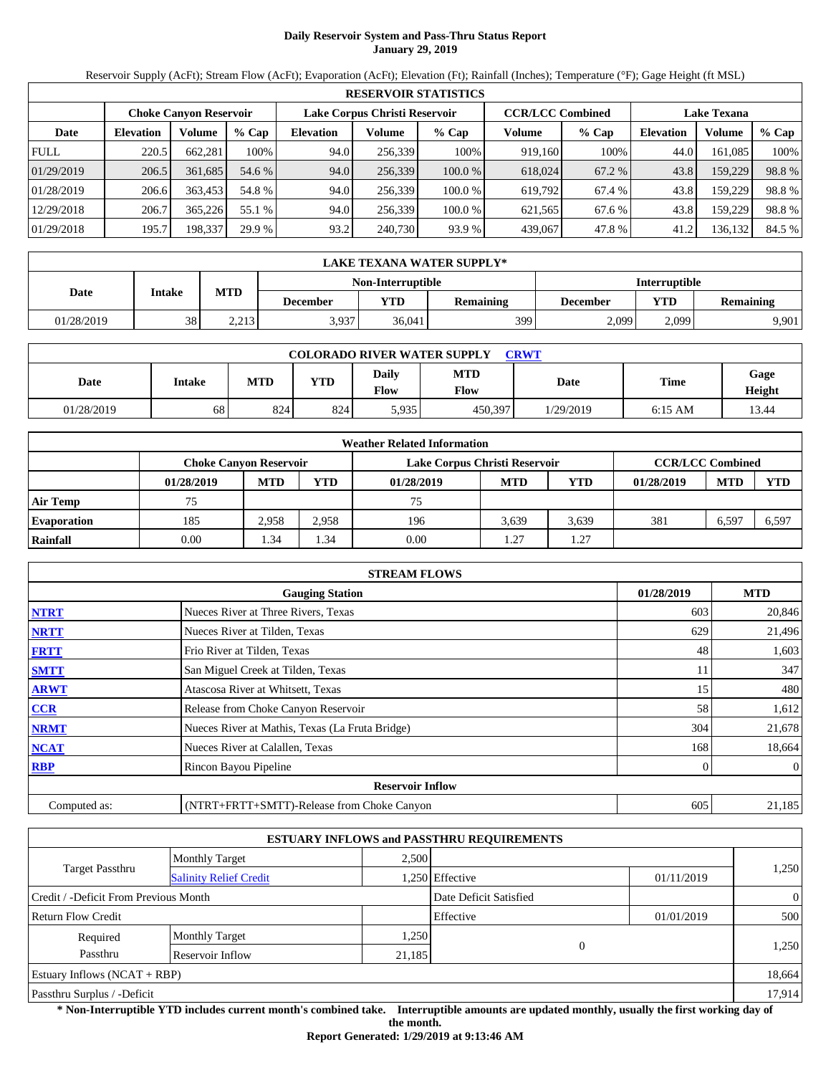# **Daily Reservoir System and Pass-Thru Status Report January 29, 2019**

Reservoir Supply (AcFt); Stream Flow (AcFt); Evaporation (AcFt); Elevation (Ft); Rainfall (Inches); Temperature (°F); Gage Height (ft MSL)

|             | <b>RESERVOIR STATISTICS</b> |                               |         |                  |                               |         |                         |         |                    |         |        |  |
|-------------|-----------------------------|-------------------------------|---------|------------------|-------------------------------|---------|-------------------------|---------|--------------------|---------|--------|--|
|             |                             | <b>Choke Canyon Reservoir</b> |         |                  | Lake Corpus Christi Reservoir |         | <b>CCR/LCC Combined</b> |         | <b>Lake Texana</b> |         |        |  |
| Date        | <b>Elevation</b>            | Volume                        | $%$ Cap | <b>Elevation</b> | Volume                        | $%$ Cap | Volume                  | $%$ Cap | <b>Elevation</b>   | Volume  | % Cap  |  |
| <b>FULL</b> | 220.5                       | 662.281                       | 100%    | 94.0             | 256,339                       | 100%    | 919,160                 | 100%    | 44.0               | 161.085 | 100%   |  |
| 01/29/2019  | 206.5                       | 361.685                       | 54.6 %  | 94.0             | 256,339                       | 100.0 % | 618,024                 | 67.2 %  | 43.8               | 159,229 | 98.8%  |  |
| 01/28/2019  | 206.6                       | 363,453                       | 54.8 %  | 94.0             | 256,339                       | 100.0 % | 619.792                 | 67.4 %  | 43.8               | 159.229 | 98.8%  |  |
| 12/29/2018  | 206.7                       | 365,226                       | 55.1 %  | 94.0             | 256,339                       | 100.0 % | 621,565                 | 67.6 %  | 43.8               | 159.229 | 98.8%  |  |
| 01/29/2018  | 195.7                       | 198,337                       | 29.9 %  | 93.2             | 240,730                       | 93.9 %  | 439,067                 | 47.8 %  | 41.2               | 136,132 | 84.5 % |  |

|            | LAKE TEXANA WATER SUPPLY* |            |                 |        |           |          |                         |       |  |  |  |
|------------|---------------------------|------------|-----------------|--------|-----------|----------|-------------------------|-------|--|--|--|
|            | <b>Interruptible</b>      |            |                 |        |           |          |                         |       |  |  |  |
| Date       | Intake                    | <b>MTD</b> | <b>December</b> | YTD    | Remaining | December | YTD<br><b>Remaining</b> |       |  |  |  |
| 01/28/2019 | 38                        | 2,213      | 3,937           | 36.041 | 399       | 2,099    | 2,099                   | 9.901 |  |  |  |

| <b>COLORADO RIVER WATER SUPPLY</b><br><b>CRWT</b> |        |            |            |                             |                    |           |           |                |  |  |
|---------------------------------------------------|--------|------------|------------|-----------------------------|--------------------|-----------|-----------|----------------|--|--|
| Date                                              | Intake | <b>MTD</b> | <b>YTD</b> | <b>Daily</b><br><b>Flow</b> | <b>MTD</b><br>Flow | Date      | Time      | Gage<br>Height |  |  |
| 01/28/2019                                        | 68     | 824        | 824        | 5,935                       | 450.397            | 1/29/2019 | $6:15$ AM | 13.44          |  |  |

|                    | <b>Weather Related Information</b> |            |       |                               |            |                         |            |            |            |  |  |
|--------------------|------------------------------------|------------|-------|-------------------------------|------------|-------------------------|------------|------------|------------|--|--|
|                    | <b>Choke Canvon Reservoir</b>      |            |       | Lake Corpus Christi Reservoir |            | <b>CCR/LCC Combined</b> |            |            |            |  |  |
|                    | 01/28/2019                         | <b>MTD</b> | YTD   | 01/28/2019                    | <b>MTD</b> | <b>YTD</b>              | 01/28/2019 | <b>MTD</b> | <b>YTD</b> |  |  |
| <b>Air Temp</b>    | 75                                 |            |       | 75                            |            |                         |            |            |            |  |  |
| <b>Evaporation</b> | 185                                | 2.958      | 2,958 | 196                           | 3.639      | 3,639                   | 381        | 6,597      | 6,597      |  |  |
| Rainfall           | 0.00                               | 1.34       | . .34 | 0.00                          | 1.27       | 1.27                    |            |            |            |  |  |

|              | <b>STREAM FLOWS</b>                             |            |                |
|--------------|-------------------------------------------------|------------|----------------|
|              | <b>Gauging Station</b>                          | 01/28/2019 | <b>MTD</b>     |
| <b>NTRT</b>  | Nueces River at Three Rivers, Texas             | 603        | 20,846         |
| <b>NRTT</b>  | Nueces River at Tilden, Texas                   | 629        | 21,496         |
| <b>FRTT</b>  | Frio River at Tilden, Texas                     | 48         | 1,603          |
| <b>SMTT</b>  | San Miguel Creek at Tilden, Texas               | 11         | 347            |
| <b>ARWT</b>  | Atascosa River at Whitsett, Texas               | 15         | 480            |
| CCR          | Release from Choke Canyon Reservoir             | 58         | 1,612          |
| <b>NRMT</b>  | Nueces River at Mathis, Texas (La Fruta Bridge) | 304        | 21,678         |
| <b>NCAT</b>  | Nueces River at Calallen, Texas                 | 168        | 18,664         |
| <b>RBP</b>   | Rincon Bayou Pipeline                           | $\Omega$   | $\overline{0}$ |
|              | <b>Reservoir Inflow</b>                         |            |                |
| Computed as: | (NTRT+FRTT+SMTT)-Release from Choke Canyon      | 605        | 21,185         |

|                                                         |                       |        | <b>ESTUARY INFLOWS and PASSTHRU REQUIREMENTS</b> |            |                |  |
|---------------------------------------------------------|-----------------------|--------|--------------------------------------------------|------------|----------------|--|
|                                                         | <b>Monthly Target</b> | 2,500  |                                                  |            |                |  |
| <b>Target Passthru</b><br><b>Salinity Relief Credit</b> |                       |        | 1,250 Effective                                  | 01/11/2019 | 1,250          |  |
| Credit / -Deficit From Previous Month                   |                       |        | Date Deficit Satisfied                           |            | $\overline{0}$ |  |
| <b>Return Flow Credit</b>                               |                       |        | Effective                                        | 01/01/2019 | 500            |  |
| Required                                                | <b>Monthly Target</b> | 1,250  |                                                  |            |                |  |
| Passthru                                                | Reservoir Inflow      | 21,185 | $\Omega$                                         |            | 1,250          |  |
| Estuary Inflows $(NCAT + RBP)$                          |                       |        |                                                  |            | 18,664         |  |
| Passthru Surplus / -Deficit                             |                       |        |                                                  |            | 17,914         |  |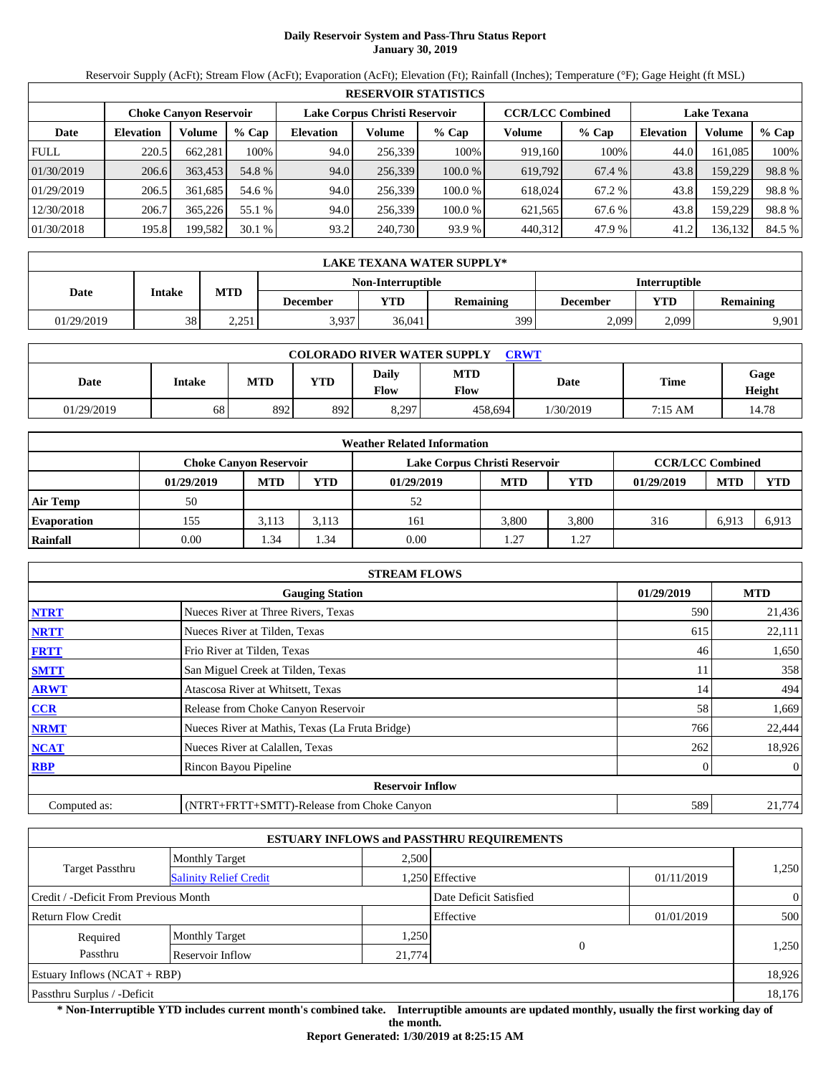# **Daily Reservoir System and Pass-Thru Status Report January 30, 2019**

Reservoir Supply (AcFt); Stream Flow (AcFt); Evaporation (AcFt); Elevation (Ft); Rainfall (Inches); Temperature (°F); Gage Height (ft MSL)

|             | <b>RESERVOIR STATISTICS</b> |                               |         |                  |                               |         |                         |         |                    |         |        |  |
|-------------|-----------------------------|-------------------------------|---------|------------------|-------------------------------|---------|-------------------------|---------|--------------------|---------|--------|--|
|             |                             | <b>Choke Canyon Reservoir</b> |         |                  | Lake Corpus Christi Reservoir |         | <b>CCR/LCC Combined</b> |         | <b>Lake Texana</b> |         |        |  |
| Date        | <b>Elevation</b>            | Volume                        | $%$ Cap | <b>Elevation</b> | Volume                        | $%$ Cap | Volume                  | $%$ Cap | <b>Elevation</b>   | Volume  | % Cap  |  |
| <b>FULL</b> | 220.5                       | 662,281                       | 100%    | 94.0             | 256,339                       | 100%    | 919.160                 | 100%    | 44.0               | 161,085 | 100%   |  |
| 01/30/2019  | 206.6                       | 363,453                       | 54.8 %  | 94.0             | 256,339                       | 100.0 % | 619,792                 | 67.4 %  | 43.8               | 159,229 | 98.8%  |  |
| 01/29/2019  | 206.5                       | 361.685                       | 54.6 %  | 94.0             | 256,339                       | 100.0 % | 618,024                 | 67.2 %  | 43.8               | 159,229 | 98.8%  |  |
| 12/30/2018  | 206.7                       | 365,226                       | 55.1 %  | 94.0             | 256,339                       | 100.0 % | 621,565                 | 67.6 %  | 43.8               | 159.229 | 98.8%  |  |
| 01/30/2018  | 195.8                       | 199,582                       | 30.1%   | 93.2             | 240,730                       | 93.9 %  | 440,312                 | 47.9 %  | 41.2               | 136,132 | 84.5 % |  |

|                                                  | LAKE TEXANA WATER SUPPLY* |            |                 |        |                  |          |                         |       |  |  |  |
|--------------------------------------------------|---------------------------|------------|-----------------|--------|------------------|----------|-------------------------|-------|--|--|--|
| <b>Interruptible</b><br><b>Non-Interruptible</b> |                           |            |                 |        |                  |          |                         |       |  |  |  |
| Date                                             | Intake                    | <b>MTD</b> | <b>December</b> | YTD    | <b>Remaining</b> | December | YTD<br><b>Remaining</b> |       |  |  |  |
| 01/29/2019                                       | 38                        | 2.251      | 3,937           | 36,041 | 399              | 2,099    | 2,099                   | 9.901 |  |  |  |

| <b>COLORADO RIVER WATER SUPPLY</b><br><b>CRWT</b> |        |            |            |                             |                    |           |             |                |  |  |
|---------------------------------------------------|--------|------------|------------|-----------------------------|--------------------|-----------|-------------|----------------|--|--|
| Date                                              | Intake | <b>MTD</b> | <b>YTD</b> | <b>Daily</b><br><b>Flow</b> | <b>MTD</b><br>Flow | Date      | <b>Time</b> | Gage<br>Height |  |  |
| 01/29/2019                                        | 68     | 892        | 892        | 8,297                       | 458,694            | 1/30/2019 | 7:15 AM     | 14.78          |  |  |

|                    |                               |            |            | <b>Weather Related Information</b> |            |                         |            |            |            |
|--------------------|-------------------------------|------------|------------|------------------------------------|------------|-------------------------|------------|------------|------------|
|                    | <b>Choke Canvon Reservoir</b> |            |            | Lake Corpus Christi Reservoir      |            | <b>CCR/LCC Combined</b> |            |            |            |
|                    | 01/29/2019                    | <b>MTD</b> | <b>YTD</b> | 01/29/2019                         | <b>MTD</b> | <b>YTD</b>              | 01/29/2019 | <b>MTD</b> | <b>YTD</b> |
| <b>Air Temp</b>    | 50                            |            |            | 52                                 |            |                         |            |            |            |
| <b>Evaporation</b> | 155                           | 3.113      | 3.113      | 161                                | 3.800      | 3.800                   | 316        | 6,913      | 6,913      |
| Rainfall           | 0.00                          | 1.34       | . .34      | 0.00                               | 1.27       | 1.27                    |            |            |            |

|              | <b>STREAM FLOWS</b>                             |            |              |
|--------------|-------------------------------------------------|------------|--------------|
|              | <b>Gauging Station</b>                          | 01/29/2019 | <b>MTD</b>   |
| <b>NTRT</b>  | Nueces River at Three Rivers, Texas             | 590        | 21,436       |
| <b>NRTT</b>  | Nueces River at Tilden, Texas                   | 615        | 22,111       |
| <b>FRTT</b>  | Frio River at Tilden, Texas                     | 46         | 1,650        |
| <b>SMTT</b>  | San Miguel Creek at Tilden, Texas               | 11         | 358          |
| <b>ARWT</b>  | Atascosa River at Whitsett, Texas               | 14         | 494          |
| <b>CCR</b>   | Release from Choke Canyon Reservoir             | 58         | 1,669        |
| <b>NRMT</b>  | Nueces River at Mathis, Texas (La Fruta Bridge) | 766        | 22,444       |
| <b>NCAT</b>  | Nueces River at Calallen, Texas                 | 262        | 18,926       |
| <b>RBP</b>   | Rincon Bayou Pipeline                           |            | $\mathbf{0}$ |
|              | <b>Reservoir Inflow</b>                         |            |              |
| Computed as: | (NTRT+FRTT+SMTT)-Release from Choke Canyon      | 589        | 21,774       |

|                                                         |                       |        | <b>ESTUARY INFLOWS and PASSTHRU REQUIREMENTS</b> |            |                |  |
|---------------------------------------------------------|-----------------------|--------|--------------------------------------------------|------------|----------------|--|
|                                                         | <b>Monthly Target</b> | 2.500  |                                                  |            |                |  |
| <b>Target Passthru</b><br><b>Salinity Relief Credit</b> |                       |        | 1,250 Effective                                  | 01/11/2019 | 1,250          |  |
| Credit / -Deficit From Previous Month                   |                       |        | Date Deficit Satisfied                           |            | $\overline{0}$ |  |
| <b>Return Flow Credit</b>                               |                       |        | Effective                                        | 01/01/2019 | 500            |  |
| Required                                                | <b>Monthly Target</b> | 1,250  |                                                  |            |                |  |
| Passthru                                                | Reservoir Inflow      | 21,774 | $\Omega$                                         |            | 1,250          |  |
| Estuary Inflows $(NCAT + RBP)$                          |                       |        |                                                  |            | 18,926         |  |
| Passthru Surplus / -Deficit                             |                       |        |                                                  |            | 18,176         |  |